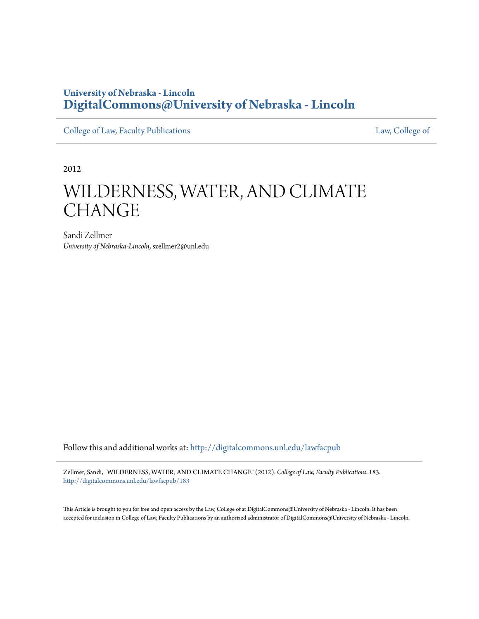# **University of Nebraska - Lincoln [DigitalCommons@University of Nebraska - Lincoln](http://digitalcommons.unl.edu?utm_source=digitalcommons.unl.edu%2Flawfacpub%2F183&utm_medium=PDF&utm_campaign=PDFCoverPages)**

[College of Law, Faculty Publications](http://digitalcommons.unl.edu/lawfacpub?utm_source=digitalcommons.unl.edu%2Flawfacpub%2F183&utm_medium=PDF&utm_campaign=PDFCoverPages) [Law, College of](http://digitalcommons.unl.edu/law?utm_source=digitalcommons.unl.edu%2Flawfacpub%2F183&utm_medium=PDF&utm_campaign=PDFCoverPages)

2012

# WILDERNESS, WATER, AND CLIMATE CHANGE

Sandi Zellmer *University of Nebraska-Lincoln*, szellmer2@unl.edu

Follow this and additional works at: [http://digitalcommons.unl.edu/lawfacpub](http://digitalcommons.unl.edu/lawfacpub?utm_source=digitalcommons.unl.edu%2Flawfacpub%2F183&utm_medium=PDF&utm_campaign=PDFCoverPages)

Zellmer, Sandi, "WILDERNESS, WATER, AND CLIMATE CHANGE" (2012). *College of Law, Faculty Publications*. 183. [http://digitalcommons.unl.edu/lawfacpub/183](http://digitalcommons.unl.edu/lawfacpub/183?utm_source=digitalcommons.unl.edu%2Flawfacpub%2F183&utm_medium=PDF&utm_campaign=PDFCoverPages)

This Article is brought to you for free and open access by the Law, College of at DigitalCommons@University of Nebraska - Lincoln. It has been accepted for inclusion in College of Law, Faculty Publications by an authorized administrator of DigitalCommons@University of Nebraska - Lincoln.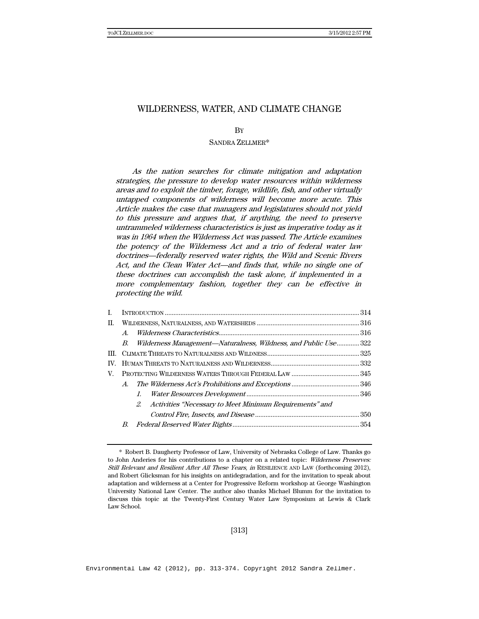### WILDERNESS, WATER, AND CLIMATE CHANGE

**B**<sub>Y</sub>

#### SANDRA ZELLMER\*

As the nation searches for climate mitigation and adaptation strategies, the pressure to develop water resources within wilderness areas and to exploit the timber, forage, wildlife, fish, and other virtually untapped components of wilderness will become more acute. This Article makes the case that managers and legislatures should not yield to this pressure and argues that, if anything, the need to preserve untrammeled wilderness characteristics is just as imperative today as it was in 1964 when the Wilderness Act was passed. The Article examines the potency of the Wilderness Act and a trio of federal water law doctrines—federally reserved water rights, the Wild and Scenic Rivers Act, and the Clean Water Act—and finds that, while no single one of these doctrines can accomplish the task alone, if implemented in a more complementary fashion, together they can be effective in protecting the wild.

| $A_{\cdot}$                                                |                                                                 |
|------------------------------------------------------------|-----------------------------------------------------------------|
| B.                                                         |                                                                 |
|                                                            |                                                                 |
|                                                            |                                                                 |
| V.                                                         |                                                                 |
| $A_{\cdot}$                                                |                                                                 |
| $l_{\cdot}$                                                |                                                                 |
| 2. Activities "Necessary to Meet Minimum Requirements" and |                                                                 |
|                                                            |                                                                 |
|                                                            |                                                                 |
|                                                            | Wilderness Management-Naturalness, Wildness, and Public Use 322 |

[313]

 <sup>\*</sup> Robert B. Daugherty Professor of Law, University of Nebraska College of Law. Thanks go to John Anderies for his contributions to a chapter on a related topic: Wilderness Preserves: Still Relevant and Resilient After All These Years, in RESILIENCE AND LAW (forthcoming 2012), and Robert Glicksman for his insights on antidegradation, and for the invitation to speak about adaptation and wilderness at a Center for Progressive Reform workshop at George Washington University National Law Center. The author also thanks Michael Blumm for the invitation to discuss this topic at the Twenty-First Century Water Law Symposium at Lewis & Clark Law School.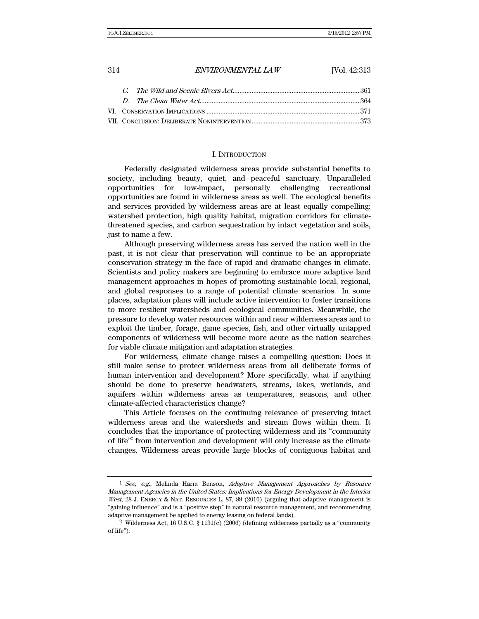#### I. INTRODUCTION

Federally designated wilderness areas provide substantial benefits to society, including beauty, quiet, and peaceful sanctuary. Unparalleled opportunities for low-impact, personally challenging recreational opportunities are found in wilderness areas as well. The ecological benefits and services provided by wilderness areas are at least equally compelling: watershed protection, high quality habitat, migration corridors for climatethreatened species, and carbon sequestration by intact vegetation and soils, just to name a few.

Although preserving wilderness areas has served the nation well in the past, it is not clear that preservation will continue to be an appropriate conservation strategy in the face of rapid and dramatic changes in climate. Scientists and policy makers are beginning to embrace more adaptive land management approaches in hopes of promoting sustainable local, regional, and global responses to a range of potential climate scenarios.<sup>1</sup> In some places, adaptation plans will include active intervention to foster transitions to more resilient watersheds and ecological communities. Meanwhile, the pressure to develop water resources within and near wilderness areas and to exploit the timber, forage, game species, fish, and other virtually untapped components of wilderness will become more acute as the nation searches for viable climate mitigation and adaptation strategies.

For wilderness, climate change raises a compelling question: Does it still make sense to protect wilderness areas from all deliberate forms of human intervention and development? More specifically, what if anything should be done to preserve headwaters, streams, lakes, wetlands, and aquifers within wilderness areas as temperatures, seasons, and other climate-affected characteristics change?

This Article focuses on the continuing relevance of preserving intact wilderness areas and the watersheds and stream flows within them. It concludes that the importance of protecting wilderness and its "community of life<sup>"</sup> from intervention and development will only increase as the climate changes. Wilderness areas provide large blocks of contiguous habitat and

 $1$  See, e.g., Melinda Harm Benson, Adaptive Management Approaches by Resource Management Agencies in the United States: Implications for Energy Development in the Interior West, 28 J. ENERGY & NAT. RESOURCES L. 87, 89 (2010) (arguing that adaptive management is "gaining influence" and is a "positive step" in natural resource management, and recommending adaptive management be applied to energy leasing on federal lands).

<sup>&</sup>lt;sup>2</sup> Wilderness Act, 16 U.S.C. § 1131(c) (2006) (defining wilderness partially as a "community" of life").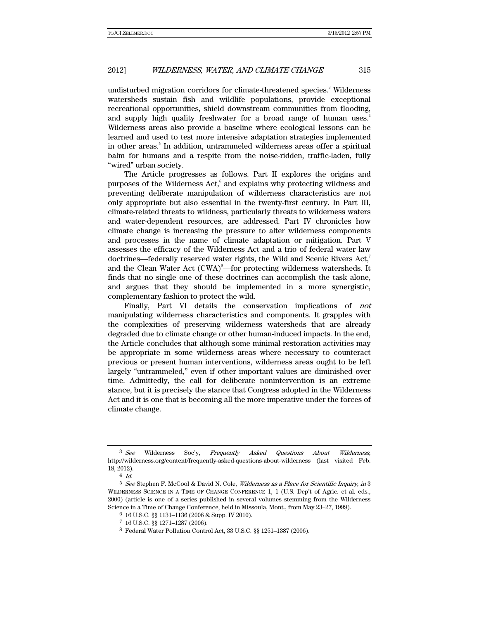undisturbed migration corridors for climate-threatened species.<sup>3</sup> Wilderness watersheds sustain fish and wildlife populations, provide exceptional recreational opportunities, shield downstream communities from flooding, and supply high quality freshwater for a broad range of human uses.<sup>4</sup> Wilderness areas also provide a baseline where ecological lessons can be learned and used to test more intensive adaptation strategies implemented in other areas.<sup>5</sup> In addition, untrammeled wilderness areas offer a spiritual balm for humans and a respite from the noise-ridden, traffic-laden, fully "wired" urban society.

The Article progresses as follows. Part II explores the origins and purposes of the Wilderness Act,<sup>6</sup> and explains why protecting wildness and preventing deliberate manipulation of wilderness characteristics are not only appropriate but also essential in the twenty-first century. In Part III, climate-related threats to wildness, particularly threats to wilderness waters and water-dependent resources, are addressed. Part IV chronicles how climate change is increasing the pressure to alter wilderness components and processes in the name of climate adaptation or mitigation. Part V assesses the efficacy of the Wilderness Act and a trio of federal water law doctrines—federally reserved water rights, the Wild and Scenic Rivers Act,<sup>7</sup> and the Clean Water Act  $(CWA)^{8}$ —for protecting wilderness watersheds. It finds that no single one of these doctrines can accomplish the task alone, and argues that they should be implemented in a more synergistic, complementary fashion to protect the wild.

Finally, Part VI details the conservation implications of not manipulating wilderness characteristics and components. It grapples with the complexities of preserving wilderness watersheds that are already degraded due to climate change or other human-induced impacts. In the end, the Article concludes that although some minimal restoration activities may be appropriate in some wilderness areas where necessary to counteract previous or present human interventions, wilderness areas ought to be left largely "untrammeled," even if other important values are diminished over time. Admittedly, the call for deliberate nonintervention is an extreme stance, but it is precisely the stance that Congress adopted in the Wilderness Act and it is one that is becoming all the more imperative under the forces of climate change.

<sup>&</sup>lt;sup>3</sup> See Wilderness Soc'y, Frequently Asked Questions About Wilderness, http://wilderness.org/content/frequently-asked-questions-about-wilderness (last visited Feb. 18, 2012).

<sup>4</sup> Id.

<sup>5</sup> See Stephen F. McCool & David N. Cole, Wilderness as a Place for Scientific Inquiry, in 3 WILDERNESS SCIENCE IN A TIME OF CHANGE CONFERENCE 1, 1 (U.S. Dep't of Agric. et al. eds., 2000) (article is one of a series published in several volumes stemming from the Wilderness Science in a Time of Change Conference, held in Missoula, Mont., from May 23–27, 1999).

<sup>6 16</sup> U.S.C. §§ 1131–1136 (2006 & Supp. IV 2010).

<sup>7 16</sup> U.S.C. §§ 1271–1287 (2006).

<sup>8</sup> Federal Water Pollution Control Act, 33 U.S.C. §§ 1251–1387 (2006).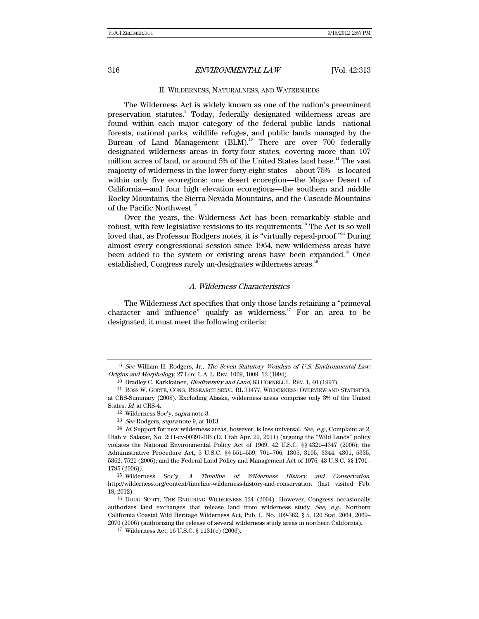#### II. WILDERNESS, NATURALNESS, AND WATERSHEDS

The Wilderness Act is widely known as one of the nation's preeminent preservation statutes.<sup>9</sup> Today, federally designated wilderness areas are found within each major category of the federal public lands—national forests, national parks, wildlife refuges, and public lands managed by the Bureau of Land Management  $(BLM)$ .<sup>10</sup> There are over 700 federally designated wilderness areas in forty-four states, covering more than 107 million acres of land, or around  $5%$  of the United States land base.<sup>11</sup> The vast majority of wilderness in the lower forty-eight states—about 75%—is located within only five ecoregions: one desert ecoregion—the Mojave Desert of California—and four high elevation ecoregions—the southern and middle Rocky Mountains, the Sierra Nevada Mountains, and the Cascade Mountains of the Pacific Northwest.<sup>12</sup>

Over the years, the Wilderness Act has been remarkably stable and robust, with few legislative revisions to its requirements.<sup>13</sup> The Act is so well loved that, as Professor Rodgers notes, it is "virtually repeal-proof."<sup>14</sup> During almost every congressional session since 1964, new wilderness areas have been added to the system or existing areas have been expanded.<sup>15</sup> Once established, Congress rarely un-designates wilderness areas.<sup>16</sup>

#### A. Wilderness Characteristics

The Wilderness Act specifies that only those lands retaining a "primeval character and influence" qualify as wilderness.<sup>17</sup> For an area to be designated, it must meet the following criteria:

 $9$  See William H. Rodgers, Jr., The Seven Statutory Wonders of U.S. Environmental Law: Origins and Morphology, 27 LOY. L.A. L. REV. 1009, 1009–12 (1994).

<sup>&</sup>lt;sup>10</sup> Bradley C. Karkkainen, *Biodiversity and Land*, 83 CORNELL L. REV. 1, 40 (1997).

<sup>11</sup> ROSS W. GORTE, CONG. RESEARCH SERV., RL 31477, WILDERNESS: OVERVIEW AND STATISTICS, at CRS-Summary (2008). Excluding Alaska, wilderness areas comprise only 3% of the United States. Id. at CRS-4.

<sup>12</sup> Wilderness Soc'y, supra note 3.

<sup>&</sup>lt;sup>13</sup> See Rodgers, supra note 9, at 1013.

<sup>&</sup>lt;sup>14</sup> Id. Support for new wilderness areas, however, is less universal. See, e.g., Complaint at 2, Utah v. Salazar, No. 2:11-cv-00391-DB (D. Utah Apr. 29, 2011) (arguing the "Wild Lands" policy violates the National Environmental Policy Act of 1969, 42 U.S.C. §§ 4321–4347 (2006); the Administrative Procedure Act, 5 U.S.C. §§ 551–559, 701–706, 1305, 3105, 3344, 4301, 5335, 5362, 7521 (2006); and the Federal Land Policy and Management Act of 1976, 43 U.S.C. §§ 1701– 1785 (2006)).

<sup>15</sup> Wilderness Soc'y, A Timeline of Wilderness History and Conservation, http://wilderness.org/content/timeline-wilderness-history-and-conservation (last visited Feb. 18, 2012).

<sup>16</sup> DOUG SCOTT, THE ENDURING WILDERNESS 124 (2004). However, Congress occasionally authorizes land exchanges that release land from wilderness study. See, e.g., Northern California Coastal Wild Heritage Wilderness Act, Pub. L. No. 109-362, § 5, 120 Stat. 2064, 2069– 2070 (2006) (authorizing the release of several wilderness study areas in northern California).

<sup>17</sup> Wilderness Act, 16 U.S.C. § 1131(c) (2006).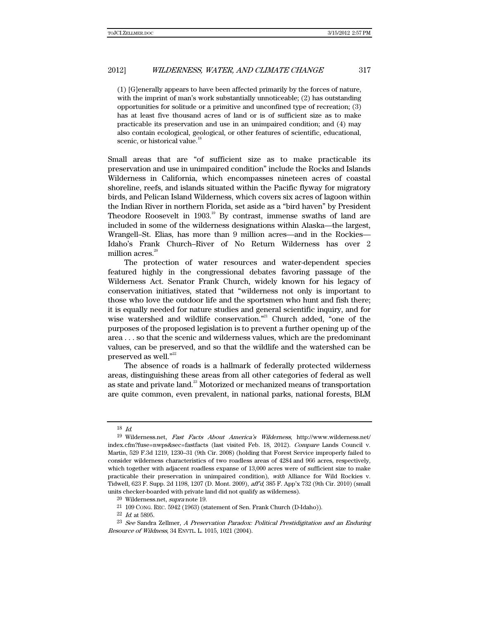(1) [G]enerally appears to have been affected primarily by the forces of nature, with the imprint of man's work substantially unnoticeable; (2) has outstanding opportunities for solitude or a primitive and unconfined type of recreation; (3) has at least five thousand acres of land or is of sufficient size as to make practicable its preservation and use in an unimpaired condition; and (4) may also contain ecological, geological, or other features of scientific, educational, scenic, or historical value.<sup>18</sup>

Small areas that are "of sufficient size as to make practicable its preservation and use in unimpaired condition" include the Rocks and Islands Wilderness in California, which encompasses nineteen acres of coastal shoreline, reefs, and islands situated within the Pacific flyway for migratory birds, and Pelican Island Wilderness, which covers six acres of lagoon within the Indian River in northern Florida, set aside as a "bird haven" by President Theodore Roosevelt in  $1903$ <sup>19</sup> By contrast, immense swaths of land are included in some of the wilderness designations within Alaska—the largest, Wrangell–St. Elias, has more than 9 million acres—and in the Rockies— Idaho's Frank Church–River of No Return Wilderness has over 2 million acres. $^{20}$ 

The protection of water resources and water-dependent species featured highly in the congressional debates favoring passage of the Wilderness Act. Senator Frank Church, widely known for his legacy of conservation initiatives, stated that "wilderness not only is important to those who love the outdoor life and the sportsmen who hunt and fish there; it is equally needed for nature studies and general scientific inquiry, and for wise watershed and wildlife conservation."<sup>21</sup> Church added, "one of the purposes of the proposed legislation is to prevent a further opening up of the area . . . so that the scenic and wilderness values, which are the predominant values, can be preserved, and so that the wildlife and the watershed can be preserved as well."<sup>22</sup>

The absence of roads is a hallmark of federally protected wilderness areas, distinguishing these areas from all other categories of federal as well as state and private land.<sup>23</sup> Motorized or mechanized means of transportation are quite common, even prevalent, in national parks, national forests, BLM

<sup>18</sup> Id.

<sup>19</sup> Wilderness.net, Fast Facts About America's Wilderness, http://www.wilderness.net/ index.cfm?fuse=nwps&sec=fastfacts (last visited Feb. 18, 2012). Compare Lands Council v. Martin, 529 F.3d 1219, 1230–31 (9th Cir. 2008) (holding that Forest Service improperly failed to consider wilderness characteristics of two roadless areas of 4284 and 966 acres, respectively, which together with adjacent roadless expanse of 13,000 acres were of sufficient size to make practicable their preservation in unimpaired condition), with Alliance for Wild Rockies v. Tidwell, 623 F. Supp. 2d 1198, 1207 (D. Mont. 2009), aff'd, 385 F. App'x 732 (9th Cir. 2010) (small units checker-boarded with private land did not qualify as wilderness).

<sup>20</sup> Wilderness.net, supra note 19.

 $21$  109 CONG. REC. 5942 (1963) (statement of Sen. Frank Church (D-Idaho)).

<sup>22</sup> Id. at 5895.

<sup>23</sup> See Sandra Zellmer, A Preservation Paradox: Political Prestidigitation and an Enduring Resource of Wildness, 34 ENVTL. L. 1015, 1021 (2004).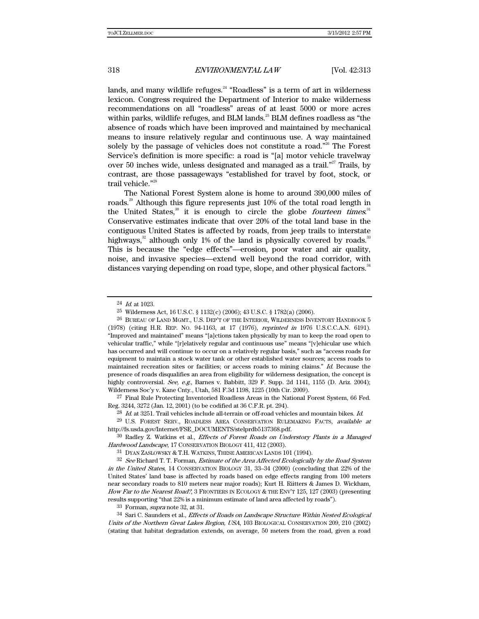lands, and many wildlife refuges. $24$  "Roadless" is a term of art in wilderness lexicon. Congress required the Department of Interior to make wilderness recommendations on all "roadless" areas of at least 5000 or more acres within parks, wildlife refuges, and BLM lands.<sup>25</sup> BLM defines roadless as "the absence of roads which have been improved and maintained by mechanical means to insure relatively regular and continuous use. A way maintained solely by the passage of vehicles does not constitute a road."<sup>26</sup> The Forest Service's definition is more specific: a road is "[a] motor vehicle travelway over 50 inches wide, unless designated and managed as a trail."<sup>27</sup> Trails, by contrast, are those passageways "established for travel by foot, stock, or trail vehicle."<sup>28</sup>

The National Forest System alone is home to around 390,000 miles of roads.<sup>29</sup> Although this figure represents just 10% of the total road length in the United States,<sup>30</sup> it is enough to circle the globe *fourteen times.*<sup>31</sup> Conservative estimates indicate that over 20% of the total land base in the contiguous United States is affected by roads, from jeep trails to interstate highways, $32$  although only 1% of the land is physically covered by roads. $33$ This is because the "edge effects"—erosion, poor water and air quality, noise, and invasive species—extend well beyond the road corridor, with distances varying depending on road type, slope, and other physical factors.<sup>34</sup>

27 Final Rule Protecting Inventoried Roadless Areas in the National Forest System, 66 Fed. Reg. 3244, 3272 (Jan. 12, 2001) (to be codified at 36 C.F.R. pt. 294).

 $^{28}$  *Id.* at 3251. Trail vehicles include all-terrain or off-road vehicles and mountain bikes. *Id.* 

30 Radley Z. Watkins et al., Effects of Forest Roads on Understory Plants in a Managed Hardwood Landscape, 17 CONSERVATION BIOLOGY 411, 412 (2003).

 $31$  DYAN ZASLOWSKY & T.H. WATKINS, THESE AMERICAN LANDS 101 (1994).<br> $32$  See Richard T. T. Forman, *Estimate of the Area Affected Ecologically by the Road System* in the United States, 14 CONSERVATION BIOLOGY 31, 33–34 (2000) (concluding that 22% of the United States' land base is affected by roads based on edge effects ranging from 100 meters near secondary roads to 810 meters near major roads); Kurt H. Riitters & James D. Wickham, How Far to the Nearest Road?, 3 FRONTIERS IN ECOLOGY & THE ENV'T 125, 127 (2003) (presenting results supporting "that 22% is a minimum estimate of land area affected by roads").

 $33$  Forman, *supra* note 32, at 31.

34 Sari C. Saunders et al., *Effects of Roads on Landscape Structure Within Nested Ecological* Units of the Northern Great Lakes Region, USA, 103 BIOLOGICAL CONSERVATION 209, 210 (2002) (stating that habitat degradation extends, on average, 50 meters from the road, given a road

<sup>24</sup> Id. at 1023.

<sup>25</sup> Wilderness Act, 16 U.S.C. § 1132(c) (2006); 43 U.S.C. § 1782(a) (2006).

<sup>26</sup> BUREAU OF LAND MGMT., U.S. DEP'T OF THE INTERIOR, WILDERNESS INVENTORY HANDBOOK 5 (1978) (citing H.R. REP. NO. 94-1163, at 17 (1976), reprinted in 1976 U.S.C.C.A.N. 6191). "Improved and maintained" means "[a]ctions taken physically by man to keep the road open to vehicular traffic," while "[r]elatively regular and continuous use" means "[v]ehicular use which has occurred and will continue to occur on a relatively regular basis," such as "access roads for equipment to maintain a stock water tank or other established water sources; access roads to maintained recreation sites or facilities; or access roads to mining claims." Id. Because the presence of roads disqualifies an area from eligibility for wilderness designation, the concept is highly controversial. See, e.g., Barnes v. Babbitt, 329 F. Supp. 2d 1141, 1155 (D. Ariz. 2004); Wilderness Soc'y v. Kane Cnty., Utah, 581 F.3d 1198, 1225 (10th Cir. 2009).

<sup>&</sup>lt;sup>29</sup> U.S. FOREST SERV., ROADLESS AREA CONSERVATION RULEMAKING FACTS, available at http://fs.usda.gov/Internet/FSE\_DOCUMENTS/stelprdb5137368.pdf.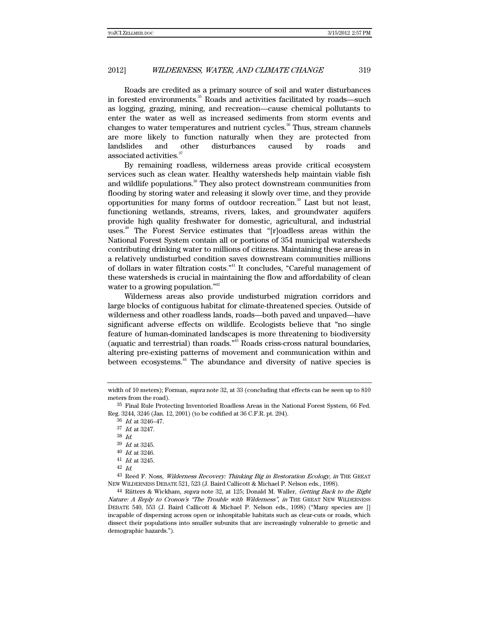Roads are credited as a primary source of soil and water disturbances in forested environments.<sup>35</sup> Roads and activities facilitated by roads—such as logging, grazing, mining, and recreation—cause chemical pollutants to enter the water as well as increased sediments from storm events and changes to water temperatures and nutrient cycles.<sup>36</sup> Thus, stream channels are more likely to function naturally when they are protected from landslides and other disturbances caused by roads and associated activities.<sup>37</sup>

By remaining roadless, wilderness areas provide critical ecosystem services such as clean water. Healthy watersheds help maintain viable fish and wildlife populations.<sup>38</sup> They also protect downstream communities from flooding by storing water and releasing it slowly over time, and they provide opportunities for many forms of outdoor recreation.<sup>39</sup> Last but not least, functioning wetlands, streams, rivers, lakes, and groundwater aquifers provide high quality freshwater for domestic, agricultural, and industrial uses.<sup>40</sup> The Forest Service estimates that "[r]oadless areas within the National Forest System contain all or portions of 354 municipal watersheds contributing drinking water to millions of citizens. Maintaining these areas in a relatively undisturbed condition saves downstream communities millions of dollars in water filtration costs."41 It concludes, "Careful management of these watersheds is crucial in maintaining the flow and affordability of clean water to a growing population." $42$ 

Wilderness areas also provide undisturbed migration corridors and large blocks of contiguous habitat for climate-threatened species. Outside of wilderness and other roadless lands, roads—both paved and unpaved—have significant adverse effects on wildlife. Ecologists believe that "no single feature of human-dominated landscapes is more threatening to biodiversity (aquatic and terrestrial) than roads."43 Roads criss-cross natural boundaries, altering pre-existing patterns of movement and communication within and between ecosystems.<sup>44</sup> The abundance and diversity of native species is

36 Id. at 3246–47.

37 Id. at 3247.

38 Id.

39 Id. at 3245.

40 *Id.* at 3246.<br> $41$  *Id.* at 3245.

42 Id.

43 Reed F. Noss, Wilderness Recovery: Thinking Big in Restoration Ecology, in THE GREAT NEW WILDERNESS DEBATE 521, 523 (J. Baird Callicott & Michael P. Nelson eds., 1998).

44 Riitters & Wickham, supra note 32, at 125; Donald M. Waller, Getting Back to the Right Nature: A Reply to Cronon's "The Trouble with Wilderness", in THE GREAT NEW WILDERNESS DEBATE 540, 553 (J. Baird Callicott & Michael P. Nelson eds., 1998) ("Many species are [] incapable of dispersing across open or inhospitable habitats such as clear-cuts or roads, which dissect their populations into smaller subunits that are increasingly vulnerable to genetic and demographic hazards.").

width of 10 meters); Forman, *supra* note 32, at 33 (concluding that effects can be seen up to 810 meters from the road).

<sup>35</sup> Final Rule Protecting Inventoried Roadless Areas in the National Forest System, 66 Fed. Reg. 3244, 3246 (Jan. 12, 2001) (to be codified at 36 C.F.R. pt. 294).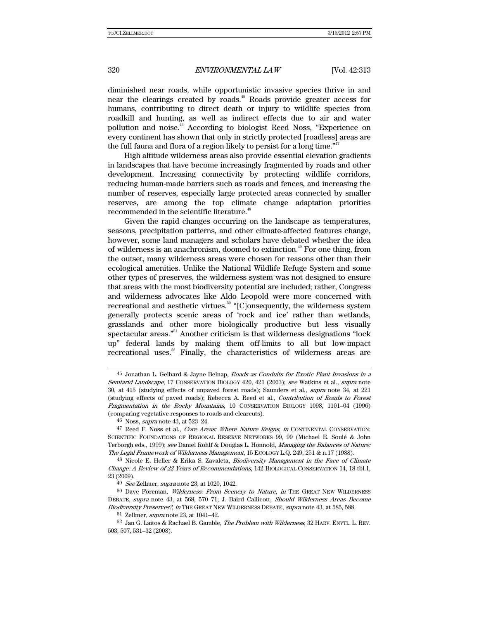diminished near roads, while opportunistic invasive species thrive in and near the clearings created by roads.<sup>45</sup> Roads provide greater access for humans, contributing to direct death or injury to wildlife species from roadkill and hunting, as well as indirect effects due to air and water pollution and noise.46 According to biologist Reed Noss, "Experience on every continent has shown that only in strictly protected [roadless] areas are the full fauna and flora of a region likely to persist for a long time.<sup>"47</sup>

High altitude wilderness areas also provide essential elevation gradients in landscapes that have become increasingly fragmented by roads and other development. Increasing connectivity by protecting wildlife corridors, reducing human-made barriers such as roads and fences, and increasing the number of reserves, especially large protected areas connected by smaller reserves, are among the top climate change adaptation priorities recommended in the scientific literature.<sup>48</sup>

Given the rapid changes occurring on the landscape as temperatures, seasons, precipitation patterns, and other climate-affected features change, however, some land managers and scholars have debated whether the idea of wilderness is an anachronism, doomed to extinction.<sup> $49$ </sup> For one thing, from the outset, many wilderness areas were chosen for reasons other than their ecological amenities. Unlike the National Wildlife Refuge System and some other types of preserves, the wilderness system was not designed to ensure that areas with the most biodiversity potential are included; rather, Congress and wilderness advocates like Aldo Leopold were more concerned with recreational and aesthetic virtues.<sup>50</sup> "[C]onsequently, the wilderness system generally protects scenic areas of 'rock and ice' rather than wetlands, grasslands and other more biologically productive but less visually spectacular areas."51 Another criticism is that wilderness designations "lock up" federal lands by making them off-limits to all but low-impact recreational uses.<sup>52</sup> Finally, the characteristics of wilderness areas are

<sup>50</sup> Dave Foreman, Wilderness: From Scenery to Nature, in THE GREAT NEW WILDERNESS DEBATE, supra note 43, at 568, 570–71; J. Baird Callicott, Should Wilderness Areas Become Biodiversity Preserves?, in THE GREAT NEW WILDERNESS DEBATE, supra note 43, at 585, 588.

51 Zellmer, supra note 23, at 1041–42.

<sup>45</sup> Jonathan L. Gelbard & Jayne Belnap, Roads as Conduits for Exotic Plant Invasions in a Semiarid Landscape, 17 CONSERVATION BIOLOGY 420, 421 (2003); see Watkins et al., supra note 30, at 415 (studying effects of unpaved forest roads); Saunders et al., supra note 34, at 221 (studying effects of paved roads); Rebecca A. Reed et al., Contribution of Roads to Forest Fragmentation in the Rocky Mountains, 10 CONSERVATION BIOLOGY 1098, 1101–04 (1996) (comparing vegetative responses to roads and clearcuts).

<sup>46</sup> Noss, supra note 43, at 523–24.

<sup>47</sup> Reed F. Noss et al., Core Areas: Where Nature Reigns, in CONTINENTAL CONSERVATION: SCIENTIFIC FOUNDATIONS OF REGIONAL RESERVE NETWORKS 99, 99 (Michael E. Soulé & John Terborgh eds., 1999); see Daniel Rohlf & Douglas L. Honnold, *Managing the Balances of Nature:* The Legal Framework of Wilderness Management, 15 ECOLOGY L.Q. 249, 251 & n.17 (1988).

<sup>&</sup>lt;sup>48</sup> Nicole E. Heller & Erika S. Zavaleta, *Biodiversity Management in the Face of Climate* Change: A Review of 22 Years of Recommendations, 142 BIOLOGICAL CONSERVATION 14, 18 tbl.1, 23 (2009).

<sup>49</sup> See Zellmer, supra note 23, at 1020, 1042.

<sup>52</sup> Jan G. Laitos & Rachael B. Gamble, The Problem with Wilderness, 32 HARV. ENVTL. L. REV. 503, 507, 531–32 (2008).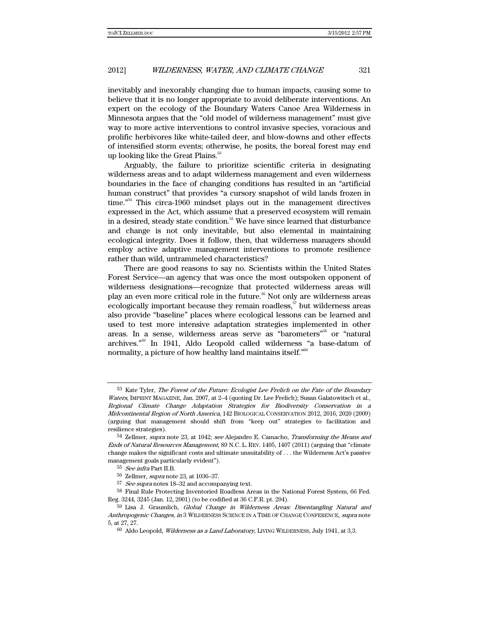inevitably and inexorably changing due to human impacts, causing some to believe that it is no longer appropriate to avoid deliberate interventions. An expert on the ecology of the Boundary Waters Canoe Area Wilderness in Minnesota argues that the "old model of wilderness management" must give way to more active interventions to control invasive species, voracious and prolific herbivores like white-tailed deer, and blow-downs and other effects of intensified storm events; otherwise, he posits, the boreal forest may end up looking like the Great Plains.<sup>53</sup>

Arguably, the failure to prioritize scientific criteria in designating wilderness areas and to adapt wilderness management and even wilderness boundaries in the face of changing conditions has resulted in an "artificial human construct" that provides "a cursory snapshot of wild lands frozen in time.<sup>"54</sup> This circa-1960 mindset plays out in the management directives expressed in the Act, which assume that a preserved ecosystem will remain in a desired, steady state condition.<sup>55</sup> We have since learned that disturbance and change is not only inevitable, but also elemental in maintaining ecological integrity. Does it follow, then, that wilderness managers should employ active adaptive management interventions to promote resilience rather than wild, untrammeled characteristics?

There are good reasons to say no. Scientists within the United States Forest Service—an agency that was once the most outspoken opponent of wilderness designations—recognize that protected wilderness areas will play an even more critical role in the future.<sup>56</sup> Not only are wilderness areas ecologically important because they remain roadless, $57$  but wilderness areas also provide "baseline" places where ecological lessons can be learned and used to test more intensive adaptation strategies implemented in other areas. In a sense, wilderness areas serve as "barometers"<sup>58</sup> or "natural archives."59 In 1941, Aldo Leopold called wilderness "a base-datum of normality, a picture of how healthy land maintains itself."<sup>60</sup>

<sup>&</sup>lt;sup>53</sup> Kate Tyler, *The Forest of the Future: Ecologist Lee Frelich on the Fate of the Boundary* Waters, IMPRINT MAGAZINE, Jan. 2007, at 2–4 (quoting Dr. Lee Frelich); Susan Galatowitsch et al., Regional Climate Change Adaptation Strategies for Biodiversity Conservation in a Midcontinental Region of North America, 142 BIOLOGICAL CONSERVATION 2012, 2016, 2020 (2009) (arguing that management should shift from "keep out" strategies to facilitation and resilience strategies).

<sup>&</sup>lt;sup>54</sup> Zellmer, *supra* note 23, at 1042; see Alejandro E. Camacho, *Transforming the Means and* Ends of Natural Resources Management, 89 N.C. L. REV. 1405, 1407 (2011) (arguing that "climate change makes the significant costs and ultimate unsuitability of . . . the Wilderness Act's passive management goals particularly evident").

<sup>55</sup> See infra Part II.B.

<sup>56</sup> Zellmer, supra note 23, at 1036–37.

<sup>57</sup> See supra notes 18–32 and accompanying text.

<sup>58</sup> Final Rule Protecting Inventoried Roadless Areas in the National Forest System, 66 Fed. Reg. 3244, 3245 (Jan. 12, 2001) (to be codified at 36 C.F.R. pt. 294).

<sup>59</sup> Lisa J. Graumlich, Global Change in Wilderness Areas: Disentangling Natural and Anthropogenic Changes, in 3 WILDERNESS SCIENCE IN A TIME OF CHANGE CONFERENCE, supra note 5, at 27, 27.

 $60$  Aldo Leopold, *Wilderness as a Land Laboratory*, LIVING WILDERNESS, July 1941, at 3,3.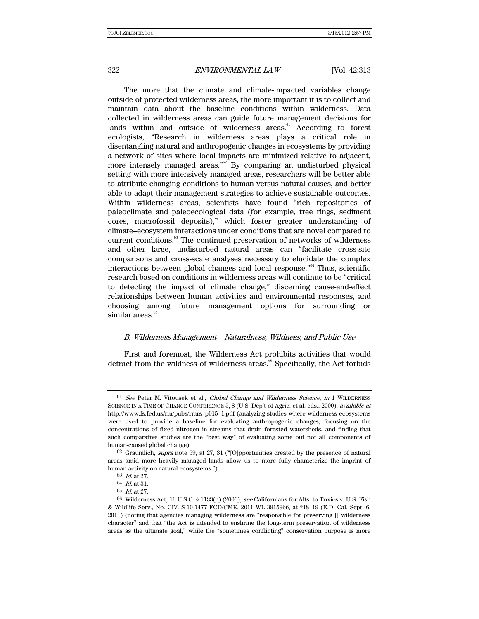The more that the climate and climate-impacted variables change outside of protected wilderness areas, the more important it is to collect and maintain data about the baseline conditions within wilderness. Data collected in wilderness areas can guide future management decisions for lands within and outside of wilderness areas.<sup>61</sup> According to forest ecologists, "Research in wilderness areas plays a critical role in disentangling natural and anthropogenic changes in ecosystems by providing a network of sites where local impacts are minimized relative to adjacent, more intensely managed areas.<sup> $m2$ </sup> By comparing an undisturbed physical setting with more intensively managed areas, researchers will be better able to attribute changing conditions to human versus natural causes, and better able to adapt their management strategies to achieve sustainable outcomes. Within wilderness areas, scientists have found "rich repositories of paleoclimate and paleoecological data (for example, tree rings, sediment cores, macrofossil deposits)," which foster greater understanding of climate–ecosystem interactions under conditions that are novel compared to current conditions.<sup>63</sup> The continued preservation of networks of wilderness and other large, undisturbed natural areas can "facilitate cross-site comparisons and cross-scale analyses necessary to elucidate the complex interactions between global changes and local response."64 Thus, scientific research based on conditions in wilderness areas will continue to be "critical to detecting the impact of climate change," discerning cause-and-effect relationships between human activities and environmental responses, and choosing among future management options for surrounding or similar areas. $65$ 

#### B. Wilderness Management—Naturalness, Wildness, and Public Use

First and foremost, the Wilderness Act prohibits activities that would detract from the wildness of wilderness areas.<sup>66</sup> Specifically, the Act forbids

 $61$  See Peter M. Vitousek et al., Global Change and Wilderness Science, in 1 WILDERNESS SCIENCE IN A TIME OF CHANGE CONFERENCE 5, 8 (U.S. Dep't of Agric. et al. eds., 2000), available at http://www.fs.fed.us/rm/pubs/rmrs\_p015\_1.pdf (analyzing studies where wilderness ecosystems were used to provide a baseline for evaluating anthropogenic changes, focusing on the concentrations of fixed nitrogen in streams that drain forested watersheds, and finding that such comparative studies are the "best way" of evaluating some but not all components of human-caused global change).

 $62$  Graumlich, *supra* note 59, at 27, 31 ("[O]pportunities created by the presence of natural areas amid more heavily managed lands allow us to more fully characterize the imprint of human activity on natural ecosystems.").

 $63\,$   $\emph{Id.}$  at 27.

 $64$  *Id.* at 31.

<sup>65</sup> Id. at 27.

<sup>66</sup> Wilderness Act, 16 U.S.C. § 1133(c) (2006); see Californians for Alts. to Toxics v. U.S. Fish & Wildlife Serv., No. CIV. S-10-1477 FCD/CMK, 2011 WL 3915966, at \*18–19 (E.D. Cal. Sept. 6, 2011) (noting that agencies managing wilderness are "responsible for preserving [] wilderness character" and that "the Act is intended to enshrine the long-term preservation of wilderness areas as the ultimate goal," while the "sometimes conflicting" conservation purpose is more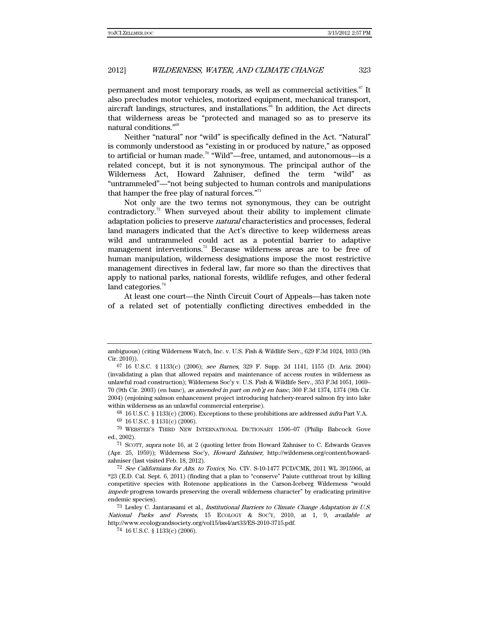permanent and most temporary roads, as well as commercial activities. $67$  It also precludes motor vehicles, motorized equipment, mechanical transport, aircraft landings, structures, and installations.<sup>68</sup> In addition, the Act directs that wilderness areas be "protected and managed so as to preserve its natural conditions."69

Neither "natural" nor "wild" is specifically defined in the Act. "Natural" is commonly understood as "existing in or produced by nature," as opposed to artificial or human made.<sup>70</sup> "Wild"—free, untamed, and autonomous—is a related concept, but it is not synonymous. The principal author of the Wilderness Act, Howard Zahniser, defined the term "wild" as "untrammeled"—"not being subjected to human controls and manipulations that hamper the free play of natural forces." $71$ 

Not only are the two terms not synonymous, they can be outright contradictory.<sup>72</sup> When surveyed about their ability to implement climate adaptation policies to preserve natural characteristics and processes, federal land managers indicated that the Act's directive to keep wilderness areas wild and untrammeled could act as a potential barrier to adaptive management interventions. $^{73}$  Because wilderness areas are to be free of human manipulation, wilderness designations impose the most restrictive management directives in federal law, far more so than the directives that apply to national parks, national forests, wildlife refuges, and other federal land categories. $74$ 

At least one court—the Ninth Circuit Court of Appeals—has taken note of a related set of potentially conflicting directives embedded in the

 $68\,$  16 U.S.C. § 1133(c) (2006). Exceptions to these prohibitions are addressed *infra* Part V.A.

ambiguous) (citing Wilderness Watch, Inc. v. U.S. Fish & Wildlife Serv., 629 F.3d 1024, 1033 (9th Cir. 2010)).

 $67$  16 U.S.C. § 1133(c) (2006); see Barnes, 329 F. Supp. 2d 1141, 1155 (D. Ariz. 2004) (invalidating a plan that allowed repairs and maintenance of access routes in wilderness as unlawful road construction); Wilderness Soc'y v. U.S. Fish & Wildlife Serv., 353 F.3d 1051, 1069– 70 (9th Cir. 2003) (en banc), as amended in part on reh'g en banc, 360 F.3d 1374, 1374 (9th Cir. 2004) (enjoining salmon enhancement project introducing hatchery-reared salmon fry into lake within wilderness as an unlawful commercial enterprise).

<sup>69 16</sup> U.S.C. § 1131(c) (2006).

<sup>70</sup> WEBSTER'S THIRD NEW INTERNATIONAL DICTIONARY 1506–07 (Philip Babcock Gove ed., 2002).

<sup>71</sup> SCOTT, supra note 16, at 2 (quoting letter from Howard Zahniser to C. Edwards Graves (Apr. 25, 1959)); Wilderness Soc'y, Howard Zahniser, http://wilderness.org/content/howardzahniser (last visited Feb. 18, 2012).

<sup>72</sup> See Californians for Alts. to Toxics, No. CIV. S-10-1477 FCD/CMK, 2011 WL 3915966, at \*23 (E.D. Cal. Sept. 6, 2011) (finding that a plan to "conserve" Paiute cutthroat trout by killing competitive species with Rotenone applications in the Carson-Iceberg Wilderness "would impede progress towards preserving the overall wilderness character" by eradicating primitive endemic species).

 $^{73}$  Lesley C. Jantarasami et al., *Institutional Barriers to Climate Change Adaptation in U.S.* National Parks and Forests, 15 ECOLOGY & SOC'Y, 2010, at 1, 9, available at http://www.ecologyandsociety.org/vol15/iss4/art33/ES-2010-3715.pdf.

<sup>74 16</sup> U.S.C. § 1133(c) (2006).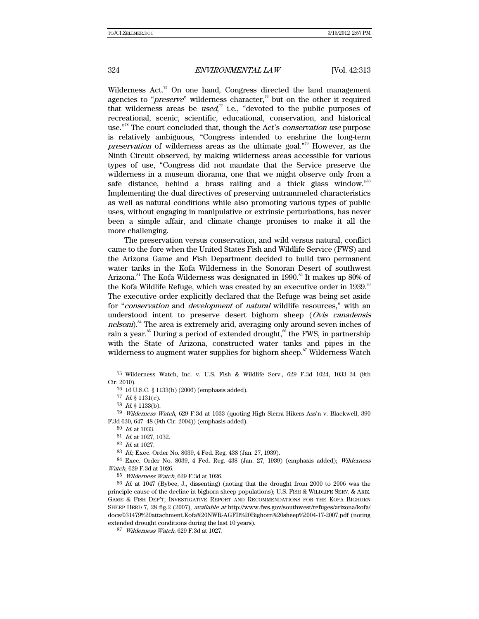Wilderness Act.<sup>75</sup> On one hand, Congress directed the land management agencies to "*preserve*" wilderness character,<sup>76</sup> but on the other it required that wilderness areas be *used*,<sup> $\pi$ </sup> i.e., "devoted to the public purposes of recreational, scenic, scientific, educational, conservation, and historical use."<sup>78</sup> The court concluded that, though the Act's *conservation use* purpose is relatively ambiguous, "Congress intended to enshrine the long-term *preservation* of wilderness areas as the ultimate goal. $n^{79}$  However, as the Ninth Circuit observed, by making wilderness areas accessible for various types of use, "Congress did not mandate that the Service preserve the wilderness in a museum diorama, one that we might observe only from a safe distance, behind a brass railing and a thick glass window."<sup>80</sup> Implementing the dual directives of preserving untrammeled characteristics as well as natural conditions while also promoting various types of public uses, without engaging in manipulative or extrinsic perturbations, has never been a simple affair, and climate change promises to make it all the more challenging.

The preservation versus conservation, and wild versus natural, conflict came to the fore when the United States Fish and Wildlife Service (FWS) and the Arizona Game and Fish Department decided to build two permanent water tanks in the Kofa Wilderness in the Sonoran Desert of southwest Arizona.<sup>81</sup> The Kofa Wilderness was designated in 1990.<sup>82</sup> It makes up 80% of the Kofa Wildlife Refuge, which was created by an executive order in 1939.<sup>83</sup> The executive order explicitly declared that the Refuge was being set aside for "conservation and *development* of *natural* wildlife resources," with an understood intent to preserve desert bighorn sheep ( $Ovis$  canadensis nelsoni).<sup>84</sup> The area is extremely arid, averaging only around seven inches of rain a year.<sup>85</sup> During a period of extended drought,<sup>86</sup> the FWS, in partnership with the State of Arizona, constructed water tanks and pipes in the wilderness to augment water supplies for bighorn sheep.<sup>87</sup> Wilderness Watch

<sup>75</sup> Wilderness Watch, Inc. v. U.S. Fish & Wildlife Serv., 629 F.3d 1024, 1033–34 (9th Cir. 2010).

<sup>76 16</sup> U.S.C. § 1133(b) (2006) (emphasis added).

<sup>77</sup> Id. § 1131(c).

<sup>78</sup> Id. § 1133(b).

<sup>79</sup> Wilderness Watch, 629 F.3d at 1033 (quoting High Sierra Hikers Ass'n v. Blackwell, 390 F.3d 630, 647–48 (9th Cir. 2004)) (emphasis added).

<sup>80</sup> Id. at 1033.

<sup>81</sup> Id. at 1027, 1032.

<sup>82</sup> Id. at 1027.

<sup>83</sup> Id.; Exec. Order No. 8039, 4 Fed. Reg. 438 (Jan. 27, 1939).

 $84$  Exec. Order No. 8039, 4 Fed. Reg. 438 (Jan. 27, 1939) (emphasis added); Wilderness Watch, 629 F.3d at 1026.

<sup>85</sup> Wilderness Watch, 629 F.3d at 1026.

<sup>86</sup> Id. at 1047 (Bybee, J., dissenting) (noting that the drought from 2000 to 2006 was the principle cause of the decline in bighorn sheep populations); U.S. FISH & WILDLIFE SERV. & ARIZ. GAME & FISH DEP'T, INVESTIGATIVE REPORT AND RECOMMENDATIONS FOR THE KOFA BIGHORN SHEEP HERD 7, 28 fig.2 (2007), available at http://www.fws.gov/southwest/refuges/arizona/kofa/ docs/031479%20attachment.Kofa%20NWR-AGFD%20Bighorn%20sheep%2004-17-2007.pdf (noting extended drought conditions during the last 10 years).

<sup>87</sup> Wilderness Watch, 629 F.3d at 1027.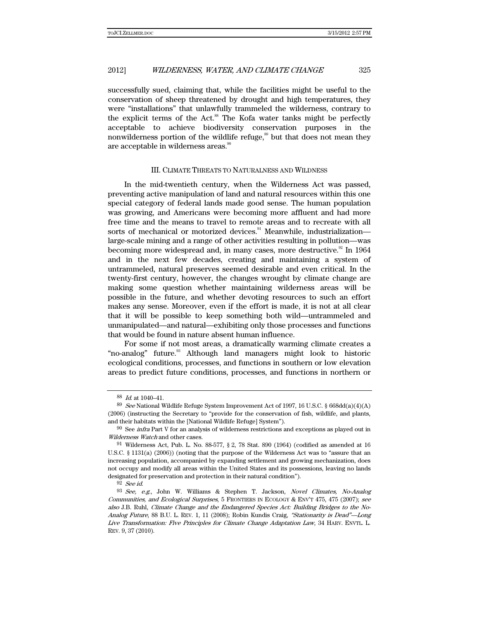successfully sued, claiming that, while the facilities might be useful to the conservation of sheep threatened by drought and high temperatures, they were "installations" that unlawfully trammeled the wilderness, contrary to the explicit terms of the Act.<sup>88</sup> The Kofa water tanks might be perfectly acceptable to achieve biodiversity conservation purposes in the nonwilderness portion of the wildlife refuge, $\frac{89}{3}$  but that does not mean they are acceptable in wilderness areas.<sup>90</sup>

#### III. CLIMATE THREATS TO NATURALNESS AND WILDNESS

In the mid-twentieth century, when the Wilderness Act was passed, preventing active manipulation of land and natural resources within this one special category of federal lands made good sense. The human population was growing, and Americans were becoming more affluent and had more free time and the means to travel to remote areas and to recreate with all sorts of mechanical or motorized devices.<sup>91</sup> Meanwhile, industrialization large-scale mining and a range of other activities resulting in pollution—was becoming more widespread and, in many cases, more destructive.<sup>92</sup> In 1964 and in the next few decades, creating and maintaining a system of untrammeled, natural preserves seemed desirable and even critical. In the twenty-first century, however, the changes wrought by climate change are making some question whether maintaining wilderness areas will be possible in the future, and whether devoting resources to such an effort makes any sense. Moreover, even if the effort is made, it is not at all clear that it will be possible to keep something both wild—untrammeled and unmanipulated—and natural—exhibiting only those processes and functions that would be found in nature absent human influence.

For some if not most areas, a dramatically warming climate creates a "no-analog" future.<sup>33</sup> Although land managers might look to historic ecological conditions, processes, and functions in southern or low elevation areas to predict future conditions, processes, and functions in northern or

92 See id.

<sup>88</sup> Id. at 1040–41.

<sup>&</sup>lt;sup>89</sup> See National Wildlife Refuge System Improvement Act of 1997, 16 U.S.C. § 668dd(a)(4)(A) (2006) (instructing the Secretary to "provide for the conservation of fish, wildlife, and plants, and their habitats within the [National Wildlife Refuge] System").

 $^{90}\,$  See  $\it intra$  Part V for an analysis of wilderness restrictions and exceptions as played out in Wilderness Watch and other cases.

<sup>&</sup>lt;sup>91</sup> Wilderness Act, Pub. L. No.  $88-577$ ,  $\S 2$ , 78 Stat.  $890$  (1964) (codified as amended at 16 U.S.C. § 1131(a) (2006)) (noting that the purpose of the Wilderness Act was to "assure that an increasing population, accompanied by expanding settlement and growing mechanization, does not occupy and modify all areas within the United States and its possessions, leaving no lands designated for preservation and protection in their natural condition").

<sup>93</sup> See, e.g., John W. Williams & Stephen T. Jackson, Novel Climates, No-Analog Communities, and Ecological Surprises, 5 FRONTIERS IN ECOLOGY & ENV'T 475, 475 (2007); see also J.B. Ruhl, Climate Change and the Endangered Species Act: Building Bridges to the No-Analog Future, 88 B.U. L. REV. 1, 11 (2008); Robin Kundis Craig, "Stationarity is Dead"—Long Live Transformation: Five Principles for Climate Change Adaptation Law, 34 HARV. ENVTL. L. REV. 9, 37 (2010).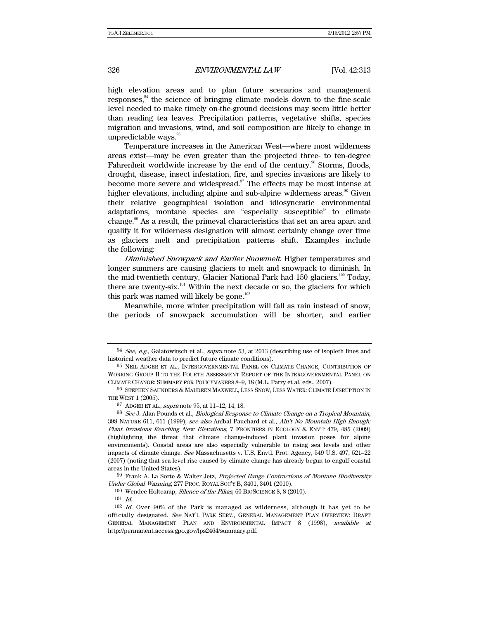high elevation areas and to plan future scenarios and management responses, $94$  the science of bringing climate models down to the fine-scale level needed to make timely on-the-ground decisions may seem little better than reading tea leaves. Precipitation patterns, vegetative shifts, species migration and invasions, wind, and soil composition are likely to change in unpredictable ways. $95$ 

Temperature increases in the American West—where most wilderness areas exist—may be even greater than the projected three- to ten-degree Fahrenheit worldwide increase by the end of the century.<sup>96</sup> Storms, floods, drought, disease, insect infestation, fire, and species invasions are likely to become more severe and widespread. $\mathbb{S}^{7}$  The effects may be most intense at higher elevations, including alpine and sub-alpine wilderness areas.<sup>98</sup> Given their relative geographical isolation and idiosyncratic environmental adaptations, montane species are "especially susceptible" to climate change.99 As a result, the primeval characteristics that set an area apart and qualify it for wilderness designation will almost certainly change over time as glaciers melt and precipitation patterns shift. Examples include the following:

Diminished Snowpack and Earlier Snowmelt. Higher temperatures and longer summers are causing glaciers to melt and snowpack to diminish. In the mid-twentieth century, Glacier National Park had 150 glaciers.<sup>100</sup> Today, there are twenty-six.<sup>101</sup> Within the next decade or so, the glaciers for which this park was named will likely be gone. $102$ 

Meanwhile, more winter precipitation will fall as rain instead of snow, the periods of snowpack accumulation will be shorter, and earlier

99 Frank A. La Sorte & Walter Jetz, Projected Range Contractions of Montane Biodiversity Under Global Warming, 277 PROC. ROYAL SOC'Y B, 3401, 3401 (2010).

 $94$  See, e.g., Galatowitsch et al., supra note 53, at 2013 (describing use of isopleth lines and historical weather data to predict future climate conditions).

<sup>95</sup> NEIL ADGER ET AL., INTERGOVERNMENTAL PANEL ON CLIMATE CHANGE, CONTRIBUTION OF WORKING GROUP II TO THE FOURTH ASSESSMENT REPORT OF THE INTERGOVERNMENTAL PANEL ON CLIMATE CHANGE: SUMMARY FOR POLICYMAKERS 8–9, 18 (M.L. Parry et al. eds., 2007).

<sup>96</sup> STEPHEN SAUNDERS & MAUREEN MAXWELL, LESS SNOW, LESS WATER: CLIMATE DISRUPTION IN THE WEST 1 (2005).

<sup>97</sup> ADGER ET AL., supra note 95, at 11–12, 14, 18.

<sup>98</sup> See J. Alan Pounds et al., *Biological Response to Climate Change on a Tropical Mountain*, 398 NATURE 611, 611 (1999); see also Aníbal Pauchard et al., Ain't No Mountain High Enough: Plant Invasions Reaching New Elevations, 7 FRONTIERS IN ECOLOGY & ENV'T 479, 485 (2009) (highlighting the threat that climate change-induced plant invasion poses for alpine environments). Coastal areas are also especially vulnerable to rising sea levels and other impacts of climate change. See Massachusetts v. U.S. Envtl. Prot. Agency, 549 U.S. 497, 521–22 (2007) (noting that sea-level rise caused by climate change has already begun to engulf coastal areas in the United States).

<sup>100</sup> Wendee Holtcamp, Silence of the Pikas, 60 BIOSCIENCE 8, 8 (2010).

 $^{101}\,$   $ld.$ 

 $102$  *Id.* Over 90% of the Park is managed as wilderness, although it has yet to be officially designated. See NAT'L PARK SERV., GENERAL MANAGEMENT PLAN OVERVIEW: DRAFT GENERAL MANAGEMENT PLAN AND ENVIRONMENTAL IMPACT 8 (1998), available at http://permanent.access.gpo.gov/lps2464/summary.pdf.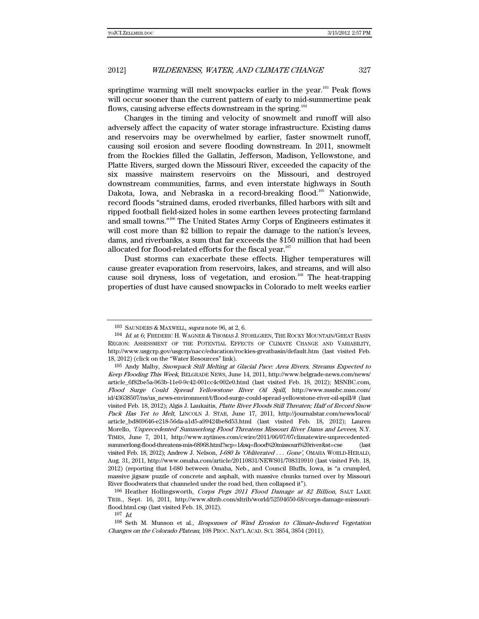springtime warming will melt snowpacks earlier in the year.<sup>103</sup> Peak flows will occur sooner than the current pattern of early to mid-summertime peak flows, causing adverse effects downstream in the spring.<sup>104</sup>

Changes in the timing and velocity of snowmelt and runoff will also adversely affect the capacity of water storage infrastructure. Existing dams and reservoirs may be overwhelmed by earlier, faster snowmelt runoff, causing soil erosion and severe flooding downstream. In 2011, snowmelt from the Rockies filled the Gallatin, Jefferson, Madison, Yellowstone, and Platte Rivers, surged down the Missouri River, exceeded the capacity of the six massive mainstem reservoirs on the Missouri, and destroyed downstream communities, farms, and even interstate highways in South Dakota, Iowa, and Nebraska in a record-breaking flood.<sup>105</sup> Nationwide, record floods "strained dams, eroded riverbanks, filled harbors with silt and ripped football field-sized holes in some earthen levees protecting farmland and small towns."106 The United States Army Corps of Engineers estimates it will cost more than \$2 billion to repair the damage to the nation's levees, dams, and riverbanks, a sum that far exceeds the \$150 million that had been allocated for flood-related efforts for the fiscal year.<sup>107</sup>

Dust storms can exacerbate these effects. Higher temperatures will cause greater evaporation from reservoirs, lakes, and streams, and will also cause soil dryness, loss of vegetation, and erosion.<sup>108</sup> The heat-trapping properties of dust have caused snowpacks in Colorado to melt weeks earlier

107 Id.

<sup>103</sup> SAUNDERS & MAXWELL, supra note 96, at 2, 6.

<sup>104</sup> Id. at 6; FREDERIC H. WAGNER & THOMAS J. STOHLGREN, THE ROCKY MOUNTAIN/GREAT BASIN REGION: ASSESSMENT OF THE POTENTIAL EFFECTS OF CLIMATE CHANGE AND VARIABILITY, http://www.usgcrp.gov/usgcrp/nacc/education/rockies-greatbasin/default.htm (last visited Feb. 18, 2012) (click on the "Water Resources" link).

<sup>105</sup> Andy Malby, Snowpack Still Melting at Glacial Pace: Area Rivers, Streams Expected to Keep Flooding This Week, BELGRADE NEWS, June 14, 2011, http://www.belgrade-news.com/news/ article\_6f82be5a-963b-11e0-9c42-001cc4c002e0.html (last visited Feb. 18, 2012); MSNBC.com, Flood Surge Could Spread Yellowstone River Oil Spill, http://www.msnbc.msn.com/ id/43638507/ns/us\_news-environment/t/flood-surge-could-spread-yellowstone-river-oil-spill/# (last visited Feb. 18, 2012); Algis J. Laukaitis, Platte River Floods Still Threaten; Half of Record Snow Pack Has Yet to Melt, LINCOLN J. STAR, June 17, 2011, http://journalstar.com/news/local/ article\_bd869646-e218-56da-a1d5-a99424be8d53.html (last visited Feb. 18, 2012); Lauren Morello, 'Unprecedented' Summerlong Flood Threatens Missouri River Dams and Levees, N.Y. TIMES, June 7, 2011, http://www.nytimes.com/cwire/2011/06/07/07climatewire-unprecedentedsummerlong-flood-threatens-mis-68968.html?scp=1&sq=flood%20missouri%20river&st=cse (last visited Feb. 18, 2012); Andrew J. Nelson, I-680 Is 'Obliterated . . . Gone', OMAHA WORLD-HERALD, Aug. 31, 2011, http://www.omaha.com/article/20110831/NEWS01/708319910 (last visited Feb. 18, 2012) (reporting that I-680 between Omaha, Neb., and Council Bluffs, Iowa, is "a crumpled, massive jigsaw puzzle of concrete and asphalt, with massive chunks turned over by Missouri River floodwaters that channeled under the road bed, then collapsed it").

<sup>106</sup> Heather Hollingsworth, Corps Pegs 2011 Flood Damage at \$2 Billion, SALT LAKE TRIB., Sept. 16, 2011, http://www.sltrib.com/sltrib/world/52594650-68/corps-damage-missouriflood.html.csp (last visited Feb. 18, 2012).

<sup>108</sup> Seth M. Munson et al., Responses of Wind Erosion to Climate-Induced Vegetation Changes on the Colorado Plateau, 108 PROC. NAT'L ACAD. SCI. 3854, 3854 (2011).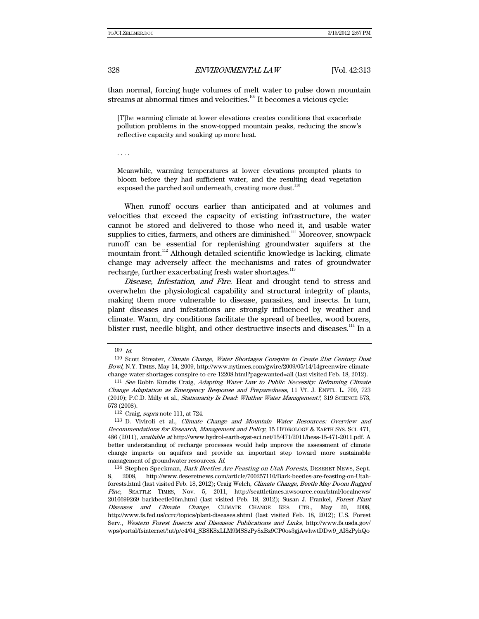than normal, forcing huge volumes of melt water to pulse down mountain streams at abnormal times and velocities. $109$  It becomes a vicious cycle:

[T]he warming climate at lower elevations creates conditions that exacerbate pollution problems in the snow-topped mountain peaks, reducing the snow's reflective capacity and soaking up more heat.

. . . .

Meanwhile, warming temperatures at lower elevations prompted plants to bloom before they had sufficient water, and the resulting dead vegetation exposed the parched soil underneath, creating more dust.<sup>110</sup>

When runoff occurs earlier than anticipated and at volumes and velocities that exceed the capacity of existing infrastructure, the water cannot be stored and delivered to those who need it, and usable water supplies to cities, farmers, and others are diminished.<sup>111</sup> Moreover, snowpack runoff can be essential for replenishing groundwater aquifers at the mountain front.<sup>112</sup> Although detailed scientific knowledge is lacking, climate change may adversely affect the mechanisms and rates of groundwater recharge, further exacerbating fresh water shortages.<sup>113</sup>

Disease, Infestation, and Fire. Heat and drought tend to stress and overwhelm the physiological capability and structural integrity of plants, making them more vulnerable to disease, parasites, and insects. In turn, plant diseases and infestations are strongly influenced by weather and climate. Warm, dry conditions facilitate the spread of beetles, wood borers, blister rust, needle blight, and other destructive insects and diseases.<sup>114</sup> In a

112 Craig, supra note 111, at 724.

 $109\;$   $\emph{Id.}$ 

<sup>110</sup> Scott Streater, Climate Change, Water Shortages Conspire to Create 21st Century Dust Bowl, N.Y. TIMES, May 14, 2009, http://www.nytimes.com/gwire/2009/05/14/14greenwire-climatechange-water-shortages-conspire-to-cre-12208.html?pagewanted=all (last visited Feb. 18, 2012).

<sup>111</sup> See Robin Kundis Craig, Adapting Water Law to Public Necessity: Reframing Climate Change Adaptation as Emergency Response and Preparedness, 11 VT. J. ENVTL. L. 709, 723 (2010); P.C.D. Milly et al., Stationarity Is Dead: Whither Water Management?, 319 SCIENCE 573, 573 (2008).

<sup>113</sup> D. Viviroli et al., Climate Change and Mountain Water Resources: Overview and Recommendations for Research, Management and Policy, 15 HYDROLOGY & EARTH SYS. SCI. 471, 486 (2011), available at http://www.hydrol-earth-syst-sci.net/15/471/2011/hess-15-471-2011.pdf. A better understanding of recharge processes would help improve the assessment of climate change impacts on aquifers and provide an important step toward more sustainable management of groundwater resources. Id.

<sup>114</sup> Stephen Speckman, Bark Beetles Are Feasting on Utah Forests, DESERET NEWS, Sept. 8, 2008, http://www.deseretnews.com/article/700257110/Bark-beetles-are-feasting-on-Utahforests.html (last visited Feb. 18, 2012); Craig Welch, Climate Change, Beetle May Doom Rugged Pine, SEATTLE TIMES, Nov. 5, 2011, http://seattletimes.nwsource.com/html/localnews/ 2016699269\_barkbeetle06m.html (last visited Feb. 18, 2012); Susan J. Frankel, Forest Plant Diseases and Climate Change, CLIMATE CHANGE RES. CTR., May 20, 2008, http://www.fs.fed.us/ccrc/topics/plant-diseases.shtml (last visited Feb. 18, 2012); U.S. Forest Serv., Western Forest Insects and Diseases: Publications and Links, http://www.fs.usda.gov/ wps/portal/fsinternet/!ut/p/c4/04\_SB8K8xLLM9MSSzPy8xBz9CP0os3gjAwhwtDDw9\_AI8zPyhQo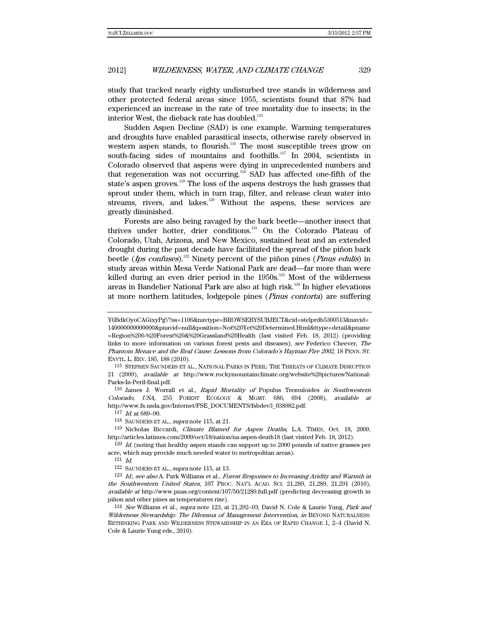study that tracked nearly eighty undisturbed tree stands in wilderness and other protected federal areas since 1955, scientists found that 87% had experienced an increase in the rate of tree mortality due to insects; in the interior West, the dieback rate has doubled.<sup>115</sup>

Sudden Aspen Decline (SAD) is one example. Warming temperatures and droughts have enabled parasitical insects, otherwise rarely observed in western aspen stands, to flourish.<sup>116</sup> The most susceptible trees grow on south-facing sides of mountains and foothills.<sup>117</sup> In 2004, scientists in Colorado observed that aspens were dying in unprecedented numbers and that regeneration was not occurring.<sup>118</sup> SAD has affected one-fifth of the state's aspen groves.<sup>119</sup> The loss of the aspens destroys the lush grasses that sprout under them, which in turn trap, filter, and release clean water into streams, rivers, and lakes.<sup>120</sup> Without the aspens, these services are greatly diminished.

Forests are also being ravaged by the bark beetle—another insect that thrives under hotter, drier conditions.<sup>121</sup> On the Colorado Plateau of Colorado, Utah, Arizona, and New Mexico, sustained heat and an extended drought during the past decade have facilitated the spread of the piñon bark beetle (Ips confuses).<sup>122</sup> Ninety percent of the piñon pines (*Pinus edulis*) in study areas within Mesa Verde National Park are dead—far more than were killed during an even drier period in the  $1950s$ .<sup>123</sup> Most of the wilderness areas in Bandelier National Park are also at high risk.<sup>124</sup> In higher elevations at more northern latitudes, lodgepole pines (Pinus contorta) are suffering

115 STEPHEN SAUNDERS ET AL., NATIONAL PARKS IN PERIL: THE THREATS OF CLIMATE DISRUPTION 21 (2009), available at http://www.rockymountainclimate.org/website%20pictures/National-Parks-In-Peril-final.pdf.

116 James J. Worrall et al., Rapid Mortality of Populus Tremuloides in Southwestern Colorado, USA, 255 FOREST ECOLOGY & MGMT. 686, 694 (2008), available at http://www.fs.usda.gov/Internet/FSE\_DOCUMENTS/fsbdev3\_038982.pdf.

117 Id. at 689–90.

119 Nicholas Riccardi, Climate Blamed for Aspen Deaths, L.A. TIMES, Oct. 18, 2009, http://articles.latimes.com/2009/oct/18/nation/na-aspen-death18 (last visited Feb. 18, 2012).

<sup>120</sup> Id. (noting that healthy aspen stands can support up to 2000 pounds of native grasses per acre, which may provide much needed water to metropolitan areas).

 $121$  *Id.* 

123 Id.; see also A. Park Williams et al., Forest Responses to Increasing Aridity and Warmth in the Southwestern United States, 107 PROC. NAT'L ACAD. SCI. 21,289, 21,289, 21,291 (2010), available at http://www.pnas.org/content/107/50/21289.full.pdf (predicting decreasing growth in piñon and other pines as temperatures rise).

 $124$  See Williams et al., supra note 123, at 21,292–93; David N. Cole & Laurie Yung, Park and Wilderness Stewardship: The Dilemma of Management Intervention, in BEYOND NATURALNESS: RETHINKING PARK AND WILDERNESS STEWARDSHIP IN AN ERA OF RAPID CHANGE 1, 2–4 (David N. Cole & Laurie Yung eds., 2010).

Y6BdkOyoCAGixyPg!/?ss=1106&navtype=BROWSEBYSUBJECT&cid=stelprdb5300513&navid= 140000000000000&pnavid=null&position=Not%20Yet%20Determined.Html&ttype=detail&pname =Region%206-%20Forest%20&%20Grassland%20Health (last visited Feb. 18, 2012) (providing links to more information on various forest pests and diseases); see Federico Cheever, The Phantom Menace and the Real Cause: Lessons from Colorado's Hayman Fire 2002, 18 PENN. ST. ENVTL. L. REV. 185, 188 (2010).

<sup>118</sup> SAUNDERS ET AL., supra note 115, at 21.

<sup>122</sup> SAUNDERS ET AL., supra note 115, at 13.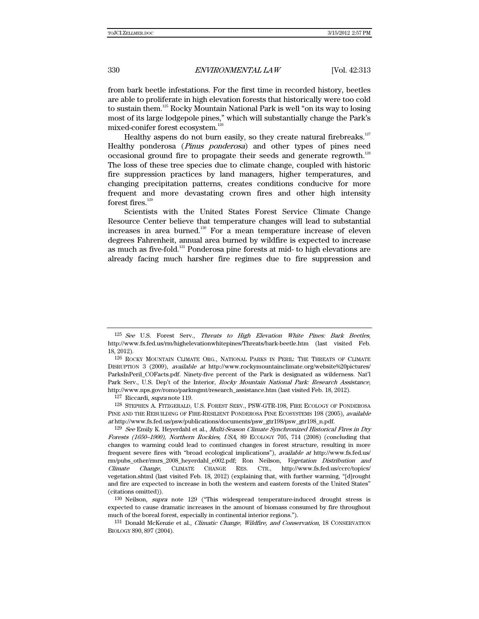from bark beetle infestations. For the first time in recorded history, beetles are able to proliferate in high elevation forests that historically were too cold to sustain them.<sup>125</sup> Rocky Mountain National Park is well "on its way to losing most of its large lodgepole pines," which will substantially change the Park's mixed-conifer forest ecosystem.<sup>126</sup>

Healthy aspens do not burn easily, so they create natural firebreaks.<sup>127</sup> Healthy ponderosa (Pinus ponderosa) and other types of pines need occasional ground fire to propagate their seeds and generate regrowth.<sup>128</sup> The loss of these tree species due to climate change, coupled with historic fire suppression practices by land managers, higher temperatures, and changing precipitation patterns, creates conditions conducive for more frequent and more devastating crown fires and other high intensity forest fires. $^{129}$ 

Scientists with the United States Forest Service Climate Change Resource Center believe that temperature changes will lead to substantial increases in area burned.<sup>130</sup> For a mean temperature increase of eleven degrees Fahrenheit, annual area burned by wildfire is expected to increase as much as five-fold.<sup>131</sup> Ponderosa pine forests at mid- to high elevations are already facing much harsher fire regimes due to fire suppression and

127 Riccardi, supra note 119.

128 STEPHEN A. FITZGERALD, U.S. FOREST SERV., PSW-GTR-198, FIRE ECOLOGY OF PONDEROSA PINE AND THE REBUILDING OF FIRE-RESILIENT PONDEROSA PINE ECOSYSTEMS 198 (2005), available at http://www.fs.fed.us/psw/publications/documents/psw\_gtr198/psw\_gtr198\_n.pdf.

<sup>129</sup> See Emily K. Heyerdahl et al., *Multi-Season Climate Synchronized Historical Fires in Dry* Forests (1650–1900), Northern Rockies, USA, 89 ECOLOGY 705, 714 (2008) (concluding that changes to warming could lead to continued changes in forest structure, resulting in more frequent severe fires with "broad ecological implications"), available at http://www.fs.fed.us/ rm/pubs\_other/rmrs\_2008\_heyerdahl\_e002.pdf; Ron Neilson, Vegetation Distribution and Climate Change, CLIMATE CHANGE RES. CTR., http://www.fs.fed.us/ccrc/topics/ vegetation.shtml (last visited Feb. 18, 2012) (explaining that, with further warming, "[d]rought and fire are expected to increase in both the western and eastern forests of the United States" (citations omitted)).

130 Neilson, supra note 129 ("This widespread temperature-induced drought stress is expected to cause dramatic increases in the amount of biomass consumed by fire throughout much of the boreal forest, especially in continental interior regions.").

131 Donald McKenzie et al., Climatic Change, Wildfire, and Conservation, 18 CONSERVATION BIOLOGY 890, 897 (2004).

<sup>125</sup> See U.S. Forest Serv., Threats to High Elevation White Pines: Bark Beetles, http://www.fs.fed.us/rm/highelevationwhitepines/Threats/bark-beetle.htm (last visited Feb. 18, 2012).

<sup>126</sup> ROCKY MOUNTAIN CLIMATE ORG., NATIONAL PARKS IN PERIL: THE THREATS OF CLIMATE DISRUPTION 3 (2009), available at http://www.rockymountainclimate.org/website%20pictures/ ParksInPeril\_COFacts.pdf. Ninety-five percent of the Park is designated as wilderness. Nat'l Park Serv., U.S. Dep't of the Interior, Rocky Mountain National Park: Research Assistance, http://www.nps.gov/romo/parkmgmt/research\_assistance.htm (last visited Feb. 18, 2012).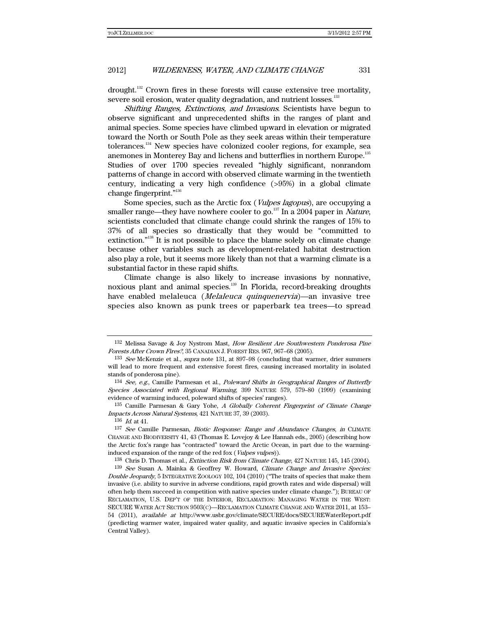drought.132 Crown fires in these forests will cause extensive tree mortality, severe soil erosion, water quality degradation, and nutrient losses.<sup>133</sup>

Shifting Ranges, Extinctions, and Invasions. Scientists have begun to observe significant and unprecedented shifts in the ranges of plant and animal species. Some species have climbed upward in elevation or migrated toward the North or South Pole as they seek areas within their temperature tolerances.134 New species have colonized cooler regions, for example, sea anemones in Monterey Bay and lichens and butterflies in northern Europe.<sup>135</sup> Studies of over 1700 species revealed "highly significant, nonrandom patterns of change in accord with observed climate warming in the twentieth century, indicating a very high confidence (>95%) in a global climate change fingerprint."<sup>136</sup>

Some species, such as the Arctic fox (Vulpes lagopus), are occupying a smaller range—they have nowhere cooler to go. $^{137}$  In a 2004 paper in Nature, scientists concluded that climate change could shrink the ranges of 15% to 37% of all species so drastically that they would be "committed to extinction."138 It is not possible to place the blame solely on climate change because other variables such as development-related habitat destruction also play a role, but it seems more likely than not that a warming climate is a substantial factor in these rapid shifts.

Climate change is also likely to increase invasions by nonnative, noxious plant and animal species.<sup>139</sup> In Florida, record-breaking droughts have enabled melaleuca (Melaleuca quinquenervia)—an invasive tree species also known as punk trees or paperbark tea trees—to spread

136 Id. at 41.

<sup>132</sup> Melissa Savage & Joy Nystrom Mast, How Resilient Are Southwestern Ponderosa Pine Forests After Crown Fires?, 35 CANADIAN J. FOREST RES. 967, 967–68 (2005).

<sup>&</sup>lt;sup>133</sup> See McKenzie et al., supra note 131, at 897–98 (concluding that warmer, drier summers will lead to more frequent and extensive forest fires, causing increased mortality in isolated stands of ponderosa pine).

<sup>134</sup> See, e.g., Camille Parmesan et al., Poleward Shifts in Geographical Ranges of Butterfly Species Associated with Regional Warming, 399 NATURE 579, 579–80 (1999) (examining evidence of warming induced, poleward shifts of species' ranges).

 $135$  Camille Parmesan & Gary Yohe, A Globally Coherent Fingerprint of Climate Change Impacts Across Natural Systems, 421 NATURE 37, 39 (2003).

<sup>137</sup> See Camille Parmesan, Biotic Response: Range and Abundance Changes, in CLIMATE CHANGE AND BIODIVERSITY 41, 43 (Thomas E. Lovejoy & Lee Hannah eds., 2005) (describing how the Arctic fox's range has "contracted" toward the Arctic Ocean, in part due to the warminginduced expansion of the range of the red fox (*Vulpes vulpes*)).

<sup>&</sup>lt;sup>138</sup> Chris D. Thomas et al., *Extinction Risk from Climate Change*, 427 NATURE 145, 145 (2004).

<sup>139</sup> See Susan A. Mainka & Geoffrey W. Howard, Climate Change and Invasive Species: Double Jeopardy, 5 INTEGRATIVE ZOOLOGY 102, 104 (2010) ("The traits of species that make them invasive (i.e. ability to survive in adverse conditions, rapid growth rates and wide dispersal) will often help them succeed in competition with native species under climate change."); BUREAU OF RECLAMATION, U.S. DEP'T OF THE INTERIOR, RECLAMATION: MANAGING WATER IN THE WEST: SECURE WATER ACT SECTION 9503(C)—RECLAMATION CLIMATE CHANGE AND WATER 2011, at 153– 54 (2011), available at http://www.usbr.gov/climate/SECURE/docs/SECUREWaterReport.pdf (predicting warmer water, impaired water quality, and aquatic invasive species in California's Central Valley).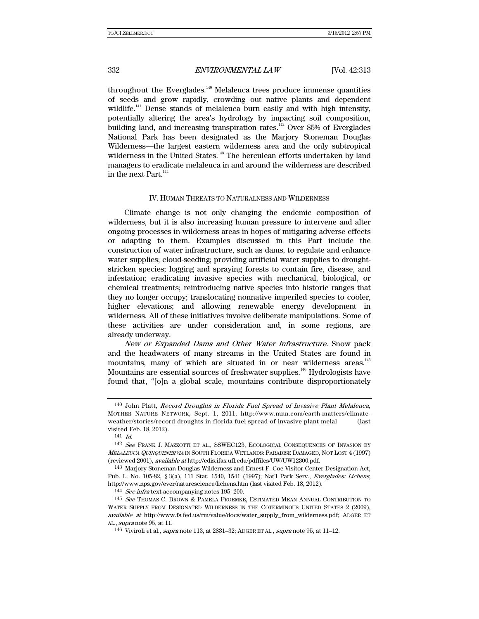throughout the Everglades. $^{140}$  Melaleuca trees produce immense quantities of seeds and grow rapidly, crowding out native plants and dependent wildlife.<sup>141</sup> Dense stands of melaleuca burn easily and with high intensity, potentially altering the area's hydrology by impacting soil composition, building land, and increasing transpiration rates. $142$  Over 85% of Everglades National Park has been designated as the Marjory Stoneman Douglas Wilderness—the largest eastern wilderness area and the only subtropical wilderness in the United States.<sup>143</sup> The herculean efforts undertaken by land managers to eradicate melaleuca in and around the wilderness are described in the next Part. $^{\rm 144}$ 

#### IV. HUMAN THREATS TO NATURALNESS AND WILDERNESS

Climate change is not only changing the endemic composition of wilderness, but it is also increasing human pressure to intervene and alter ongoing processes in wilderness areas in hopes of mitigating adverse effects or adapting to them. Examples discussed in this Part include the construction of water infrastructure, such as dams, to regulate and enhance water supplies; cloud-seeding; providing artificial water supplies to droughtstricken species; logging and spraying forests to contain fire, disease, and infestation; eradicating invasive species with mechanical, biological, or chemical treatments; reintroducing native species into historic ranges that they no longer occupy; translocating nonnative imperiled species to cooler, higher elevations; and allowing renewable energy development in wilderness. All of these initiatives involve deliberate manipulations. Some of these activities are under consideration and, in some regions, are already underway.

New or Expanded Dams and Other Water Infrastructure. Snow pack and the headwaters of many streams in the United States are found in mountains, many of which are situated in or near wilderness areas.<sup>145</sup> Mountains are essential sources of freshwater supplies.<sup>146</sup> Hydrologists have found that, "[o]n a global scale, mountains contribute disproportionately

143 Marjory Stoneman Douglas Wilderness and Ernest F. Coe Visitor Center Designation Act, Pub. L. No. 105-82, § 3(a), 111 Stat. 1540, 1541 (1997); Nat'l Park Serv., Everglades: Lichens, http://www.nps.gov/ever/naturescience/lichens.htm (last visited Feb. 18, 2012).

144 See infra text accompanying notes 195–200.

<sup>140</sup> John Platt, Record Droughts in Florida Fuel Spread of Invasive Plant Melaleuca, MOTHER NATURE NETWORK, Sept. 1, 2011, http://www.mnn.com/earth-matters/climateweather/stories/record-droughts-in-florida-fuel-spread-of-invasive-plant-melal (last visited Feb. 18, 2012).

 $141$  *Id.* 

<sup>142</sup> See FRANK J. MAZZOTTI ET AL., SSWEC123, ECOLOGICAL CONSEQUENCES OF INVASION BY <sup>M</sup>ELALEUCA QUINQUENERVIA IN SOUTH FLORIDA WETLANDS: PARADISE DAMAGED, NOT LOST 4 (1997) (reviewed 2001), available at http://edis.ifas.ufl.edu/pdffiles/UW/UW12300.pdf.

<sup>145</sup> See THOMAS C. BROWN & PAMELA FROEMKE, ESTIMATED MEAN ANNUAL CONTRIBUTION TO WATER SUPPLY FROM DESIGNATED WILDERNESS IN THE COTERMINOUS UNITED STATES 2 (2009), available at http://www.fs.fed.us/rm/value/docs/water\_supply\_from\_wilderness.pdf; ADGER ET AL., supra note 95, at 11.

<sup>&</sup>lt;sup>146</sup> Viviroli et al., *supra* note 113, at 2831-32; ADGER ET AL., *supra* note 95, at 11-12.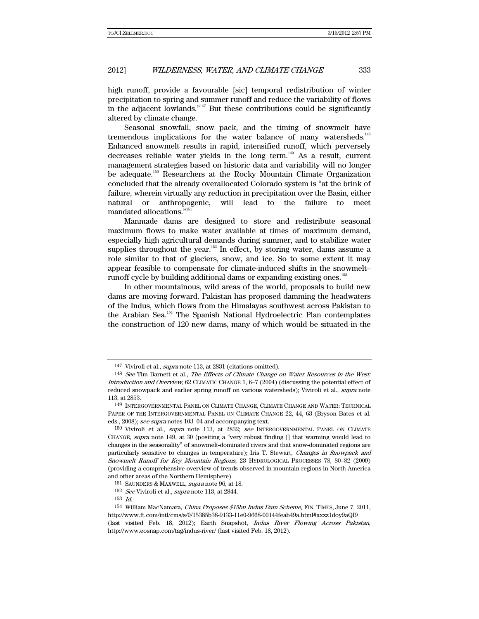high runoff, provide a favourable [sic] temporal redistribution of winter precipitation to spring and summer runoff and reduce the variability of flows in the adjacent lowlands. $147$  But these contributions could be significantly altered by climate change.

Seasonal snowfall, snow pack, and the timing of snowmelt have tremendous implications for the water balance of many watersheds.<sup>148</sup> Enhanced snowmelt results in rapid, intensified runoff, which perversely decreases reliable water yields in the long term.<sup>149</sup> As a result, current management strategies based on historic data and variability will no longer be adequate.<sup>150</sup> Researchers at the Rocky Mountain Climate Organization concluded that the already overallocated Colorado system is "at the brink of failure, wherein virtually any reduction in precipitation over the Basin, either natural or anthropogenic, will lead to the failure to meet mandated allocations."151

Manmade dams are designed to store and redistribute seasonal maximum flows to make water available at times of maximum demand, especially high agricultural demands during summer, and to stabilize water supplies throughout the year.<sup>152</sup> In effect, by storing water, dams assume a role similar to that of glaciers, snow, and ice. So to some extent it may appear feasible to compensate for climate-induced shifts in the snowmelt– runoff cycle by building additional dams or expanding existing ones.<sup>153</sup>

In other mountainous, wild areas of the world, proposals to build new dams are moving forward. Pakistan has proposed damming the headwaters of the Indus, which flows from the Himalayas southwest across Pakistan to the Arabian Sea.154 The Spanish National Hydroelectric Plan contemplates the construction of 120 new dams, many of which would be situated in the

<sup>147</sup> Viviroli et al., supra note 113, at 2831 (citations omitted).

<sup>148</sup> See Tim Barnett et al., The Effects of Climate Change on Water Resources in the West: Introduction and Overview, 62 CLIMATIC CHANGE 1, 6–7 (2004) (discussing the potential effect of reduced snowpack and earlier spring runoff on various watersheds); Viviroli et al., supra note 113, at 2853.

<sup>149</sup> INTERGOVERNMENTAL PANEL ON CLIMATE CHANGE, CLIMATE CHANGE AND WATER: TECHNICAL PAPER OF THE INTERGOVERNMENTAL PANEL ON CLIMATE CHANGE 22, 44, 63 (Bryson Bates et al. eds., 2008); see supra notes 103-04 and accompanying text.

<sup>150</sup> Viviroli et al., *supra* note 113, at 2832; see INTERGOVERNMENTAL PANEL ON CLIMATE CHANGE, supra note 149, at 30 (positing a "very robust finding [] that warming would lead to changes in the seasonality" of snowmelt-dominated rivers and that snow-dominated regions are particularly sensitive to changes in temperature); Iris T. Stewart, Changes in Snowpack and Snowmelt Runoff for Key Mountain Regions, 23 HYDROLOGICAL PROCESSES 78, 80–82 (2009) (providing a comprehensive overview of trends observed in mountain regions in North America and other areas of the Northern Hemisphere).

<sup>&</sup>lt;sup>151</sup> SAUNDERS & MAXWELL, *supra* note 96, at 18.

<sup>&</sup>lt;sup>152</sup> *See* Viviroli et al., *supra* note 113, at 2844.<br><sup>153</sup> *Id.* 

<sup>&</sup>lt;sup>154</sup> William MacNamara, *China Proposes \$15bn Indus Dam Scheme*, FIN. TIMES, June 7, 2011, http://www.ft.com/intl/cms/s/0/15385b38-9133-11e0-9668-00144feab49a.html#axzz1doy9aQI9 (last visited Feb. 18, 2012); Earth Snapshot, Indus River Flowing Across Pakistan, http://www.eosnap.com/tag/indus-river/ (last visited Feb. 18, 2012).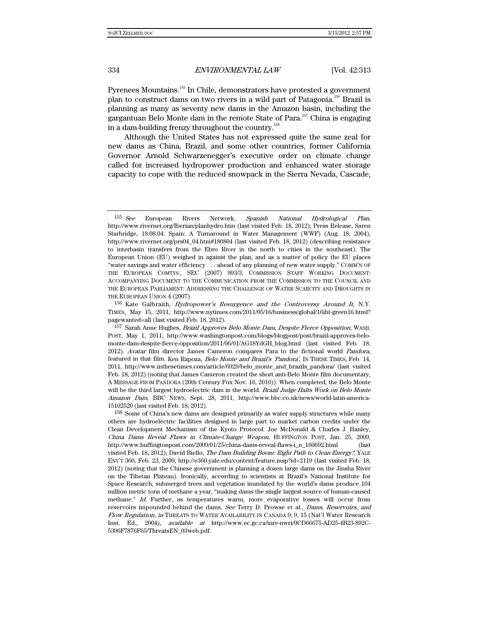Pyrenees Mountains.<sup>155</sup> In Chile, demonstrators have protested a government plan to construct dams on two rivers in a wild part of Patagonia.156 Brazil is planning as many as seventy new dams in the Amazon basin, including the gargantuan Belo Monte dam in the remote State of Para.157 China is engaging in a dam-building frenzy throughout the country.<sup>158</sup>

Although the United States has not expressed quite the same zeal for new dams as China, Brazil, and some other countries, former California Governor Arnold Schwarzenegger's executive order on climate change called for increased hydropower production and enhanced water storage capacity to cope with the reduced snowpack in the Sierra Nevada, Cascade,

156 Kate Galbraith, Hydropower's Resurgence and the Controversy Around It, N.Y. TIMES, May 15, 2011, http://www.nytimes.com/2011/05/16/business/global/16iht-green16.html? pagewanted=all (last visited Feb. 18, 2012).

<sup>155</sup> See European Rivers Network, Spanish National Hydrological Plan, http://www.rivernet.org/Iberian/planhydro.htm (last visited Feb. 18, 2012); Press Release, Saren Starbridge, 18.08.04: Spain: A Turnaround in Water Management (WWF) (Aug. 18, 2004), http://www.rivernet.org/prs04\_04.htm#180804 (last visited Feb. 18, 2012) (describing resistance to interbasin transfers from the Ebro River in the north to cities in the southeast). The European Union (EU) weighed in against the plan, and as a matter of policy the EU places "water savings and water efficiency . . . ahead of any planning of new water supply." COMM'N OF THE EUROPEAN COMTYS., SEC (2007) 993/3, COMMISSION STAFF WORKING DOCUMENT: ACCOMPANYING DOCUMENT TO THE COMMUNICATION FROM THE COMMISSION TO THE COUNCIL AND THE EUROPEAN PARLIAMENT: ADDRESSING THE CHALLENGE OF WATER SCARCITY AND DROUGHTS IN THE EUROPEAN UNION 4 (2007).

<sup>157</sup> Sarah Anne Hughes, Brazil Approves Belo Monte Dam, Despite Fierce Opposition, WASH. POST, May 1, 2011, http://www.washingtonpost.com/blogs/blogpost/post/brazil-approves-belomonte-dam-despite-fierce-opposition/2011/06/01/AG18YdGH\_blog.html (last visited Feb. 18, 2012). Avatar film director James Cameron compares Para to the fictional world Pandora, featured in that film. Ken Rapoza, Belo Monte and Brazil's 'Pandora', IN THESE TIMES, Feb. 14, 2011, http://www.inthesetimes.com/article/6929/belo\_monte\_and\_brazils\_pandora/ (last visited Feb. 18, 2012) (noting that James Cameron created the short anti-Belo Monte film documentary, A MESSAGE FROM PANDORA (20th Century Fox Nov. 16, 2010)). When completed, the Belo Monte will be the third largest hydroelectric dam in the world. Brazil Judge Halts Work on Belo Monte Amazon Dam, BBC NEWS, Sept. 28, 2011, http://www.bbc.co.uk/news/world-latin-america-15102520 (last visited Feb. 18, 2012).

<sup>158</sup> Some of China's new dams are designed primarily as water supply structures while many others are hydroelectric facilities designed in large part to market carbon credits under the Clean Development Mechanism of the Kyoto Protocol. Joe McDonald & Charles J. Hanley, China Dams Reveal Flaws in Climate-Change Weapon, HUFFINGTON POST, Jan. 25, 2009, http://www.huffingtonpost.com/2009/01/25/china-dams-reveal-flaws-i\_n\_160692.html (last visited Feb. 18, 2012); David Biello, The Dam Building Boom: Right Path to Clean Energy?, YALE ENV'T 360, Feb. 23, 2009, http://e360.yale.edu/content/feature.msp?id=2119 (last visited Feb. 18, 2012) (noting that the Chinese government is planning a dozen large dams on the Jinsha River on the Tibetan Plateau). Ironically, according to scientists at Brazil's National Institute for Space Research, submerged trees and vegetation inundated by the world's dams produce 104 million metric tons of methane a year, "making dams the single largest source of human-caused methane." Id. Further, as temperatures warm, more evaporative losses will occur from reservoirs impounded behind the dams. See Terry D. Prowse et al., Dams, Reservoirs, and Flow Regulation, in THREATS TO WATER AVAILABILITY IN CANADA 9, 9, 15 (Nat'l Water Research Inst. Ed., 2004), available at http://www.ec.gc.ca/inre-nwri/0CD66675-AD25-4B23-892C-5396F7876F65/ThreatsEN\_03web.pdf.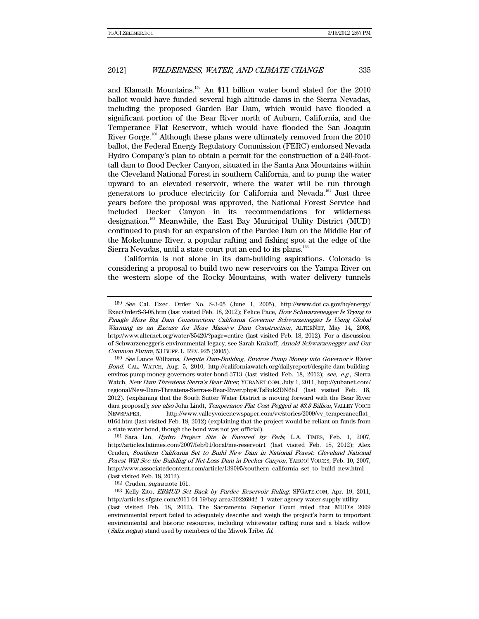and Klamath Mountains.159 An \$11 billion water bond slated for the 2010 ballot would have funded several high altitude dams in the Sierra Nevadas, including the proposed Garden Bar Dam, which would have flooded a significant portion of the Bear River north of Auburn, California, and the Temperance Flat Reservoir, which would have flooded the San Joaquin River Gorge.<sup>160</sup> Although these plans were ultimately removed from the 2010 ballot, the Federal Energy Regulatory Commission (FERC) endorsed Nevada Hydro Company's plan to obtain a permit for the construction of a 240-foottall dam to flood Decker Canyon, situated in the Santa Ana Mountains within the Cleveland National Forest in southern California, and to pump the water upward to an elevated reservoir, where the water will be run through generators to produce electricity for California and Nevada.<sup>161</sup> Just three years before the proposal was approved, the National Forest Service had included Decker Canyon in its recommendations for wilderness designation.162 Meanwhile, the East Bay Municipal Utility District (MUD) continued to push for an expansion of the Pardee Dam on the Middle Bar of the Mokelumne River, a popular rafting and fishing spot at the edge of the Sierra Nevadas, until a state court put an end to its plans.<sup>163</sup>

California is not alone in its dam-building aspirations. Colorado is considering a proposal to build two new reservoirs on the Yampa River on the western slope of the Rocky Mountains, with water delivery tunnels

162 Cruden, supra note 161.

163 Kelly Zito, EBMUD Set Back by Pardee Reservoir Ruling, SFGATE.COM, Apr. 19, 2011, http://articles.sfgate.com/2011-04-19/bay-area/30226942\_1\_water-agency-water-supply-utility (last visited Feb. 18, 2012). The Sacramento Superior Court ruled that MUD's 2009 environmental report failed to adequately describe and weigh the project's harm to important environmental and historic resources, including whitewater rafting runs and a black willow (Salix negra) stand used by members of the Miwok Tribe. Id.

<sup>159</sup> See Cal. Exec. Order No. S-3-05 (June 1, 2005), http://www.dot.ca.gov/hq/energy/ ExecOrderS-3-05.htm (last visited Feb. 18, 2012); Felice Pace, How Schwarzenegger Is Trying to Finagle More Big Dam Construction: California Governor Schwarzenegger Is Using Global Warming as an Excuse for More Massive Dam Construction, ALTERNET, May 14, 2008, http://www.alternet.org/water/85420/?page=entire (last visited Feb. 18, 2012). For a discussion of Schwarzenegger's environmental legacy, see Sarah Krakoff, Arnold Schwarzenegger and Our Common Future, 53 BUFF. L. REV. 925 (2005).

<sup>160</sup> See Lance Williams, Despite Dam-Building, Enviros Pump Money into Governor's Water Bond, CAL. WATCH, Aug. 5, 2010, http://californiawatch.org/dailyreport/despite-dam-buildingenviros-pump-money-governors-water-bond-3713 (last visited Feb. 18, 2012); see, e.g., Sierra Watch, New Dam Threatens Sierra's Bear River, YUBANET.COM, July 1, 2011, http://yubanet.com/ regional/New-Dam-Threatens-Sierra-s-Bear-River.php#.TsBuk2DN6bJ (last visited Feb. 18, 2012). (explaining that the South Sutter Water District is moving forward with the Bear River dam proposal); see also John Lindt, Temperance Flat Cost Pegged at \$3.3 Billion, VALLEY VOICE NEWSPAPER, http://www.valleyvoicenewspaper.com/vv/stories/2009/vv\_temperanceflat\_ 0164.htm (last visited Feb. 18, 2012) (explaining that the project would be reliant on funds from a state water bond, though the bond was not yet official).

<sup>161</sup> Sara Lin, Hydro Project Site Is Favored by Feds, L.A. TIMES, Feb. 1, 2007, http://articles.latimes.com/2007/feb/01/local/me-reservoir1 (last visited Feb. 18, 2012); Alex Cruden, Southern California Set to Build New Dam in National Forest: Cleveland National Forest Will See the Building of Net-Loss Dam in Decker Canyon, YAHOO! VOICES, Feb. 10, 2007, http://www.associatedcontent.com/article/139095/southern\_california\_set\_to\_build\_new.html (last visited Feb. 18, 2012).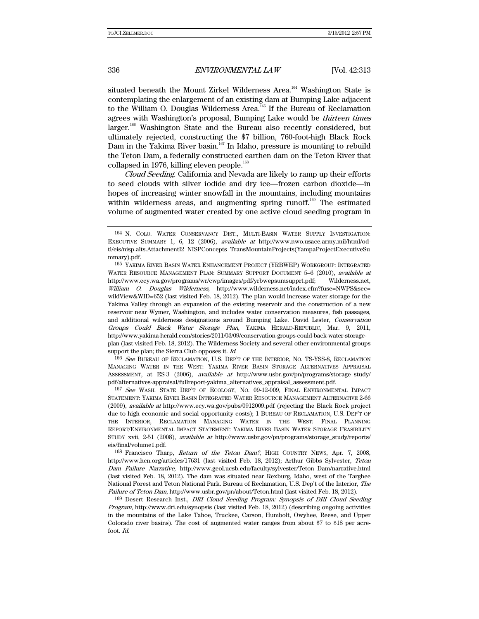situated beneath the Mount Zirkel Wilderness Area.<sup>164</sup> Washington State is contemplating the enlargement of an existing dam at Bumping Lake adjacent to the William O. Douglas Wilderness Area.<sup>165</sup> If the Bureau of Reclamation agrees with Washington's proposal, Bumping Lake would be thirteen times larger.<sup>166</sup> Washington State and the Bureau also recently considered, but ultimately rejected, constructing the \$7 billion, 760-foot-high Black Rock Dam in the Yakima River basin.<sup>167</sup> In Idaho, pressure is mounting to rebuild the Teton Dam, a federally constructed earthen dam on the Teton River that collapsed in 1976, killing eleven people.<sup>168</sup>

Cloud Seeding. California and Nevada are likely to ramp up their efforts to seed clouds with silver iodide and dry ice—frozen carbon dioxide—in hopes of increasing winter snowfall in the mountains, including mountains within wilderness areas, and augmenting spring runoff.<sup>169</sup> The estimated volume of augmented water created by one active cloud seeding program in

165 YAKIMA RIVER BASIN WATER ENHANCEMENT PROJECT (YRBWEP) WORKGROUP: INTEGRATED WATER RESOURCE MANAGEMENT PLAN: SUMMARY SUPPORT DOCUMENT 5-6 (2010), available at http://www.ecy.wa.gov/programs/wr/cwp/images/pdf/yrbwepsumsupprt.pdf; Wilderness.net, William O. Douglas Wilderness, http://www.wilderness.net/index.cfm?fuse=NWPS&sec= wildView&WID=652 (last visited Feb. 18, 2012). The plan would increase water storage for the Yakima Valley through an expansion of the existing reservoir and the construction of a new reservoir near Wymer, Washington, and includes water conservation measures, fish passages, and additional wilderness designations around Bumping Lake. David Lester, Conservation Groups Could Back Water Storage Plan, YAKIMA HERALD-REPUBLIC, Mar. 9, 2011, http://www.yakima-herald.com/stories/2011/03/09/conservation-groups-could-back-water-storageplan (last visited Feb. 18, 2012). The Wilderness Society and several other environmental groups support the plan; the Sierra Club opposes it. Id.

166 See BUREAU OF RECLAMATION, U.S. DEP'T OF THE INTERIOR, NO. TS-YSS-8, RECLAMATION MANAGING WATER IN THE WEST: YAKIMA RIVER BASIN STORAGE ALTERNATIVES APPRAISAL ASSESSMENT, at ES-3 (2006), available at http://www.usbr.gov/pn/programs/storage\_study/ pdf/alternatives-appraisal/fullreport-yakima\_alternatives\_appraisal\_assessment.pdf.

167 See WASH. STATE DEP'T OF ECOLOGY, NO. 09-12-009, FINAL ENVIRONMENTAL IMPACT STATEMENT: YAKIMA RIVER BASIN INTEGRATED WATER RESOURCE MANAGEMENT ALTERNATIVE 2-66 (2009), available at http://www.ecy.wa.gov/pubs/0912009.pdf (rejecting the Black Rock project due to high economic and social opportunity costs); 1 BUREAU OF RECLAMATION, U.S. DEP'T OF THE INTERIOR, RECLAMATION MANAGING WATER IN THE WEST: FINAL PLANNING REPORT/ENVIRONMENTAL IMPACT STATEMENT: YAKIMA RIVER BASIN WATER STORAGE FEASIBILITY STUDY xvii, 2-51 (2008), available at http://www.usbr.gov/pn/programs/storage\_study/reports/ eis/final/volume1.pdf.

168 Francisco Tharp, Return of the Teton Dam?, HIGH COUNTRY NEWS, Apr. 7, 2008, http://www.hcn.org/articles/17631 (last visited Feb. 18, 2012); Arthur Gibbs Sylvester, Teton Dam Failure Narrative, http://www.geol.ucsb.edu/faculty/sylvester/Teton\_Dam/narrative.html (last visited Feb. 18, 2012). The dam was situated near Rexburg, Idaho, west of the Targhee National Forest and Teton National Park. Bureau of Reclamation, U.S. Dep't of the Interior, The Failure of Teton Dam, http://www.usbr.gov/pn/about/Teton.html (last visited Feb. 18, 2012).

169 Desert Research Inst., DRI Cloud Seeding Program: Synopsis of DRI Cloud Seeding Program, http://www.dri.edu/synopsis (last visited Feb. 18, 2012) (describing ongoing activities in the mountains of the Lake Tahoe, Truckee, Carson, Humbolt, Owyhee, Reese, and Upper Colorado river basins). The cost of augmented water ranges from about \$7 to \$18 per acrefoot. Id.

<sup>164</sup> N. COLO. WATER CONSERVANCY DIST., MULTI-BASIN WATER SUPPLY INVESTIGATION: EXECUTIVE SUMMARY 1, 6, 12 (2006), available at http://www.nwo.usace.army.mil/html/odtl/eis/nisp.alts.AttachmentI2\_NISPConcepts\_TransMountainProjects(YampaProjectExecutiveSu mmary).pdf.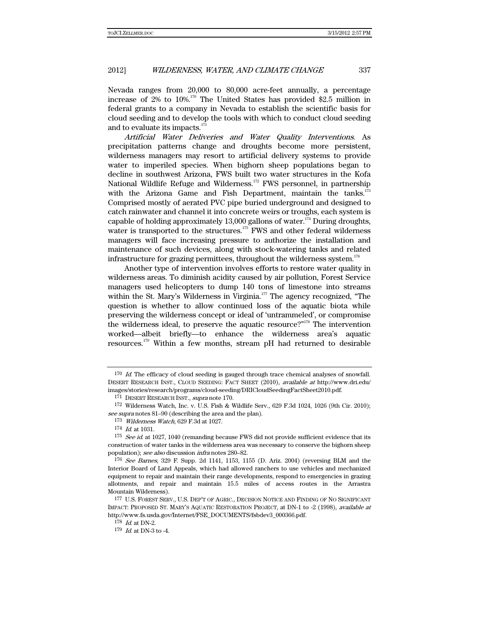Nevada ranges from 20,000 to 80,000 acre-feet annually, a percentage increase of 2% to 10%.170 The United States has provided \$2.5 million in federal grants to a company in Nevada to establish the scientific basis for cloud seeding and to develop the tools with which to conduct cloud seeding and to evaluate its impacts.<sup>171</sup>

Artificial Water Deliveries and Water Quality Interventions. As precipitation patterns change and droughts become more persistent, wilderness managers may resort to artificial delivery systems to provide water to imperiled species. When bighorn sheep populations began to decline in southwest Arizona, FWS built two water structures in the Kofa National Wildlife Refuge and Wilderness.<sup>172</sup> FWS personnel, in partnership with the Arizona Game and Fish Department, maintain the tanks. $173$ Comprised mostly of aerated PVC pipe buried underground and designed to catch rainwater and channel it into concrete weirs or troughs, each system is capable of holding approximately  $13,000$  gallons of water.<sup>174</sup> During droughts, water is transported to the structures.<sup>175</sup> FWS and other federal wilderness managers will face increasing pressure to authorize the installation and maintenance of such devices, along with stock-watering tanks and related infrastructure for grazing permittees, throughout the wilderness system. $176$ 

Another type of intervention involves efforts to restore water quality in wilderness areas. To diminish acidity caused by air pollution, Forest Service managers used helicopters to dump 140 tons of limestone into streams within the St. Mary's Wilderness in Virginia.<sup>177</sup> The agency recognized, "The question is whether to allow continued loss of the aquatic biota while preserving the wilderness concept or ideal of 'untrammeled', or compromise the wilderness ideal, to preserve the aquatic resource?"178 The intervention worked—albeit briefly—to enhance the wilderness area's aquatic resources.179 Within a few months, stream pH had returned to desirable

<sup>&</sup>lt;sup>170</sup> Id. The efficacy of cloud seeding is gauged through trace chemical analyses of snowfall. DESERT RESEARCH INST., CLOUD SEEDING: FACT SHEET (2010), available at http://www.dri.edu/ images/stories/research/programs/cloud-seeding/DRICloudSeedingFactSheet2010.pdf.

<sup>171</sup> DESERT RESEARCH INST., supra note 170.

<sup>172</sup> Wilderness Watch, Inc. v. U.S. Fish & Wildlife Serv., 629 F.3d 1024, 1026 (9th Cir. 2010); see supra notes 81–90 (describing the area and the plan).

<sup>173</sup> Wilderness Watch, 629 F.3d at 1027.

<sup>174</sup> Id. at 1031.

 $175$  See id. at 1027, 1040 (remanding because FWS did not provide sufficient evidence that its construction of water tanks in the wilderness area was necessary to conserve the bighorn sheep population); see also discussion infra notes 280–82.

 $176$  See Barnes, 329 F. Supp. 2d 1141, 1153, 1155 (D. Ariz. 2004) (reversing BLM and the Interior Board of Land Appeals, which had allowed ranchers to use vehicles and mechanized equipment to repair and maintain their range developments, respond to emergencies in grazing allotments, and repair and maintain 15.5 miles of access routes in the Arrastra Mountain Wilderness).

<sup>177</sup> U.S. FOREST SERV., U.S. DEP'T OF AGRIC., DECISION NOTICE AND FINDING OF NO SIGNIFICANT IMPACT: PROPOSED ST. MARY'S AQUATIC RESTORATION PROJECT, at DN-1 to -2 (1998), available at http://www.fs.usda.gov/Internet/FSE\_DOCUMENTS/fsbdev3\_000366.pdf.

 $178$  *Id.* at DN-2.

 $179$  *Id.* at DN-3 to -4.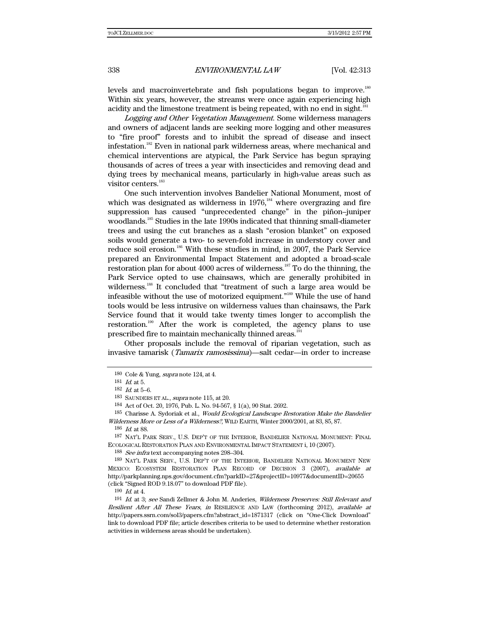levels and macroinvertebrate and fish populations began to improve.<sup>180</sup> Within six years, however, the streams were once again experiencing high acidity and the limestone treatment is being repeated, with no end in sight.<sup>181</sup>

Logging and Other Vegetation Management. Some wilderness managers and owners of adjacent lands are seeking more logging and other measures to "fire proof" forests and to inhibit the spread of disease and insect infestation.<sup>182</sup> Even in national park wilderness areas, where mechanical and chemical interventions are atypical, the Park Service has begun spraying thousands of acres of trees a year with insecticides and removing dead and dying trees by mechanical means, particularly in high-value areas such as visitor centers.<sup>183</sup>

One such intervention involves Bandelier National Monument, most of which was designated as wilderness in  $1976<sup>184</sup>$  where overgrazing and fire suppression has caused "unprecedented change" in the piñon–juniper woodlands.185 Studies in the late 1990s indicated that thinning small-diameter trees and using the cut branches as a slash "erosion blanket" on exposed soils would generate a two- to seven-fold increase in understory cover and reduce soil erosion.<sup>186</sup> With these studies in mind, in 2007, the Park Service prepared an Environmental Impact Statement and adopted a broad-scale restoration plan for about  $4000$  acres of wilderness.<sup>187</sup> To do the thinning, the Park Service opted to use chainsaws, which are generally prohibited in wilderness.<sup>188</sup> It concluded that "treatment of such a large area would be infeasible without the use of motorized equipment."189 While the use of hand tools would be less intrusive on wilderness values than chainsaws, the Park Service found that it would take twenty times longer to accomplish the restoration.190 After the work is completed, the agency plans to use prescribed fire to maintain mechanically thinned areas.<sup>191</sup>

Other proposals include the removal of riparian vegetation, such as invasive tamarisk (Tamarix ramosissima)—salt cedar—in order to increase

184 Act of Oct. 20, 1976, Pub. L. No. 94-567, § 1(a), 90 Stat. 2692.

<sup>185</sup> Charisse A. Sydoriak et al., *Would Ecological Landscape Restoration Make the Bandelier* Wilderness More or Less of a Wilderness?, WILD EARTH, Winter 2000/2001, at 83, 85, 87.

188 See infra text accompanying notes 298–304.

189 NAT'L PARK SERV., U.S. DEP'T OF THE INTERIOR, BANDELIER NATIONAL MONUMENT NEW MEXICO: ECOSYSTEM RESTORATION PLAN RECORD OF DECISION 3 (2007), available at http://parkplanning.nps.gov/document.cfm?parkID=27&projectID=10977&documentID=20655 (click "Signed ROD 9.18.07" to download PDF file).

 $190\;$   $\emph{Id.}$  at 4.

<sup>180</sup> Cole & Yung, supra note 124, at 4.

<sup>181</sup> Id. at 5.

 $182$  *Id.* at  $5-6$ .

<sup>183</sup> SAUNDERS ET AL., supra note 115, at 20.

<sup>186</sup> Id. at 88.

<sup>187</sup> NAT'L PARK SERV., U.S. DEP'T OF THE INTERIOR, BANDELIER NATIONAL MONUMENT: FINAL ECOLOGICAL RESTORATION PLAN AND ENVIRONMENTAL IMPACT STATEMENT i, 10 (2007).

<sup>191</sup> Id. at 3; see Sandi Zellmer & John M. Anderies, Wilderness Preserves: Still Relevant and Resilient After All These Years, in RESILIENCE AND LAW (forthcoming 2012), available at http://papers.ssrn.com/sol3/papers.cfm?abstract\_id=1871317 (click on "One-Click Download" link to download PDF file; article describes criteria to be used to determine whether restoration activities in wilderness areas should be undertaken).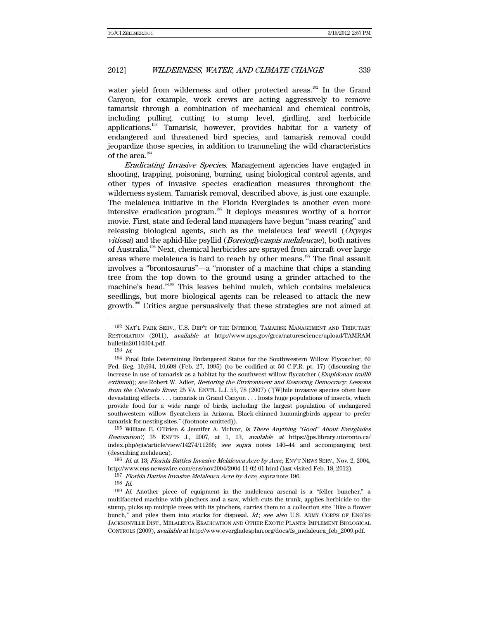water yield from wilderness and other protected areas.<sup>192</sup> In the Grand Canyon, for example, work crews are acting aggressively to remove tamarisk through a combination of mechanical and chemical controls, including pulling, cutting to stump level, girdling, and herbicide applications.193 Tamarisk, however, provides habitat for a variety of endangered and threatened bird species, and tamarisk removal could jeopardize those species, in addition to trammeling the wild characteristics of the area.<sup>194</sup>

Eradicating Invasive Species. Management agencies have engaged in shooting, trapping, poisoning, burning, using biological control agents, and other types of invasive species eradication measures throughout the wilderness system. Tamarisk removal, described above, is just one example. The melaleuca initiative in the Florida Everglades is another even more intensive eradication program.195 It deploys measures worthy of a horror movie. First, state and federal land managers have begun "mass rearing" and releasing biological agents, such as the melaleuca leaf weevil  $(Xx)$ vitiosa) and the aphid-like psyllid (Boreioglycaspis melaleucae), both natives of Australia.<sup>196</sup> Next, chemical herbicides are sprayed from aircraft over large areas where melaleuca is hard to reach by other means.<sup>197</sup> The final assault involves a "brontosaurus"—a "monster of a machine that chips a standing tree from the top down to the ground using a grinder attached to the machine's head."198 This leaves behind mulch, which contains melaleuca seedlings, but more biological agents can be released to attack the new growth.<sup>199</sup> Critics argue persuasively that these strategies are not aimed at

196 Id. at 13; Florida Battles Invasive Melaleuca Acre by Acre, ENV'T NEWS SERV., Nov. 2, 2004, http://www.ens-newswire.com/ens/nov2004/2004-11-02-01.html (last visited Feb. 18, 2012).

<sup>192</sup> NAT'L PARK SERV., U.S. DEP'T OF THE INTERIOR, TAMARISK MANAGEMENT AND TRIBUTARY RESTORATION (2011), available at http://www.nps.gov/grca/naturescience/upload/TAMRAM bulletin20110304.pdf.

<sup>193</sup> Id.

<sup>194</sup> Final Rule Determining Endangered Status for the Southwestern Willow Flycatcher, 60 Fed. Reg. 10,694, 10,698 (Feb. 27, 1995) (to be codified at 50 C.F.R. pt. 17) (discussing the increase in use of tamarisk as a habitat by the southwest willow flycatcher (Empidonax traillii) extimus)); see Robert W. Adler, Restoring the Environment and Restoring Democracy: Lessons from the Colorado River, 25 VA. ENVTL. L.J. 55, 78 (2007) ("[W]hile invasive species often have devastating effects, . . . tamarisk in Grand Canyon . . . hosts huge populations of insects, which provide food for a wide range of birds, including the largest population of endangered southwestern willow flycatchers in Arizona. Black-chinned hummingbirds appear to prefer tamarisk for nesting sites." (footnote omitted)).

 $195$  William E. O'Brien & Jennifer A. McIvor, Is There Anything "Good" About Everglades Restoration?, 35 ENV'TS J., 2007, at 1, 13, available at https://jps.library.utoronto.ca/ index.php/ejis/article/view/14274/11266; see supra notes 140–44 and accompanying text (describing melaleuca).

<sup>197</sup> Florida Battles Invasive Melaleuca Acre by Acre, supra note 196.

<sup>198</sup> Id.

<sup>199</sup> Id. Another piece of equipment in the maleleuca arsenal is a "feller buncher," a multifaceted machine with pinchers and a saw, which cuts the trunk, applies herbicide to the stump, picks up multiple trees with its pinchers, carries them to a collection site "like a flower bunch," and piles them into stacks for disposal. Id.; see also U.S. ARMY CORPS OF ENG'RS JACKSONVILLE DIST., MELALEUCA ERADICATION AND OTHER EXOTIC PLANTS: IMPLEMENT BIOLOGICAL CONTROLS (2009), available at http://www.evergladesplan.org/docs/fs\_melaleuca\_feb\_2009.pdf.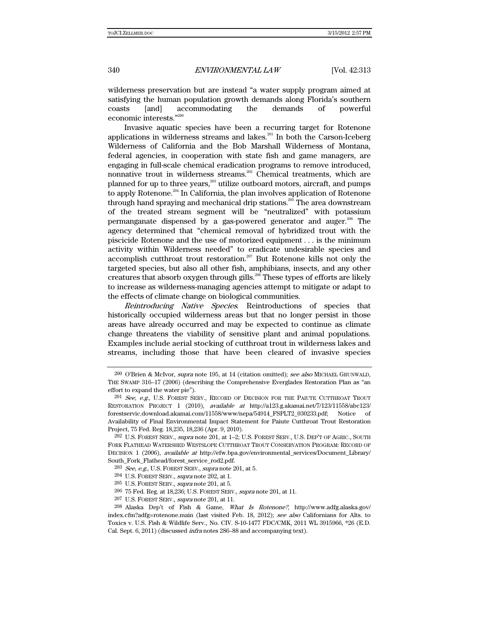wilderness preservation but are instead "a water supply program aimed at satisfying the human population growth demands along Florida's southern coasts [and] accommodating the demands of powerful economic interests."<sup>200</sup>

Invasive aquatic species have been a recurring target for Rotenone applications in wilderness streams and lakes.<sup>201</sup> In both the Carson-Iceberg Wilderness of California and the Bob Marshall Wilderness of Montana, federal agencies, in cooperation with state fish and game managers, are engaging in full-scale chemical eradication programs to remove introduced, nonnative trout in wilderness streams.<sup>202</sup> Chemical treatments, which are planned for up to three years,<sup>203</sup> utilize outboard motors, aircraft, and pumps to apply Rotenone.<sup>204</sup> In California, the plan involves application of Rotenone through hand spraying and mechanical drip stations.<sup>205</sup> The area downstream of the treated stream segment will be "neutralized" with potassium permanganate dispensed by a gas-powered generator and auger.<sup>206</sup> The agency determined that "chemical removal of hybridized trout with the piscicide Rotenone and the use of motorized equipment . . . is the minimum activity within Wilderness needed" to eradicate undesirable species and accomplish cutthroat trout restoration.<sup>207</sup> But Rotenone kills not only the targeted species, but also all other fish, amphibians, insects, and any other creatures that absorb oxygen through gills.<sup>208</sup> These types of efforts are likely to increase as wilderness-managing agencies attempt to mitigate or adapt to the effects of climate change on biological communities.

Reintroducing Native Species. Reintroductions of species that historically occupied wilderness areas but that no longer persist in those areas have already occurred and may be expected to continue as climate change threatens the viability of sensitive plant and animal populations. Examples include aerial stocking of cutthroat trout in wilderness lakes and streams, including those that have been cleared of invasive species

207 U.S. FOREST SERV., supra note 201, at 11.

<sup>&</sup>lt;sup>200</sup> O'Brien & McIvor, *supra* note 195, at 14 (citation omitted); see also MICHAEL GRUNWALD, THE SWAMP 316–17 (2006) (describing the Comprehensive Everglades Restoration Plan as "an effort to expand the water pie").

<sup>201</sup> See, e.g., U.S. FOREST SERV., RECORD OF DECISION FOR THE PAIUTE CUTTHROAT TROUT RESTORATION PROJECT 1 (2010), available at http://a123.g.akamai.net/7/123/11558/abc123/ forestservic.download.akamai.com/11558/www/nepa/54914\_FSPLT2\_030233.pdf; Notice of Availability of Final Environmental Impact Statement for Paiute Cutthroat Trout Restoration Project, 75 Fed. Reg. 18,235, 18,236 (Apr. 9, 2010).

 $^{202}$  U.S. FOREST SERV., *supra* note 201, at 1–2; U.S. FOREST SERV., U.S. DEP'T OF AGRIC., SOUTH FORK FLATHEAD WATERSHED WESTSLOPE CUTTHROAT TROUT CONSERVATION PROGRAM: RECORD OF DECISION 1 (2006), *available at* http://efw.bpa.gov/environmental\_services/Document\_Library/ South Fork Flathead/forest service rod2.pdf.

 $203$  See, e.g., U.S. FOREST SERV., supra note 201, at 5.

<sup>204</sup> U.S. FOREST SERV., supra note 202, at 1.

<sup>&</sup>lt;sup>205</sup> U.S. FOREST SERV., *supra* note 201, at 5.

<sup>206 75</sup> Fed. Reg. at 18,236; U.S. FOREST SERV., supra note 201, at 11.

<sup>208</sup> Alaska Dep't of Fish & Game, What Is Rotenone?, http://www.adfg.alaska.gov/ index.cfm?adfg=rotenone.main (last visited Feb. 18, 2012); see also Californians for Alts. to Toxics v. U.S. Fish & Wildlife Serv., No. CIV. S-10-1477 FDC/CMK, 2011 WL 3915966, \*26 (E.D. Cal. Sept. 6, 2011) (discussed infra notes 286–88 and accompanying text).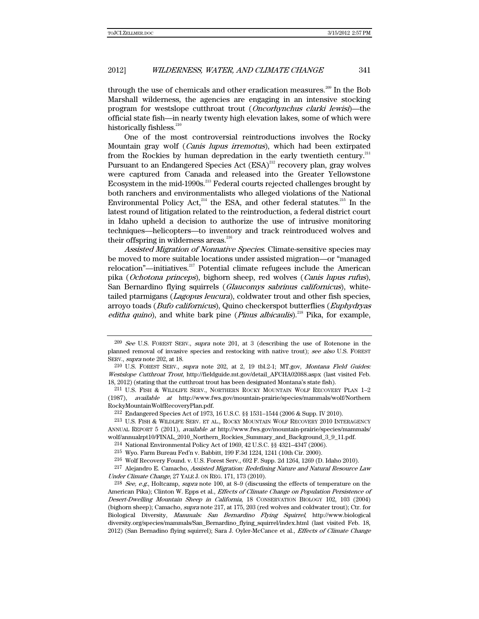through the use of chemicals and other eradication measures.<sup>209</sup> In the Bob Marshall wilderness, the agencies are engaging in an intensive stocking program for westslope cutthroat trout (Oncorhynchus clarki lewisi)—the official state fish—in nearly twenty high elevation lakes, some of which were historically fishless.<sup>210</sup>

One of the most controversial reintroductions involves the Rocky Mountain gray wolf (Canis lupus irremotus), which had been extirpated from the Rockies by human depredation in the early twentieth century.<sup>211</sup> Pursuant to an Endangered Species Act (ESA)<sup>212</sup> recovery plan, gray wolves were captured from Canada and released into the Greater Yellowstone Ecosystem in the mid-1990s.<sup>213</sup> Federal courts rejected challenges brought by both ranchers and environmentalists who alleged violations of the National Environmental Policy Act, $214$  the ESA, and other federal statutes.<sup>215</sup> In the latest round of litigation related to the reintroduction, a federal district court in Idaho upheld a decision to authorize the use of intrusive monitoring techniques—helicopters—to inventory and track reintroduced wolves and their offspring in wilderness areas.<sup>216</sup>

Assisted Migration of Nonnative Species. Climate-sensitive species may be moved to more suitable locations under assisted migration—or "managed relocation"—initiatives.<sup>217</sup> Potential climate refugees include the American pika (Ochotona princeps), bighorn sheep, red wolves (Canis lupus rufus), San Bernardino flying squirrels (Glaucomys sabrinus californicus), whitetailed ptarmigans (Lagopus leucura), coldwater trout and other fish species, arroyo toads (Bufo californicus), Quino checkerspot butterflies (Euphydryas editha quino), and white bark pine (*Pinus albicaulis*).<sup>218</sup> Pika, for example,

 $^{209}$  See U.S. FOREST SERV., supra note 201, at 3 (describing the use of Rotenone in the planned removal of invasive species and restocking with native trout); see also U.S. FOREST SERV., supra note 202, at 18.

 $210$  U.S. FOREST SERV., supra note  $202$ , at 2, 19 tbl.2-1; MT.gov, *Montana Field Guides:* Westslope Cutthroat Trout, http://fieldguide.mt.gov/detail\_AFCHA02088.aspx (last visited Feb. 18, 2012) (stating that the cutthroat trout has been designated Montana's state fish).

<sup>211</sup> U.S. FISH & WILDLIFE SERV., NORTHERN ROCKY MOUNTAIN WOLF RECOVERY PLAN 1–2 (1987), available at http://www.fws.gov/mountain-prairie/species/mammals/wolf/Northern RockyMountainWolfRecoveryPlan.pdf.

<sup>212</sup> Endangered Species Act of 1973, 16 U.S.C. §§ 1531–1544 (2006 & Supp. IV 2010).

<sup>213</sup> U.S. FISH & WILDLIFE SERV. ET AL., ROCKY MOUNTAIN WOLF RECOVERY 2010 INTERAGENCY ANNUAL REPORT 5 (2011), available at http://www.fws.gov/mountain-prairie/species/mammals/ wolf/annualrpt10/FINAL\_2010\_Northern\_Rockies\_Summary\_and\_Background\_3\_9\_11.pdf.

<sup>214</sup> National Environmental Policy Act of 1969, 42 U.S.C. §§ 4321–4347 (2006).

<sup>215</sup> Wyo. Farm Bureau Fed'n v. Babbitt, 199 F.3d 1224, 1241 (10th Cir. 2000).

<sup>216</sup> Wolf Recovery Found. v. U.S. Forest Serv., 692 F. Supp. 2d 1264, 1269 (D. Idaho 2010).

<sup>&</sup>lt;sup>217</sup> Alejandro E. Camacho, Assisted Migration: Redefining Nature and Natural Resource Law Under Climate Change, 27 YALE J. ON REG. 171, 173 (2010).

<sup>&</sup>lt;sup>218</sup> See, e.g., Holtcamp, supra note 100, at 8–9 (discussing the effects of temperature on the American Pika); Clinton W. Epps et al., *Effects of Climate Change on Population Persistence of* Desert-Dwelling Mountain Sheep in California, 18 CONSERVATION BIOLOGY 102, 103 (2004) (bighorn sheep); Camacho, supra note 217, at 175, 203 (red wolves and coldwater trout); Ctr. for Biological Diversity, Mammals: San Bernardino Flying Squirrel, http://www.biological diversity.org/species/mammals/San\_Bernardino\_flying\_squirrel/index.html (last visited Feb. 18, 2012) (San Bernadino flying squirrel); Sara J. Oyler-McCance et al., Effects of Climate Change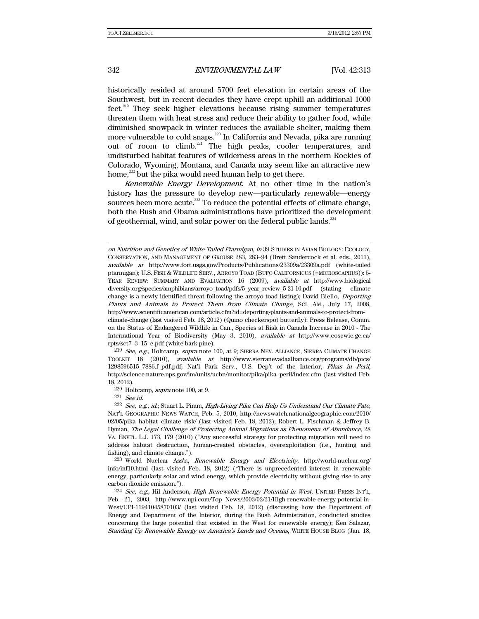historically resided at around 5700 feet elevation in certain areas of the Southwest, but in recent decades they have crept uphill an additional 1000 feet.<sup>219</sup> They seek higher elevations because rising summer temperatures threaten them with heat stress and reduce their ability to gather food, while diminished snowpack in winter reduces the available shelter, making them more vulnerable to cold snaps.<sup>220</sup> In California and Nevada, pika are running out of room to climb.<sup>221</sup> The high peaks, cooler temperatures, and undisturbed habitat features of wilderness areas in the northern Rockies of Colorado, Wyoming, Montana, and Canada may seem like an attractive new home, $^{222}$  but the pika would need human help to get there.

Renewable Energy Development. At no other time in the nation's history has the pressure to develop new—particularly renewable—energy sources been more acute.<sup>223</sup> To reduce the potential effects of climate change, both the Bush and Obama administrations have prioritized the development of geothermal, wind, and solar power on the federal public lands. $^{224}$ 

on Nutrition and Genetics of White-Tailed Ptarmigan, in 39 STUDIES IN AVIAN BIOLOGY: ECOLOGY, CONSERVATION, AND MANAGEMENT OF GROUSE 283, 283–94 (Brett Sandercock et al. eds., 2011), available at http://www.fort.usgs.gov/Products/Publications/23309a/23309a.pdf (white-tailed ptarmigan); U.S. FISH & WILDLIFE SERV., ARROYO TOAD (BUFO CALIFORNICUS (=MICROSCAPHUS)): 5- YEAR REVIEW: SUMMARY AND EVALUATION 16 (2009), available at http://www.biological diversity.org/species/amphibians/arroyo\_toad/pdfs/5\_year\_review\_5-21-10.pdf (stating climate change is a newly identified threat following the arroyo toad listing); David Biello, *Deporting* Plants and Animals to Protect Them from Climate Change, SCI. AM., July 17, 2008, http://www.scientificamerican.com/article.cfm?id=deporting-plants-and-animals-to-protect-fromclimate-change (last visited Feb. 18, 2012) (Quino checkerspot butterfly); Press Release, Comm.

 $219$  See, e.g., Holtcamp, supra note 100, at 9; SIERRA NEV. ALLIANCE, SIERRA CLIMATE CHANGE TOOLKIT 18 (2010), available at http://www.sierranevadaalliance.org/programs/db/pics/ 1298596515\_7886.f\_pdf.pdf; Nat'l Park Serv., U.S. Dep't of the Interior, Pikas in Peril, http://science.nature.nps.gov/im/units/ucbn/monitor/pika/pika\_peril/index.cfm (last visited Feb. 18, 2012).

220 Holtcamp, supra note 100, at 9.

221 See id.

223 World Nuclear Ass'n, Renewable Energy and Electricity, http://world-nuclear.org/ info/inf10.html (last visited Feb. 18, 2012) ("There is unprecedented interest in renewable energy, particularly solar and wind energy, which provide electricity without giving rise to any carbon dioxide emission.").

 $^{224}$  See, e.g., Hil Anderson, High Renewable Energy Potential in West, UNITED PRESS INT'L, Feb. 21, 2003, http://www.upi.com/Top\_News/2003/02/21/High-renewable-energy-potential-in-West/UPI-11941045870103/ (last visited Feb. 18, 2012) (discussing how the Department of Energy and Department of the Interior, during the Bush Administration, conducted studies concerning the large potential that existed in the West for renewable energy); Ken Salazar, Standing Up Renewable Energy on America's Lands and Oceans, WHITE HOUSE BLOG (Jan. 18,

on the Status of Endangered Wildlife in Can., Species at Risk in Canada Increase in 2010 - The International Year of Biodiversity (May 3, 2010), available at http://www.cosewic.gc.ca/ rpts/sct7\_3\_15\_e.pdf (white bark pine).

<sup>&</sup>lt;sup>222</sup> See, e.g., id.; Stuart L. Pimm, High-Living Pika Can Help Us Understand Our Climate Fate, NAT'L GEOGRAPHIC NEWS WATCH, Feb. 5, 2010, http://newswatch.nationalgeographic.com/2010/ 02/05/pika\_habitat\_climate\_risk/ (last visited Feb. 18, 2012); Robert L. Fischman & Jeffrey B. Hyman, The Legal Challenge of Protecting Animal Migrations as Phenomena of Abundance, 28 VA. ENVTL. L.J. 173, 179 (2010) ("Any successful strategy for protecting migration will need to address habitat destruction, human-created obstacles, overexploitation (i.e., hunting and fishing), and climate change.").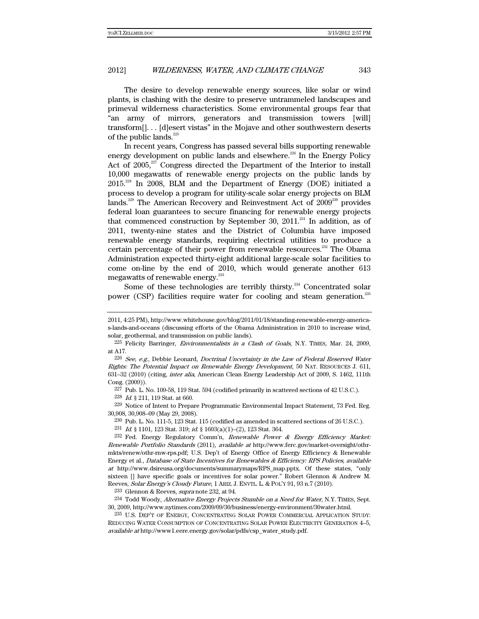The desire to develop renewable energy sources, like solar or wind plants, is clashing with the desire to preserve untrammeled landscapes and primeval wilderness characteristics. Some environmental groups fear that "an army of mirrors, generators and transmission towers [will] transform[]. . . [d]esert vistas" in the Mojave and other southwestern deserts of the public lands. $^{225}$ 

In recent years, Congress has passed several bills supporting renewable energy development on public lands and elsewhere.<sup>226</sup> In the Energy Policy Act of  $2005$ ,<sup>27</sup> Congress directed the Department of the Interior to install 10,000 megawatts of renewable energy projects on the public lands by  $2015<sup>228</sup>$  In 2008, BLM and the Department of Energy (DOE) initiated a process to develop a program for utility-scale solar energy projects on BLM lands.<sup>229</sup> The American Recovery and Reinvestment Act of  $2009^{230}$  provides federal loan guarantees to secure financing for renewable energy projects that commenced construction by September 30, 2011.<sup>231</sup> In addition, as of 2011, twenty-nine states and the District of Columbia have imposed renewable energy standards, requiring electrical utilities to produce a certain percentage of their power from renewable resources.<sup>232</sup> The Obama Administration expected thirty-eight additional large-scale solar facilities to come on-line by the end of 2010, which would generate another 613 megawatts of renewable energy.<sup>233</sup>

Some of these technologies are terribly thirsty.<sup>234</sup> Concentrated solar power (CSP) facilities require water for cooling and steam generation.<sup>235</sup>

 $227$  Pub. L. No. 109-58, 119 Stat. 594 (codified primarily in scattered sections of  $42$  U.S.C.).

228 Id. § 211, 119 Stat. at 660.

229 Notice of Intent to Prepare Programmatic Environmental Impact Statement, 73 Fed. Reg. 30,908, 30,908–09 (May 29, 2008).

230 Pub. L. No. 111-5, 123 Stat. 115 (codified as amended in scattered sections of 26 U.S.C.).

231 Id. § 1101, 123 Stat. 319; id. § 1603(a)(1)–(2), 123 Stat. 364.

 $^{232}$  Fed. Energy Regulatory Comm'n, Renewable Power & Energy Efficiency Market: Renewable Portfolio Standards (2011), available at http://www.ferc.gov/market-oversight/othrmkts/renew/othr-rnw-rps.pdf; U.S. Dep't of Energy Office of Energy Efficiency & Renewable Energy et al., Database of State Incentives for Renewables & Efficiency: RPS Policies, available at http://www.dsireusa.org/documents/summarymaps/RPS\_map.pptx. Of these states, "only sixteen [] have specific goals or incentives for solar power." Robert Glennon & Andrew M. Reeves, Solar Energy's Cloudy Future, 1 ARIZ. J. ENVTL. L. & POL'Y 91, 93 n.7 (2010).

233 Glennon & Reeves, supra note 232, at 94.

<sup>234</sup> Todd Woody, Alternative Energy Projects Stumble on a Need for Water, N.Y. TIMES, Sept. 30, 2009, http://www.nytimes.com/2009/09/30/business/energy-environment/30water.html.

235 U.S. DEP'T OF ENERGY, CONCENTRATING SOLAR POWER COMMERCIAL APPLICATION STUDY: REDUCING WATER CONSUMPTION OF CONCENTRATING SOLAR POWER ELECTRICITY GENERATION 4–5, available at http://www1.eere.energy.gov/solar/pdfs/csp\_water\_study.pdf.

<sup>2011, 4:25</sup> PM), http://www.whitehouse.gov/blog/2011/01/18/standing-renewable-energy-americas-lands-and-oceans (discussing efforts of the Obama Administration in 2010 to increase wind, solar, geothermal, and transmission on public lands).

<sup>225</sup> Felicity Barringer, Environmentalists in a Clash of Goals, N.Y. TIMES, Mar. 24, 2009, at A17.

 $226$  See, e.g., Debbie Leonard, Doctrinal Uncertainty in the Law of Federal Reserved Water Rights: The Potential Impact on Renewable Energy Development, 50 NAT. RESOURCES J. 611, 631–32 (2010) (citing, inter alia, American Clean Energy Leadership Act of 2009, S. 1462, 111th Cong. (2009)).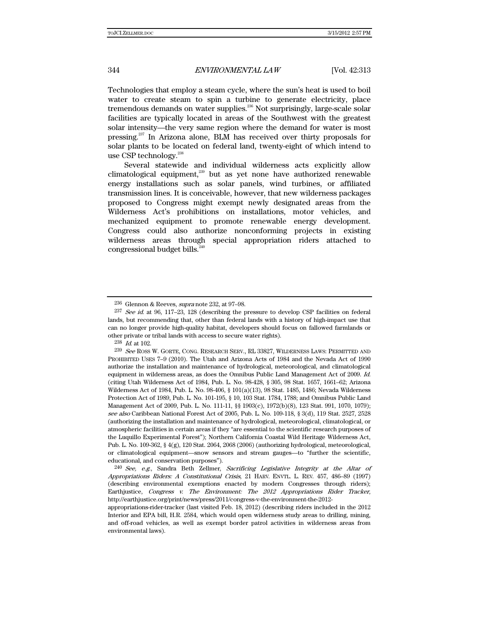Technologies that employ a steam cycle, where the sun's heat is used to boil water to create steam to spin a turbine to generate electricity, place tremendous demands on water supplies.<sup>236</sup> Not surprisingly, large-scale solar facilities are typically located in areas of the Southwest with the greatest solar intensity—the very same region where the demand for water is most pressing.237 In Arizona alone, BLM has received over thirty proposals for solar plants to be located on federal land, twenty-eight of which intend to use CSP technology.<sup>238</sup>

Several statewide and individual wilderness acts explicitly allow climatological equipment, $239$  but as yet none have authorized renewable energy installations such as solar panels, wind turbines, or affiliated transmission lines. It is conceivable, however, that new wilderness packages proposed to Congress might exempt newly designated areas from the Wilderness Act's prohibitions on installations, motor vehicles, and mechanized equipment to promote renewable energy development. Congress could also authorize nonconforming projects in existing wilderness areas through special appropriation riders attached to congressional budget bills.<sup>240</sup>

 $240$  See, e.g., Sandra Beth Zellmer, Sacrificing Legislative Integrity at the Altar of Appropriations Riders: A Constitutional Crisis, 21 HARV. ENVTL. L. REV. 457, 486–89 (1997) (describing environmental exemptions enacted by modern Congresses through riders); Earthjustice, Congress v. The Environment: The 2012 Appropriations Rider Tracker, http://earthjustice.org/print/news/press/2011/congress-v-the-environment-the-2012-

<sup>236</sup> Glennon & Reeves, supra note 232, at 97–98.

<sup>237</sup> See id. at 96, 117–23, 128 (describing the pressure to develop CSP facilities on federal lands, but recommending that, other than federal lands with a history of high-impact use that can no longer provide high-quality habitat, developers should focus on fallowed farmlands or other private or tribal lands with access to secure water rights).

 $238$  *Id.* at 102.

 $^{239}\,$   $See$  Ross W. GORTE, CONG. RESEARCH SERV., RL 33827, WILDERNESS LAWS: PERMITTED AND PROHIBITED USES 7–9 (2010). The Utah and Arizona Acts of 1984 and the Nevada Act of 1990 authorize the installation and maintenance of hydrological, meteorological, and climatological equipment in wilderness areas, as does the Omnibus Public Land Management Act of 2009. Id. (citing Utah Wilderness Act of 1984, Pub. L. No. 98-428, § 305, 98 Stat. 1657, 1661–62; Arizona Wilderness Act of 1984, Pub. L. No. 98-406, § 101(a)(13), 98 Stat. 1485, 1486; Nevada Wilderness Protection Act of 1989, Pub. L. No. 101-195, § 10, 103 Stat. 1784, 1788; and Omnibus Public Land Management Act of 2009, Pub. L. No. 111-11, §§ 1903(c), 1972(b)(8), 123 Stat. 991, 1070, 1079); see also Caribbean National Forest Act of 2005, Pub. L. No. 109-118, § 3(d), 119 Stat. 2527, 2528 (authorizing the installation and maintenance of hydrological, meteorological, climatological, or atmospheric facilities in certain areas if they "are essential to the scientific research purposes of the Luquillo Experimental Forest"); Northern California Coastal Wild Heritage Wilderness Act, Pub. L. No. 109-362, § 4(g), 120 Stat. 2064, 2068 (2006) (authorizing hydrological, meteorological, or climatological equipment—snow sensors and stream gauges—to "further the scientific, educational, and conservation purposes").

appropriations-rider-tracker (last visited Feb. 18, 2012) (describing riders included in the 2012 Interior and EPA bill, H.R. 2584, which would open wilderness study areas to drilling, mining, and off-road vehicles, as well as exempt border patrol activities in wilderness areas from environmental laws).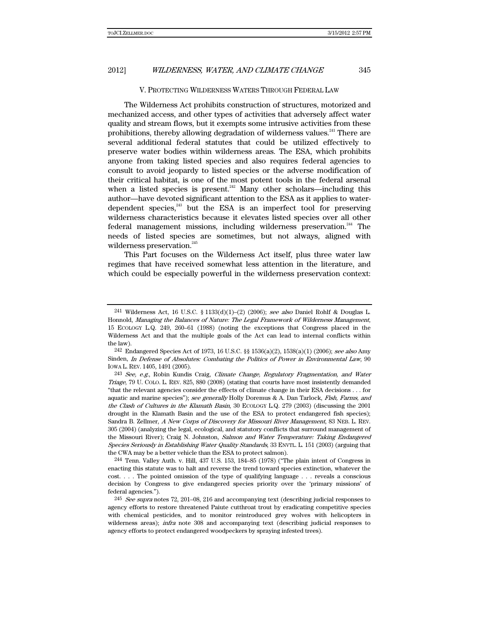#### V. PROTECTING WILDERNESS WATERS THROUGH FEDERAL LAW

The Wilderness Act prohibits construction of structures, motorized and mechanized access, and other types of activities that adversely affect water quality and stream flows, but it exempts some intrusive activities from these prohibitions, thereby allowing degradation of wilderness values.<sup>241</sup> There are several additional federal statutes that could be utilized effectively to preserve water bodies within wilderness areas. The ESA, which prohibits anyone from taking listed species and also requires federal agencies to consult to avoid jeopardy to listed species or the adverse modification of their critical habitat, is one of the most potent tools in the federal arsenal when a listed species is present.<sup>242</sup> Many other scholars—including this author—have devoted significant attention to the ESA as it applies to waterdependent species, $^{243}$  but the ESA is an imperfect tool for preserving wilderness characteristics because it elevates listed species over all other federal management missions, including wilderness preservation.<sup>244</sup> The needs of listed species are sometimes, but not always, aligned with wilderness preservation.<sup>245</sup>

This Part focuses on the Wilderness Act itself, plus three water law regimes that have received somewhat less attention in the literature, and which could be especially powerful in the wilderness preservation context:

 $^{244}$  Tenn. Valley Auth. v. Hill, 437 U.S. 153, 184–85 (1978) ("The plain intent of Congress in enacting this statute was to halt and reverse the trend toward species extinction, whatever the cost. . . . The pointed omission of the type of qualifying language . . . reveals a conscious decision by Congress to give endangered species priority over the 'primary missions' of federal agencies.").

<sup>&</sup>lt;sup>241</sup> Wilderness Act, 16 U.S.C. § 1133(d)(1)–(2) (2006); see also Daniel Rohlf & Douglas L. Honnold, Managing the Balances of Nature: The Legal Framework of Wilderness Management, 15 ECOLOGY L.Q. 249, 260–61 (1988) (noting the exceptions that Congress placed in the Wilderness Act and that the multiple goals of the Act can lead to internal conflicts within the law).

<sup>242</sup> Endangered Species Act of 1973, 16 U.S.C. §§ 1536(a)(2), 1538(a)(1) (2006); see also Amy Sinden, In Defense of Absolutes: Combating the Politics of Power in Environmental Law, 90 IOWA L. REV. 1405, 1491 (2005).

 $243$  See, e.g., Robin Kundis Craig, *Climate Change, Regulatory Fragmentation, and Water* Triage, 79 U. COLO. L. REV. 825, 880 (2008) (stating that courts have most insistently demanded "that the relevant agencies consider the effects of climate change in their ESA decisions . . . for aquatic and marine species"); see generally Holly Doremus & A. Dan Tarlock, Fish, Farms, and the Clash of Cultures in the Klamath Basin, 30 ECOLOGY L.Q. 279 (2003) (discussing the 2001 drought in the Klamath Basin and the use of the ESA to protect endangered fish species); Sandra B. Zellmer, A New Corps of Discovery for Missouri River Management, 83 NEB. L. REV. 305 (2004) (analyzing the legal, ecological, and statutory conflicts that surround management of the Missouri River); Craig N. Johnston, Salmon and Water Temperature: Taking Endangered Species Seriously in Establishing Water Quality Standards, 33 ENVTL. L. 151 (2003) (arguing that the CWA may be a better vehicle than the ESA to protect salmon).

 $245$  See supra notes 72, 201–08, 216 and accompanying text (describing judicial responses to agency efforts to restore threatened Paiute cutthroat trout by eradicating competitive species with chemical pesticides, and to monitor reintroduced grey wolves with helicopters in wilderness areas); *infra* note 308 and accompanying text (describing judicial responses to agency efforts to protect endangered woodpeckers by spraying infested trees).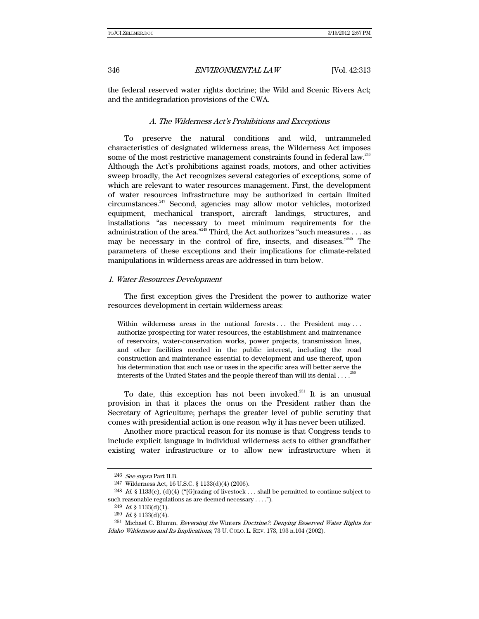the federal reserved water rights doctrine; the Wild and Scenic Rivers Act; and the antidegradation provisions of the CWA.

#### A. The Wilderness Act's Prohibitions and Exceptions

To preserve the natural conditions and wild, untrammeled characteristics of designated wilderness areas, the Wilderness Act imposes some of the most restrictive management constraints found in federal law.<sup>246</sup> Although the Act's prohibitions against roads, motors, and other activities sweep broadly, the Act recognizes several categories of exceptions, some of which are relevant to water resources management. First, the development of water resources infrastructure may be authorized in certain limited circumstances.247 Second, agencies may allow motor vehicles, motorized equipment, mechanical transport, aircraft landings, structures, and installations "as necessary to meet minimum requirements for the administration of the area."<sup>248</sup> Third, the Act authorizes "such measures  $\dots$  as may be necessary in the control of fire, insects, and diseases."<sup>249</sup> The parameters of these exceptions and their implications for climate-related manipulations in wilderness areas are addressed in turn below.

#### 1. Water Resources Development

The first exception gives the President the power to authorize water resources development in certain wilderness areas:

Within wilderness areas in the national forests ... the President may ... authorize prospecting for water resources, the establishment and maintenance of reservoirs, water-conservation works, power projects, transmission lines, and other facilities needed in the public interest, including the road construction and maintenance essential to development and use thereof, upon his determination that such use or uses in the specific area will better serve the interests of the United States and the people thereof than will its denial  $\ldots$ .

To date, this exception has not been invoked.<sup>251</sup> It is an unusual provision in that it places the onus on the President rather than the Secretary of Agriculture; perhaps the greater level of public scrutiny that comes with presidential action is one reason why it has never been utilized.

Another more practical reason for its nonuse is that Congress tends to include explicit language in individual wilderness acts to either grandfather existing water infrastructure or to allow new infrastructure when it

<sup>246</sup> See supra Part II.B.

<sup>247</sup> Wilderness Act, 16 U.S.C. § 1133(d)(4) (2006).

 $^{248}$  Id.  $\S$  1133(c), (d)(4) ("[G]razing of livestock . . . shall be permitted to continue subject to such reasonable regulations as are deemed necessary . . . .").

 $249$  *Id.* § 1133(d)(1).

 $250$  *Id.* § 1133(d)(4).

<sup>251</sup> Michael C. Blumm, Reversing the Winters Doctrine?: Denying Reserved Water Rights for Idaho Wilderness and Its Implications, 73 U. COLO. L. REV. 173, 193 n.104 (2002).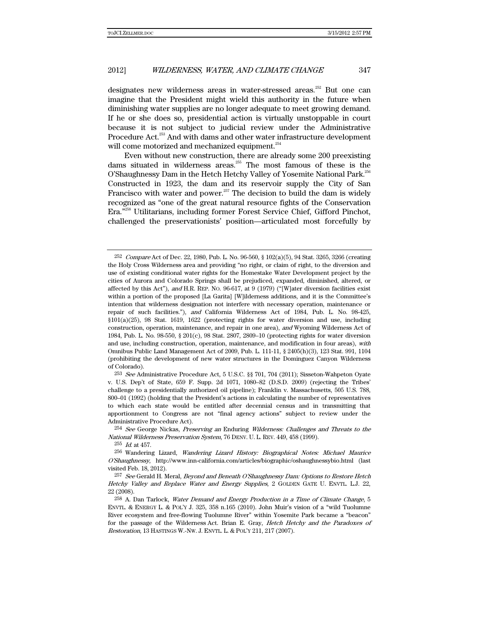designates new wilderness areas in water-stressed areas.<sup>252</sup> But one can imagine that the President might wield this authority in the future when diminishing water supplies are no longer adequate to meet growing demand. If he or she does so, presidential action is virtually unstoppable in court because it is not subject to judicial review under the Administrative Procedure Act.<sup>253</sup> And with dams and other water infrastructure development will come motorized and mechanized equipment.<sup>254</sup>

Even without new construction, there are already some 200 preexisting dams situated in wilderness areas.255 The most famous of these is the O'Shaughnessy Dam in the Hetch Hetchy Valley of Yosemite National Park.<sup>256</sup> Constructed in 1923, the dam and its reservoir supply the City of San Francisco with water and power.<sup>257</sup> The decision to build the dam is widely recognized as "one of the great natural resource fights of the Conservation Era."258 Utilitarians, including former Forest Service Chief, Gifford Pinchot, challenged the preservationists' position—articulated most forcefully by

 $^{253}$  See Administrative Procedure Act, 5 U.S.C. §§ 701, 704 (2011); Sisseton-Wahpeton Oyate v. U.S. Dep't of State, 659 F. Supp. 2d 1071, 1080–82 (D.S.D. 2009) (rejecting the Tribes' challenge to a presidentially authorized oil pipeline); Franklin v. Massachusetts, 505 U.S. 788, 800–01 (1992) (holding that the President's actions in calculating the number of representatives to which each state would be entitled after decennial census and in transmitting that apportionment to Congress are not "final agency actions" subject to review under the Administrative Procedure Act).

<sup>254</sup> See George Nickas, Preserving an Enduring Wilderness: Challenges and Threats to the National Wilderness Preservation System, 76 DENV. U. L. REV. 449, 458 (1999).

 $255$  *Id.* at 457.

256 Wandering Lizard, Wandering Lizard History: Biographical Notes: Michael Maurice O'Shaughnessy, http://www.inn-california.com/articles/biographic/oshaughnessybio.html (last visited Feb. 18, 2012).

<sup>257</sup> See Gerald H. Meral, Beyond and Beneath O'Shaughnessy Dam: Options to Restore Hetch Hetchy Valley and Replace Water and Energy Supplies, 2 GOLDEN GATE U. ENVTL. L.J. 22, 22 (2008).

<sup>258</sup> A. Dan Tarlock, Water Demand and Energy Production in a Time of Climate Change, 5 ENVTL. & ENERGY L. & POL'Y J. 325, 358 n.165 (2010). John Muir's vision of a "wild Tuolumne River ecosystem and free-flowing Tuolumne River" within Yosemite Park became a "beacon" for the passage of the Wilderness Act. Brian E. Gray, Hetch Hetchy and the Paradoxes of Restoration, 13 HASTINGS W.-NW. J. ENVTL. L. & POL'Y 211, 217 (2007).

 $^{252}$  Compare Act of Dec. 22, 1980, Pub. L. No. 96-560, § 102(a)(5), 94 Stat. 3265, 3266 (creating the Holy Cross Wilderness area and providing "no right, or claim of right, to the diversion and use of existing conditional water rights for the Homestake Water Development project by the cities of Aurora and Colorado Springs shall be prejudiced, expanded, diminished, altered, or affected by this Act"), and H.R. REP. No. 96-617, at 9 (1979) ("[W]ater diversion facilities exist within a portion of the proposed [La Garita] [W]ilderness additions, and it is the Committee's intention that wilderness designation not interfere with necessary operation, maintenance or repair of such facilities."), and California Wilderness Act of 1984, Pub. L. No. 98-425, §101(a)(25), 98 Stat. 1619, 1622 (protecting rights for water diversion and use, including construction, operation, maintenance, and repair in one area), and Wyoming Wilderness Act of 1984, Pub. L. No. 98-550, § 201(c), 98 Stat. 2807, 2809–10 (protecting rights for water diversion and use, including construction, operation, maintenance, and modification in four areas), with Omnibus Public Land Management Act of 2009, Pub. L. 111-11, § 2405(h)(3), 123 Stat. 991, 1104 (prohibiting the development of new water structures in the Dominguez Canyon Wilderness of Colorado).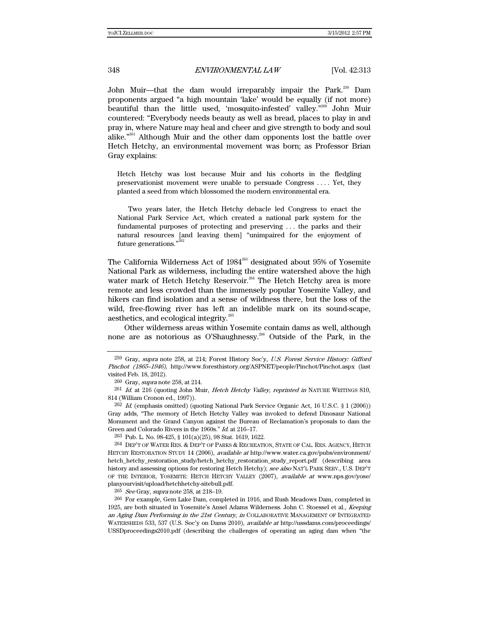John Muir—that the dam would irreparably impair the Park.<sup>259</sup> Dam proponents argued "a high mountain 'lake' would be equally (if not more) beautiful than the little used, 'mosquito-infested' valley."260 John Muir countered: "Everybody needs beauty as well as bread, places to play in and pray in, where Nature may heal and cheer and give strength to body and soul alike."261 Although Muir and the other dam opponents lost the battle over Hetch Hetchy, an environmental movement was born; as Professor Brian Gray explains:

Hetch Hetchy was lost because Muir and his cohorts in the fledgling preservationist movement were unable to persuade Congress . . . . Yet, they planted a seed from which blossomed the modern environmental era.

 Two years later, the Hetch Hetchy debacle led Congress to enact the National Park Service Act, which created a national park system for the fundamental purposes of protecting and preserving . . . the parks and their natural resources [and leaving them] "unimpaired for the enjoyment of future generations."<sup>262</sup>

The California Wilderness Act of  $1984<sup>263</sup>$  designated about  $95%$  of Yosemite National Park as wilderness, including the entire watershed above the high water mark of Hetch Hetchy Reservoir.<sup>264</sup> The Hetch Hetchy area is more remote and less crowded than the immensely popular Yosemite Valley, and hikers can find isolation and a sense of wildness there, but the loss of the wild, free-flowing river has left an indelible mark on its sound-scape, aesthetics, and ecological integrity.<sup>265</sup>

Other wilderness areas within Yosemite contain dams as well, although none are as notorious as O'Shaughnessy.<sup>266</sup> Outside of the Park, in the

263 Pub. L. No. 98-425, § 101(a)(25), 98 Stat. 1619, 1622.

<sup>265</sup> See Gray, supra note 258, at 218-19.

<sup>&</sup>lt;sup>259</sup> Gray, supra note 258, at 214; Forest History Soc'y, U.S. Forest Service History: Gifford Pinchot (1865–1946), http://www.foresthistory.org/ASPNET/people/Pinchot/Pinchot.aspx (last visited Feb. 18, 2012).

<sup>260</sup> Gray, *supra* note 258, at 214.

 $^{261}$  *Id.* at 216 (quoting John Muir, *Hetch Hetchy Valley, reprinted in* NATURE WRITINGS 810, 814 (William Cronon ed., 1997)).

 $^{262}$  Id. (emphasis omitted) (quoting National Park Service Organic Act, 16 U.S.C. § 1 (2006)) Gray adds, "The memory of Hetch Hetchy Valley was invoked to defend Dinosaur National Monument and the Grand Canyon against the Bureau of Reclamation's proposals to dam the Green and Colorado Rivers in the 1960s." Id. at 216–17.

<sup>264</sup> DEP'T OF WATER RES. & DEP'T OF PARKS & RECREATION, STATE OF CAL. RES. AGENCY, HETCH HETCHY RESTORATION STUDY 14 (2006), *available at* http://www.water.ca.gov/pubs/environment/ hetch\_hetchy\_restoration\_study/hetch\_hetchy\_restoration\_study\_report.pdf (describing area history and assessing options for restoring Hetch Hetchy); see also NAT'L PARK SERV., U.S. DEP'T OF THE INTERIOR, YOSEMITE: HETCH HETCHY VALLEY (2007), available at www.nps.gov/yose/ planyourvisit/upload/hetchhetchy-sitebull.pdf.

<sup>266</sup> For example, Gem Lake Dam, completed in 1916, and Rush Meadows Dam, completed in 1925, are both situated in Yosemite's Ansel Adams Wilderness. John C. Stoessel et al., *Keeping* an Aging Dam Performing in the 21st Century, in COLLABORATIVE MANAGEMENT OF INTEGRATED WATERSHEDS 533, 537 (U.S. Soc'y on Dams 2010), available at http://ussdams.com/proceedings/ USSDproceedings2010.pdf (describing the challenges of operating an aging dam when "the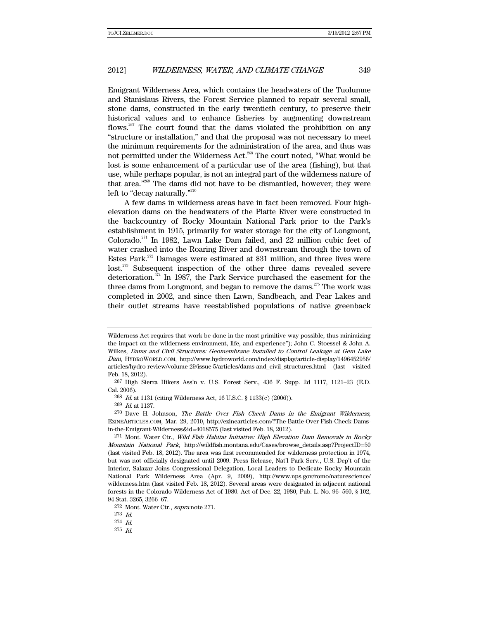Emigrant Wilderness Area, which contains the headwaters of the Tuolumne and Stanislaus Rivers, the Forest Service planned to repair several small, stone dams, constructed in the early twentieth century, to preserve their historical values and to enhance fisheries by augmenting downstream flows.<sup>267</sup> The court found that the dams violated the prohibition on any "structure or installation," and that the proposal was not necessary to meet the minimum requirements for the administration of the area, and thus was not permitted under the Wilderness Act.<sup>268</sup> The court noted, "What would be lost is some enhancement of a particular use of the area (fishing), but that use, while perhaps popular, is not an integral part of the wilderness nature of that area."269 The dams did not have to be dismantled, however; they were left to "decay naturally."<sup>270</sup>

A few dams in wilderness areas have in fact been removed. Four highelevation dams on the headwaters of the Platte River were constructed in the backcountry of Rocky Mountain National Park prior to the Park's establishment in 1915, primarily for water storage for the city of Longmont, Colorado.<sup>271</sup> In 1982, Lawn Lake Dam failed, and 22 million cubic feet of water crashed into the Roaring River and downstream through the town of Estes Park.<sup>272</sup> Damages were estimated at \$31 million, and three lives were lost.<sup>273</sup> Subsequent inspection of the other three dams revealed severe deterioration.<sup>274</sup> In 1987, the Park Service purchased the easement for the three dams from Longmont, and began to remove the dams.<sup>275</sup> The work was completed in 2002, and since then Lawn, Sandbeach, and Pear Lakes and their outlet streams have reestablished populations of native greenback

267 High Sierra Hikers Ass'n v. U.S. Forest Serv., 436 F. Supp. 2d 1117, 1121–23 (E.D. Cal. 2006).

268 Id. at 1131 (citing Wilderness Act, 16 U.S.C. § 1133(c) (2006)).

269 Id. at 1137.

273 Id.

274 Id.

Wilderness Act requires that work be done in the most primitive way possible, thus minimizing the impact on the wilderness environment, life, and experience"); John C. Stoessel & John A. Wilkes, Dams and Civil Structures: Geomembrane Installed to Control Leakage at Gem Lake Dam, HYDROWORLD.COM, http://www.hydroworld.com/index/display/article-display/1496452956/ articles/hydro-review/volume-29/issue-5/articles/dams-and\_civil\_structures.html (last visited Feb. 18, 2012).

<sup>&</sup>lt;sup>270</sup> Dave H. Johnson, *The Battle Over Fish Check Dams in the Emigrant Wilderness*, EZINEARTICLES.COM, Mar. 29, 2010, http://ezinearticles.com/?The-Battle-Over-Fish-Check-Damsin-the-Emigrant-Wilderness&id=4018575 (last visited Feb. 18, 2012).

<sup>&</sup>lt;sup>271</sup> Mont. Water Ctr., Wild Fish Habitat Initiative: High Elevation Dam Removals in Rocky Mountain National Park, http://wildfish.montana.edu/Cases/browse\_details.asp?ProjectID=50 (last visited Feb. 18, 2012). The area was first recommended for wilderness protection in 1974, but was not officially designated until 2009. Press Release, Nat'l Park Serv., U.S. Dep't of the Interior, Salazar Joins Congressional Delegation, Local Leaders to Dedicate Rocky Mountain National Park Wilderness Area (Apr. 9, 2009), http://www.nps.gov/romo/naturescience/ wilderness.htm (last visited Feb. 18, 2012). Several areas were designated in adjacent national forests in the Colorado Wilderness Act of 1980. Act of Dec. 22, 1980, Pub. L. No. 96- 560, § 102, 94 Stat. 3265, 3266–67.

<sup>272</sup> Mont. Water Ctr., supra note 271.

<sup>275</sup> Id.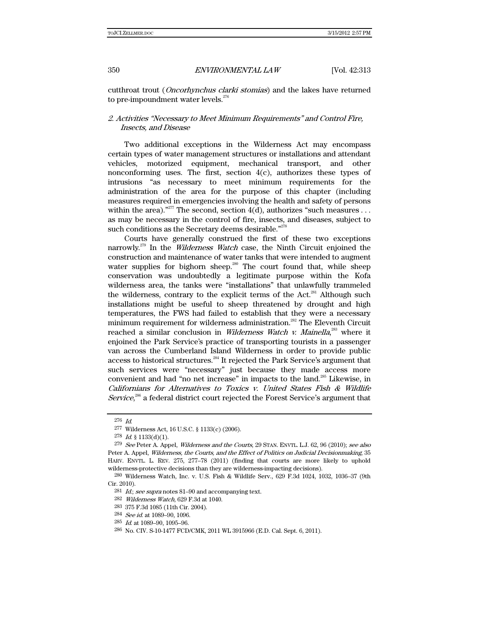cutthroat trout (Oncorhynchus clarki stomias) and the lakes have returned to pre-impoundment water levels.<sup>276</sup>

## 2. Activities "Necessary to Meet Minimum Requirements" and Control Fire, Insects, and Disease

Two additional exceptions in the Wilderness Act may encompass certain types of water management structures or installations and attendant vehicles, motorized equipment, mechanical transport, and other nonconforming uses. The first, section  $4(c)$ , authorizes these types of intrusions "as necessary to meet minimum requirements for the administration of the area for the purpose of this chapter (including measures required in emergencies involving the health and safety of persons within the area)."<sup>277</sup> The second, section  $4(d)$ , authorizes "such measures . . . as may be necessary in the control of fire, insects, and diseases, subject to such conditions as the Secretary deems desirable."<sup>278</sup>

Courts have generally construed the first of these two exceptions narrowly.<sup>279</sup> In the *Wilderness Watch* case, the Ninth Circuit enjoined the construction and maintenance of water tanks that were intended to augment water supplies for bighorn sheep.<sup>280</sup> The court found that, while sheep conservation was undoubtedly a legitimate purpose within the Kofa wilderness area, the tanks were "installations" that unlawfully trammeled the wilderness, contrary to the explicit terms of the Act.<sup>281</sup> Although such installations might be useful to sheep threatened by drought and high temperatures, the FWS had failed to establish that they were a necessary minimum requirement for wilderness administration.<sup>282</sup> The Eleventh Circuit reached a similar conclusion in *Wilderness Watch v. Mainella*,<sup>283</sup> where it enjoined the Park Service's practice of transporting tourists in a passenger van across the Cumberland Island Wilderness in order to provide public access to historical structures.<sup>284</sup> It rejected the Park Service's argument that such services were "necessary" just because they made access more convenient and had "no net increase" in impacts to the land.285 Likewise, in Californians for Alternatives to Toxics v. United States Fish & Wildlife Service, $286$  a federal district court rejected the Forest Service's argument that

<sup>276</sup> Id.

<sup>277</sup> Wilderness Act, 16 U.S.C. § 1133(c) (2006).

 $278$  *Id.* § 1133(d)(1).

<sup>&</sup>lt;sup>279</sup> See Peter A. Appel, *Wilderness and the Courts*, 29 STAN. ENVTL. L.J. 62, 96 (2010); see also Peter A. Appel, Wilderness, the Courts, and the Effect of Politics on Judicial Decisionmaking, 35 HARV. ENVTL. L. REV. 275, 277–78 (2011) (finding that courts are more likely to uphold wilderness-protective decisions than they are wilderness-impacting decisions).

<sup>280</sup> Wilderness Watch, Inc. v. U.S. Fish & Wildlife Serv., 629 F.3d 1024, 1032, 1036–37 (9th Cir. 2010).

 $281\,$  Id.; see supra notes 81–90 and accompanying text.

<sup>282</sup> Wilderness Watch, 629 F.3d at 1040.

<sup>283 375</sup> F.3d 1085 (11th Cir. 2004).

<sup>284</sup> See id. at 1089–90, 1096.

<sup>285</sup> Id. at 1089–90, 1095–96.

<sup>286</sup> No. CIV. S-10-1477 FCD/CMK, 2011 WL 3915966 (E.D. Cal. Sept. 6, 2011).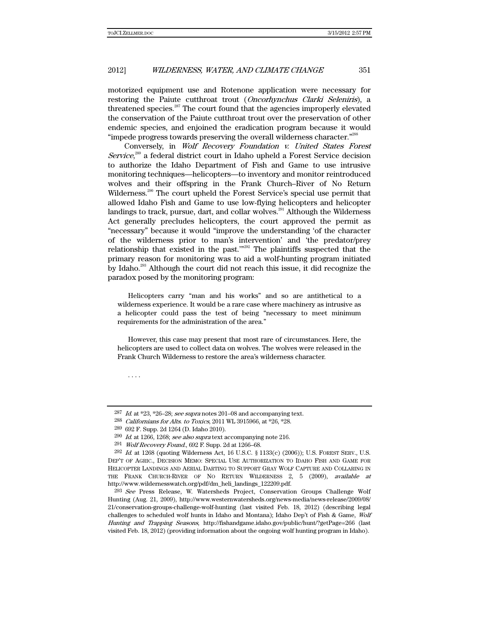motorized equipment use and Rotenone application were necessary for restoring the Paiute cutthroat trout (Oncorhynchus Clarki Seleniris), a threatened species. $287$  The court found that the agencies improperly elevated the conservation of the Paiute cutthroat trout over the preservation of other endemic species, and enjoined the eradication program because it would "impede progress towards preserving the overall wilderness character."<sup>288</sup>

Conversely, in Wolf Recovery Foundation v. United States Forest Service,<sup>289</sup> a federal district court in Idaho upheld a Forest Service decision to authorize the Idaho Department of Fish and Game to use intrusive monitoring techniques—helicopters—to inventory and monitor reintroduced wolves and their offspring in the Frank Church–River of No Return Wilderness.<sup>290</sup> The court upheld the Forest Service's special use permit that allowed Idaho Fish and Game to use low-flying helicopters and helicopter landings to track, pursue, dart, and collar wolves.<sup>291</sup> Although the Wilderness Act generally precludes helicopters, the court approved the permit as "necessary" because it would "improve the understanding 'of the character of the wilderness prior to man's intervention' and 'the predator/prey relationship that existed in the past.'"292 The plaintiffs suspected that the primary reason for monitoring was to aid a wolf-hunting program initiated by Idaho.<sup>293</sup> Although the court did not reach this issue, it did recognize the paradox posed by the monitoring program:

Helicopters carry "man and his works" and so are antithetical to a wilderness experience. It would be a rare case where machinery as intrusive as a helicopter could pass the test of being "necessary to meet minimum requirements for the administration of the area."

However, this case may present that most rare of circumstances. Here, the helicopters are used to collect data on wolves. The wolves were released in the Frank Church Wilderness to restore the area's wilderness character.

. . . .

288 Californians for Alts. to Toxics, 2011 WL 3915966, at \*26, \*28.

<sup>&</sup>lt;sup>287</sup> Id. at \*23, \*26–28; see supra notes 201–08 and accompanying text.

<sup>289 692</sup> F. Supp. 2d 1264 (D. Idaho 2010).

 $290$  *Id.* at 1266, 1268; see also supra text accompanying note 216.

<sup>291</sup> Wolf Recovery Found., 692 F. Supp. 2d at 1266–68.

 $^{292}$  Id. at 1268 (quoting Wilderness Act, 16 U.S.C. § 1133(c) (2006)); U.S. FOREST SERV., U.S. DEP'T OF AGRIC., DECISION MEMO: SPECIAL USE AUTHORIZATION TO IDAHO FISH AND GAME FOR HELICOPTER LANDINGS AND AERIAL DARTING TO SUPPORT GRAY WOLF CAPTURE AND COLLARING IN THE FRANK CHURCH-RIVER OF NO RETURN WILDERNESS 2, 5 (2009), available at http://www.wildernesswatch.org/pdf/dm\_heli\_landings\_122209.pdf.

<sup>293</sup> See Press Release, W. Watersheds Project, Conservation Groups Challenge Wolf Hunting (Aug. 21, 2009), http://www.westernwatersheds.org/news-media/news-release/2009/08/ 21/conservation-groups-challenge-wolf-hunting (last visited Feb. 18, 2012) (describing legal challenges to scheduled wolf hunts in Idaho and Montana); Idaho Dep't of Fish & Game, Wolf Hunting and Trapping Seasons, http://fishandgame.idaho.gov/public/hunt/?getPage=266 (last visited Feb. 18, 2012) (providing information about the ongoing wolf hunting program in Idaho).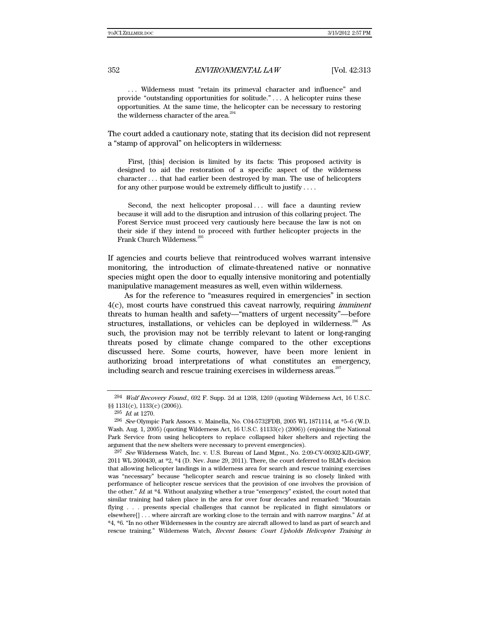. . . Wilderness must "retain its primeval character and influence" and provide "outstanding opportunities for solitude." . . . A helicopter ruins these opportunities. At the same time, the helicopter can be necessary to restoring the wilderness character of the area. $^{294}$ 

The court added a cautionary note, stating that its decision did not represent a "stamp of approval" on helicopters in wilderness:

First, [this] decision is limited by its facts: This proposed activity is designed to aid the restoration of a specific aspect of the wilderness character . . . that had earlier been destroyed by man. The use of helicopters for any other purpose would be extremely difficult to justify . . . .

Second, the next helicopter proposal... will face a daunting review because it will add to the disruption and intrusion of this collaring project. The Forest Service must proceed very cautiously here because the law is not on their side if they intend to proceed with further helicopter projects in the Frank Church Wilderness.<sup>295</sup>

If agencies and courts believe that reintroduced wolves warrant intensive monitoring, the introduction of climate-threatened native or nonnative species might open the door to equally intensive monitoring and potentially manipulative management measures as well, even within wilderness.

As for the reference to "measures required in emergencies" in section 4(c), most courts have construed this caveat narrowly, requiring imminent threats to human health and safety—"matters of urgent necessity"—before structures, installations, or vehicles can be deployed in wilderness.<sup>296</sup> As such, the provision may not be terribly relevant to latent or long-ranging threats posed by climate change compared to the other exceptions discussed here. Some courts, however, have been more lenient in authorizing broad interpretations of what constitutes an emergency, including search and rescue training exercises in wilderness areas.<sup>297</sup>

<sup>294</sup> Wolf Recovery Found., 692 F. Supp. 2d at 1268, 1269 (quoting Wilderness Act, 16 U.S.C. §§ 1131(c), 1133(c) (2006)).

 $295$  *Id.* at 1270.

 $^{296}$  See Olympic Park Assocs. v. Mainella, No. C04-5732FDB, 2005 WL 1871114, at  $*5-6$  (W.D. Wash. Aug. 1, 2005) (quoting Wilderness Act, 16 U.S.C. §1133(c) (2006)) (enjoining the National Park Service from using helicopters to replace collapsed hiker shelters and rejecting the argument that the new shelters were necessary to prevent emergencies).

 $297$  See Wilderness Watch, Inc. v. U.S. Bureau of Land Mgmt., No. 2:09-CV-00302-KJD-GWF, 2011 WL 2600430, at \*2, \*4 (D. Nev. June 29, 2011). There, the court deferred to BLM's decision that allowing helicopter landings in a wilderness area for search and rescue training exercises was "necessary" because "helicopter search and rescue training is so closely linked with performance of helicopter rescue services that the provision of one involves the provision of the other." Id. at \*4. Without analyzing whether a true "emergency" existed, the court noted that similar training had taken place in the area for over four decades and remarked: "Mountain flying . . . presents special challenges that cannot be replicated in flight simulators or elsewhere[] . . . where aircraft are working close to the terrain and with narrow margins." Id. at \*4, \*6. "In no other Wildernesses in the country are aircraft allowed to land as part of search and rescue training." Wilderness Watch, Recent Issues: Court Upholds Helicopter Training in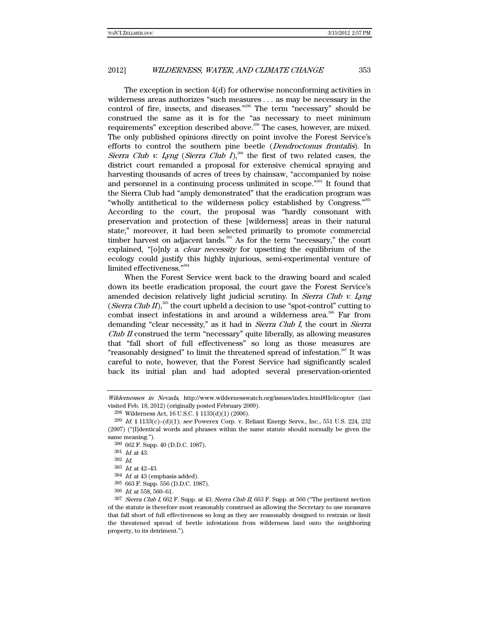The exception in section 4(d) for otherwise nonconforming activities in wilderness areas authorizes "such measures . . . as may be necessary in the control of fire, insects, and diseases."<sup>298</sup> The term "necessary" should be construed the same as it is for the "as necessary to meet minimum requirements" exception described above.<sup>299</sup> The cases, however, are mixed. The only published opinions directly on point involve the Forest Service's efforts to control the southern pine beetle (Dendroctonus frontalis). In Sierra Club v. Lyng (Sierra Club I),<sup>300</sup> the first of two related cases, the district court remanded a proposal for extensive chemical spraying and harvesting thousands of acres of trees by chainsaw, "accompanied by noise and personnel in a continuing process unlimited in scope.<sup>"301</sup> It found that the Sierra Club had "amply demonstrated" that the eradication program was "wholly antithetical to the wilderness policy established by Congress."<sup>302</sup> According to the court, the proposal was "hardly consonant with preservation and protection of these [wilderness] areas in their natural state;" moreover, it had been selected primarily to promote commercial timber harvest on adjacent lands. $303$  As for the term "necessary," the court explained, "[o]nly a *clear necessity* for upsetting the equilibrium of the ecology could justify this highly injurious, semi-experimental venture of limited effectiveness."304

When the Forest Service went back to the drawing board and scaled down its beetle eradication proposal, the court gave the Forest Service's amended decision relatively light judicial scrutiny. In Sierra Club v. Lyng (Sierra Club II),<sup>305</sup> the court upheld a decision to use "spot-control" cutting to combat insect infestations in and around a wilderness area.<sup>306</sup> Far from demanding "clear necessity," as it had in Sierra Club I, the court in Sierra Club II construed the term "necessary" quite liberally, as allowing measures that "fall short of full effectiveness" so long as those measures are "reasonably designed" to limit the threatened spread of infestation.<sup>307</sup> It was careful to note, however, that the Forest Service had significantly scaled back its initial plan and had adopted several preservation-oriented

Wildernesses in Nevada, http://www.wildernesswatch.org/issues/index.html#Helicopter (last visited Feb. 18, 2012) (originally posted February 2009).

 $298$  Wilderness Act, 16 U.S.C. § 1133(d)(1) (2006).

 $^{299}$  *Id.* § 1133(c)–(d)(1); see Powerex Corp. v. Reliant Energy Servs., Inc., 551 U.S. 224, 232 (2007) ("[I]dentical words and phrases within the same statute should normally be given the same meaning.").

<sup>300 662</sup> F. Supp. 40 (D.D.C. 1987).

<sup>301</sup> Id. at 43.

<sup>302</sup> Id.

 $303$  *Id.* at  $42-43$ .

 $304$  *Id.* at 43 (emphasis added).

<sup>305 663</sup> F. Supp. 556 (D.D.C. 1987).

 $306$  *Id.* at 558, 560-61.

 $307$  Sierra Club I, 662 F. Supp. at 43; Sierra Club II, 663 F. Supp. at 560 ("The pertinent section of the statute is therefore most reasonably construed as allowing the Secretary to use measures that fall short of full effectiveness so long as they are reasonably designed to restrain or limit the threatened spread of beetle infestations from wilderness land onto the neighboring property, to its detriment.").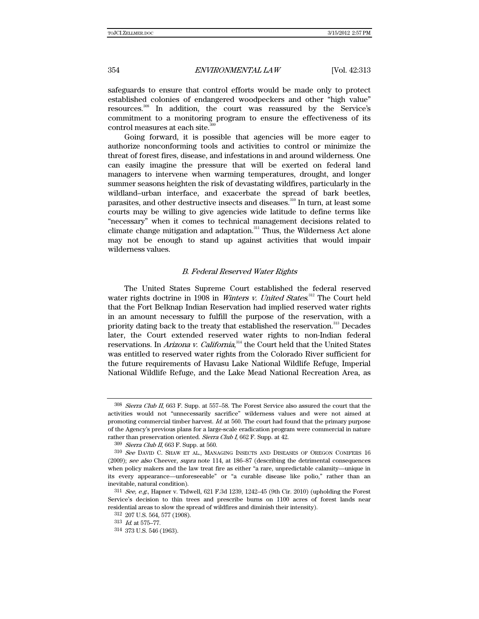safeguards to ensure that control efforts would be made only to protect established colonies of endangered woodpeckers and other "high value" resources.<sup>308</sup> In addition, the court was reassured by the Service's commitment to a monitoring program to ensure the effectiveness of its control measures at each site.<sup>309</sup>

Going forward, it is possible that agencies will be more eager to authorize nonconforming tools and activities to control or minimize the threat of forest fires, disease, and infestations in and around wilderness. One can easily imagine the pressure that will be exerted on federal land managers to intervene when warming temperatures, drought, and longer summer seasons heighten the risk of devastating wildfires, particularly in the wildland–urban interface, and exacerbate the spread of bark beetles, parasites, and other destructive insects and diseases.<sup>310</sup> In turn, at least some courts may be willing to give agencies wide latitude to define terms like "necessary" when it comes to technical management decisions related to climate change mitigation and adaptation. $311$  Thus, the Wilderness Act alone may not be enough to stand up against activities that would impair wilderness values.

#### B. Federal Reserved Water Rights

The United States Supreme Court established the federal reserved water rights doctrine in 1908 in *Winters v. United States*.<sup>312</sup> The Court held that the Fort Belknap Indian Reservation had implied reserved water rights in an amount necessary to fulfill the purpose of the reservation, with a priority dating back to the treaty that established the reservation.<sup>313</sup> Decades later, the Court extended reserved water rights to non-Indian federal reservations. In *Arizona v. California*,<sup>314</sup> the Court held that the United States was entitled to reserved water rights from the Colorado River sufficient for the future requirements of Havasu Lake National Wildlife Refuge, Imperial National Wildlife Refuge, and the Lake Mead National Recreation Area, as

<sup>308</sup> Sierra Club II, 663 F. Supp. at 557–58. The Forest Service also assured the court that the activities would not "unnecessarily sacrifice" wilderness values and were not aimed at promoting commercial timber harvest. Id. at 560. The court had found that the primary purpose of the Agency's previous plans for a large-scale eradication program were commercial in nature rather than preservation oriented. Sierra Club I, 662 F. Supp. at 42.

<sup>309</sup> Sierra Club II, 663 F. Supp. at 560.

<sup>310</sup> See DAVID C. SHAW ET AL., MANAGING INSECTS AND DISEASES OF OREGON CONIFERS 16 (2009); see also Cheever, supra note 114, at 186–87 (describing the detrimental consequences when policy makers and the law treat fire as either "a rare, unpredictable calamity—unique in its every appearance—unforeseeable" or "a curable disease like polio," rather than an inevitable, natural condition).

 $311$  See, e.g., Hapner v. Tidwell, 621 F.3d 1239, 1242–45 (9th Cir. 2010) (upholding the Forest Service's decision to thin trees and prescribe burns on 1100 acres of forest lands near residential areas to slow the spread of wildfires and diminish their intensity).

<sup>312 207</sup> U.S. 564, 577 (1908).

<sup>313</sup> Id. at 575–77.

<sup>314 373</sup> U.S. 546 (1963).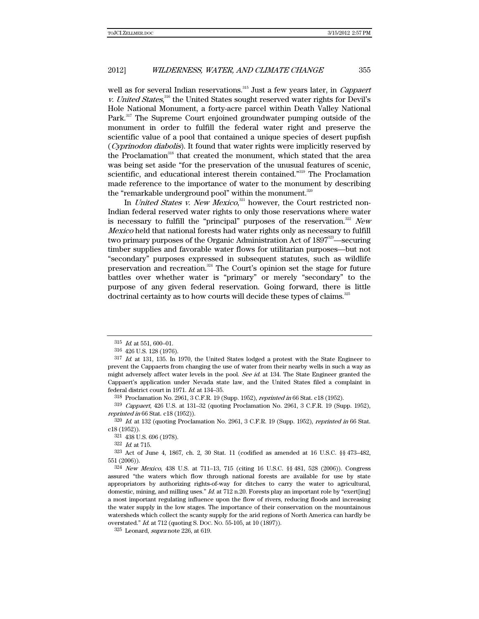well as for several Indian reservations.<sup>315</sup> Just a few years later, in *Cappaert* v. United States,<sup>316</sup> the United States sought reserved water rights for Devil's Hole National Monument, a forty-acre parcel within Death Valley National Park.<sup>317</sup> The Supreme Court enjoined groundwater pumping outside of the monument in order to fulfill the federal water right and preserve the scientific value of a pool that contained a unique species of desert pupfish (Cyprinodon diabolis). It found that water rights were implicitly reserved by the Proclamation<sup>318</sup> that created the monument, which stated that the area was being set aside "for the preservation of the unusual features of scenic, scientific, and educational interest therein contained."<sup>319</sup> The Proclamation made reference to the importance of water to the monument by describing the "remarkable underground pool" within the monument.<sup>320</sup>

In *United States v. New Mexico*,<sup>321</sup> however, the Court restricted non-Indian federal reserved water rights to only those reservations where water is necessary to fulfill the "principal" purposes of the reservation.<sup>322</sup> New Mexico held that national forests had water rights only as necessary to fulfill two primary purposes of the Organic Administration Act of  $1897^{\text{22}}$ —securing timber supplies and favorable water flows for utilitarian purposes—but not "secondary" purposes expressed in subsequent statutes, such as wildlife preservation and recreation. $324$  The Court's opinion set the stage for future battles over whether water is "primary" or merely "secondary" to the purpose of any given federal reservation. Going forward, there is little doctrinal certainty as to how courts will decide these types of claims.<sup>325</sup>

 $322\,$   $\emph{Id.}$  at 715.

 $315$  *Id.* at 551, 600–01.

<sup>316 426</sup> U.S. 128 (1976).

<sup>317</sup> Id. at 131, 135. In 1970, the United States lodged a protest with the State Engineer to prevent the Cappaerts from changing the use of water from their nearby wells in such a way as might adversely affect water levels in the pool. See id. at 134. The State Engineer granted the Cappaert's application under Nevada state law, and the United States filed a complaint in federal district court in 1971. Id. at 134–35.

<sup>318</sup> Proclamation No. 2961, 3 C.F.R. 19 (Supp. 1952), reprinted in 66 Stat. c18 (1952).

<sup>319</sup> Cappaert, 426 U.S. at 131–32 (quoting Proclamation No. 2961, 3 C.F.R. 19 (Supp. 1952), reprinted in 66 Stat. c18 (1952)).

 $320$  *Id.* at 132 (quoting Proclamation No. 2961, 3 C.F.R. 19 (Supp. 1952), *reprinted in* 66 Stat. c18 (1952)).

<sup>321 438</sup> U.S. 696 (1978).

<sup>323</sup> Act of June 4, 1867, ch. 2, 30 Stat. 11 (codified as amended at 16 U.S.C. §§ 473–482, 551 (2006)).

<sup>324</sup> New Mexico, 438 U.S. at 711–13, 715 (citing 16 U.S.C. §§ 481, 528 (2006)). Congress assured "the waters which flow through national forests are available for use by state appropriators by authorizing rights-of-way for ditches to carry the water to agricultural, domestic, mining, and milling uses."  $Id$  at 712 n.20. Forests play an important role by "exert[ing] a most important regulating influence upon the flow of rivers, reducing floods and increasing the water supply in the low stages. The importance of their conservation on the mountainous watersheds which collect the scanty supply for the arid regions of North America can hardly be overstated." Id. at 712 (quoting S. DOC. NO. 55-105, at 10 (1897)).

 $325$  Leonard, *supra* note 226, at 619.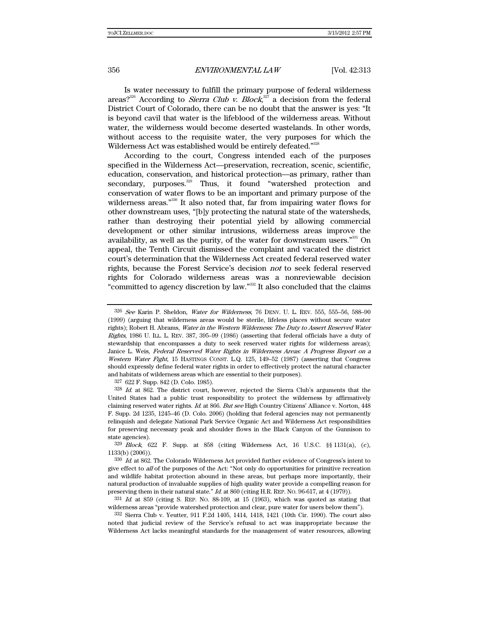Is water necessary to fulfill the primary purpose of federal wilderness areas?<sup>326</sup> According to *Sierra Club v. Block*,<sup>327</sup> a decision from the federal District Court of Colorado, there can be no doubt that the answer is yes: "It is beyond cavil that water is the lifeblood of the wilderness areas. Without water, the wilderness would become deserted wastelands. In other words, without access to the requisite water, the very purposes for which the Wilderness Act was established would be entirely defeated."<sup>328</sup>

According to the court, Congress intended each of the purposes specified in the Wilderness Act—preservation, recreation, scenic, scientific, education, conservation, and historical protection—as primary, rather than secondary, purposes.<sup>329</sup> Thus, it found "watershed protection and conservation of water flows to be an important and primary purpose of the wilderness areas."<sup>330</sup> It also noted that, far from impairing water flows for other downstream uses, "[b]y protecting the natural state of the watersheds, rather than destroying their potential yield by allowing commercial development or other similar intrusions, wilderness areas improve the availability, as well as the purity, of the water for downstream users."<sup>331</sup> On appeal, the Tenth Circuit dismissed the complaint and vacated the district court's determination that the Wilderness Act created federal reserved water rights, because the Forest Service's decision not to seek federal reserved rights for Colorado wilderness areas was a nonreviewable decision "committed to agency discretion by law."332 It also concluded that the claims

327 622 F. Supp. 842 (D. Colo. 1985).

332 Sierra Club v. Yeutter, 911 F.2d 1405, 1414, 1418, 1421 (10th Cir. 1990). The court also noted that judicial review of the Service's refusal to act was inappropriate because the Wilderness Act lacks meaningful standards for the management of water resources, allowing

<sup>326</sup> See Karin P. Sheldon, Water for Wilderness, 76 DENV. U. L. REV. 555, 555-56, 588-90 (1999) (arguing that wilderness areas would be sterile, lifeless places without secure water rights); Robert H. Abrams, Water in the Western Wilderness: The Duty to Assert Reserved Water Rights, 1986 U. ILL. L. REV. 387, 395–99 (1986) (asserting that federal officials have a duty of stewardship that encompasses a duty to seek reserved water rights for wilderness areas); Janice L. Weis, Federal Reserved Water Rights in Wilderness Areas: A Progress Report on a Western Water Fight, 15 HASTINGS CONST. L.Q. 125, 149–52 (1987) (asserting that Congress should expressly define federal water rights in order to effectively protect the natural character and habitats of wilderness areas which are essential to their purposes).

 $328$  Id. at 862. The district court, however, rejected the Sierra Club's arguments that the United States had a public trust responsibility to protect the wilderness by affirmatively claiming reserved water rights. Id. at 866. But see High Country Citizens' Alliance v. Norton, 448 F. Supp. 2d 1235, 1245–46 (D. Colo. 2006) (holding that federal agencies may not permanently relinquish and delegate National Park Service Organic Act and Wilderness Act responsibilities for preserving necessary peak and shoulder flows in the Black Canyon of the Gunnison to state agencies).

 $329$  Block,  $622$  F. Supp. at  $858$  (citing Wilderness Act, 16 U.S.C.  $\S$ § 1131(a), (c), 1133(b) (2006)).

 $330$  *Id.* at 862. The Colorado Wilderness Act provided further evidence of Congress's intent to give effect to all of the purposes of the Act: "Not only do opportunities for primitive recreation and wildlife habitat protection abound in these areas, but perhaps more importantly, their natural production of invaluable supplies of high quality water provide a compelling reason for preserving them in their natural state." *Id.* at 860 (citing H.R. REP. No. 96-617, at 4 (1979)).

 $331$  Id. at 859 (citing S. REP. No. 88-109, at 15 (1963), which was quoted as stating that wilderness areas "provide watershed protection and clear, pure water for users below them").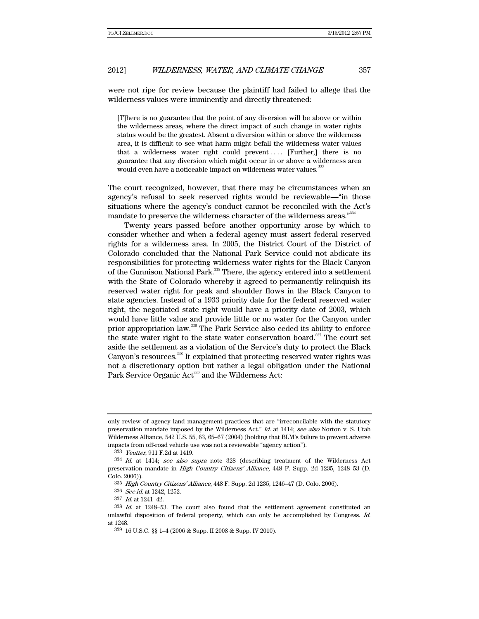were not ripe for review because the plaintiff had failed to allege that the wilderness values were imminently and directly threatened:

[T]here is no guarantee that the point of any diversion will be above or within the wilderness areas, where the direct impact of such change in water rights status would be the greatest. Absent a diversion within or above the wilderness area, it is difficult to see what harm might befall the wilderness water values that a wilderness water right could prevent . . . . [Further,] there is no guarantee that any diversion which might occur in or above a wilderness area would even have a noticeable impact on wilderness water values.<sup>333</sup>

The court recognized, however, that there may be circumstances when an agency's refusal to seek reserved rights would be reviewable—"in those situations where the agency's conduct cannot be reconciled with the Act's mandate to preserve the wilderness character of the wilderness areas."<sup>334</sup>

Twenty years passed before another opportunity arose by which to consider whether and when a federal agency must assert federal reserved rights for a wilderness area. In 2005, the District Court of the District of Colorado concluded that the National Park Service could not abdicate its responsibilities for protecting wilderness water rights for the Black Canyon of the Gunnison National Park.<sup>335</sup> There, the agency entered into a settlement with the State of Colorado whereby it agreed to permanently relinquish its reserved water right for peak and shoulder flows in the Black Canyon to state agencies. Instead of a 1933 priority date for the federal reserved water right, the negotiated state right would have a priority date of 2003, which would have little value and provide little or no water for the Canyon under prior appropriation law.336 The Park Service also ceded its ability to enforce the state water right to the state water conservation board. $337$  The court set aside the settlement as a violation of the Service's duty to protect the Black Canyon's resources.<sup>338</sup> It explained that protecting reserved water rights was not a discretionary option but rather a legal obligation under the National Park Service Organic Act<sup>339</sup> and the Wilderness Act:

336 See id. at 1242, 1252.

only review of agency land management practices that are "irreconcilable with the statutory preservation mandate imposed by the Wilderness Act." Id. at 1414; see also Norton v. S. Utah Wilderness Alliance, 542 U.S. 55, 63, 65–67 (2004) (holding that BLM's failure to prevent adverse impacts from off-road vehicle use was not a reviewable "agency action").

<sup>333</sup> Yeutter, 911 F.2d at 1419.

 $334$  *Id.* at 1414; see also supra note 328 (describing treatment of the Wilderness Act preservation mandate in High Country Citizens' Alliance, 448 F. Supp. 2d 1235, 1248–53 (D. Colo. 2006)).

<sup>335</sup> High Country Citizens' Alliance, 448 F. Supp. 2d 1235, 1246–47 (D. Colo. 2006).

<sup>337</sup> Id. at 1241–42.

 $338$  Id. at 1248–53. The court also found that the settlement agreement constituted an unlawful disposition of federal property, which can only be accomplished by Congress. Id. at 1248.

<sup>339 16</sup> U.S.C. §§ 1–4 (2006 & Supp. II 2008 & Supp. IV 2010).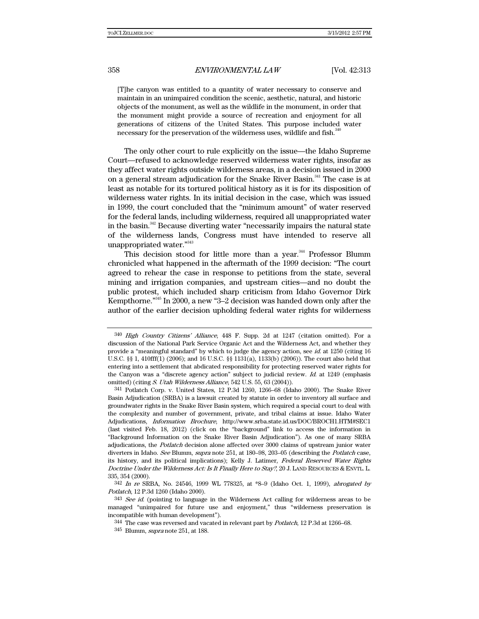[T]he canyon was entitled to a quantity of water necessary to conserve and maintain in an unimpaired condition the scenic, aesthetic, natural, and historic objects of the monument, as well as the wildlife in the monument, in order that the monument might provide a source of recreation and enjoyment for all generations of citizens of the United States. This purpose included water necessary for the preservation of the wilderness uses, wildlife and fish.<sup>340</sup>

The only other court to rule explicitly on the issue—the Idaho Supreme Court—refused to acknowledge reserved wilderness water rights, insofar as they affect water rights outside wilderness areas, in a decision issued in 2000 on a general stream adjudication for the Snake River Basin.<sup>341</sup> The case is at least as notable for its tortured political history as it is for its disposition of wilderness water rights. In its initial decision in the case, which was issued in 1999, the court concluded that the "minimum amount" of water reserved for the federal lands, including wilderness, required all unappropriated water in the basin.<sup>342</sup> Because diverting water "necessarily impairs the natural state of the wilderness lands, Congress must have intended to reserve all unappropriated water."<sup>343</sup>

This decision stood for little more than a year.<sup>344</sup> Professor Blumm chronicled what happened in the aftermath of the 1999 decision: "The court agreed to rehear the case in response to petitions from the state, several mining and irrigation companies, and upstream cities—and no doubt the public protest, which included sharp criticism from Idaho Governor Dirk Kempthorne."345 In 2000, a new "3–2 decision was handed down only after the author of the earlier decision upholding federal water rights for wilderness

<sup>340</sup> High Country Citizens' Alliance, 448 F. Supp. 2d at 1247 (citation omitted). For a discussion of the National Park Service Organic Act and the Wilderness Act, and whether they provide a "meaningful standard" by which to judge the agency action, see id. at 1250 (citing 16 U.S.C. §§ 1, 410fff(1) (2006); and 16 U.S.C. §§ 1131(a), 1133(b) (2006)). The court also held that entering into a settlement that abdicated responsibility for protecting reserved water rights for the Canyon was a "discrete agency action" subject to judicial review. Id. at 1249 (emphasis omitted) (citing S. Utah Wilderness Alliance, 542 U.S. 55, 63 (2004)).

<sup>341</sup> Potlatch Corp. v. United States, 12 P.3d 1260, 1266–68 (Idaho 2000). The Snake River Basin Adjudication (SRBA) is a lawsuit created by statute in order to inventory all surface and groundwater rights in the Snake River Basin system, which required a special court to deal with the complexity and number of government, private, and tribal claims at issue. Idaho Water Adjudications, Information Brochure, http://www.srba.state.id.us/DOC/BROCH1.HTM#SEC1 (last visited Feb. 18, 2012) (click on the "background" link to access the information in "Background Information on the Snake River Basin Adjudication"). As one of many SRBA adjudications, the *Potlatch* decision alone affected over 3000 claims of upstream junior water diverters in Idaho. See Blumm, supra note 251, at 180–98, 203–05 (describing the *Potlatch* case, its history, and its political implications); Kelly J. Latimer, Federal Reserved Water Rights Doctrine Under the Wilderness Act: Is It Finally Here to Stay?, 20 J. LAND RESOURCES & ENVTL. L. 335, 354 (2000).

 $342$  In re SRBA, No. 24546, 1999 WL 778325, at  $*8-9$  (Idaho Oct. 1, 1999), abrogated by Potlatch, 12 P.3d 1260 (Idaho 2000).

<sup>&</sup>lt;sup>343</sup> See id. (pointing to language in the Wilderness Act calling for wilderness areas to be managed "unimpaired for future use and enjoyment," thus "wilderness preservation is incompatible with human development").

<sup>&</sup>lt;sup>344</sup> The case was reversed and vacated in relevant part by *Potlatch*, 12 P.3d at 1266–68.

<sup>345</sup> Blumm, *supra* note 251, at 188.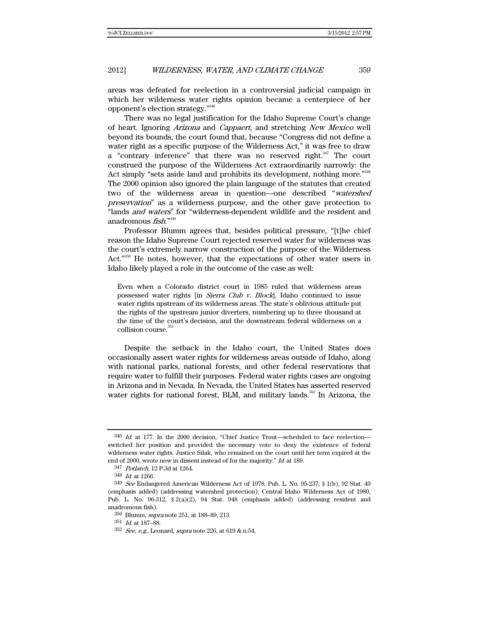areas was defeated for reelection in a controversial judicial campaign in which her wilderness water rights opinion became a centerpiece of her opponent's election strategy."346

There was no legal justification for the Idaho Supreme Court's change of heart. Ignoring Arizona and Cappaert, and stretching New Mexico well beyond its bounds, the court found that, because "Congress did not define a water right as a specific purpose of the Wilderness Act," it was free to draw a "contrary inference" that there was no reserved right.<sup>347</sup> The court construed the purpose of the Wilderness Act extraordinarily narrowly: the Act simply "sets aside land and prohibits its development, nothing more."<sup>348</sup> The 2000 opinion also ignored the plain language of the statutes that created two of the wilderness areas in question—one described "watershed preservation" as a wilderness purpose, and the other gave protection to "lands and waters" for "wilderness-dependent wildlife and the resident and anadromous *fish*."<sup>349</sup>

Professor Blumm agrees that, besides political pressure, "[t]he chief reason the Idaho Supreme Court rejected reserved water for wilderness was the court's extremely narrow construction of the purpose of the Wilderness Act."350 He notes, however, that the expectations of other water users in Idaho likely played a role in the outcome of the case as well:

Even when a Colorado district court in 1985 ruled that wilderness areas possessed water rights [in *Sierra Club v. Block*], Idaho continued to issue water rights upstream of its wilderness areas. The state's oblivious attitude put the rights of the upstream junior diverters, numbering up to three thousand at the time of the court's decision, and the downstream federal wilderness on a collision course.<sup>351</sup>

Despite the setback in the Idaho court, the United States does occasionally assert water rights for wilderness areas outside of Idaho, along with national parks, national forests, and other federal reservations that require water to fulfill their purposes. Federal water rights cases are ongoing in Arizona and in Nevada. In Nevada, the United States has asserted reserved water rights for national forest, BLM, and military lands.<sup>352</sup> In Arizona, the

 $346$  *Id.* at 177. In the 2000 decision, "Chief Justice Trout—scheduled to face reelection switched her position and provided the necessary vote to deny the existence of federal wilderness water rights. Justice Silak, who remained on the court until her term expired at the end of 2000, wrote now in dissent instead of for the majority." Id. at 189.

<sup>347</sup> Potlatch, 12 P.3d at 1264.

<sup>348</sup> Id. at 1266.

<sup>349</sup> See Endangered American Wilderness Act of 1978, Pub. L. No. 95-237, § 1(b), 92 Stat. 40 (emphasis added) (addressing watershed protection); Central Idaho Wilderness Act of 1980, Pub. L. No. 96-312, § 2(a)(2), 94 Stat. 948 (emphasis added) (addressing resident and anadromous fish).

<sup>350</sup> Blumm, supra note 251, at 188–89, 213.

<sup>351</sup> Id. at 187–88.

 $352$  See, e.g., Leonard, supra note 226, at 619 & n.54.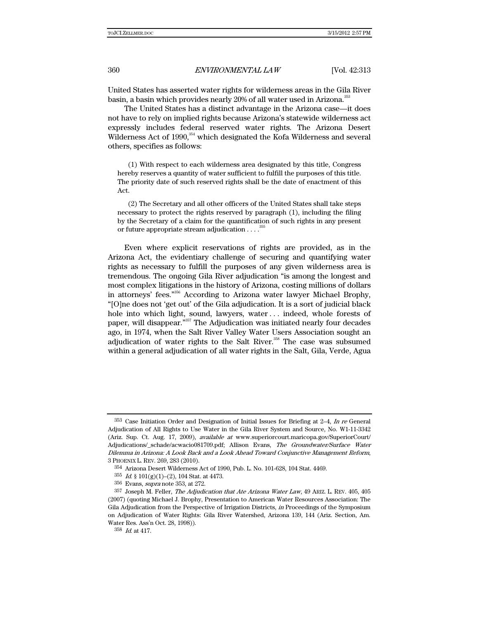United States has asserted water rights for wilderness areas in the Gila River basin, a basin which provides nearly 20% of all water used in Arizona.<sup>353</sup>

The United States has a distinct advantage in the Arizona case—it does not have to rely on implied rights because Arizona's statewide wilderness act expressly includes federal reserved water rights. The Arizona Desert Wilderness Act of 1990,<sup>354</sup> which designated the Kofa Wilderness and several others, specifies as follows:

(1) With respect to each wilderness area designated by this title, Congress hereby reserves a quantity of water sufficient to fulfill the purposes of this title. The priority date of such reserved rights shall be the date of enactment of this Act.

(2) The Secretary and all other officers of the United States shall take steps necessary to protect the rights reserved by paragraph (1), including the filing by the Secretary of a claim for the quantification of such rights in any present or future appropriate stream adjudication  $\ldots$ .<sup>35</sup>

Even where explicit reservations of rights are provided, as in the Arizona Act, the evidentiary challenge of securing and quantifying water rights as necessary to fulfill the purposes of any given wilderness area is tremendous. The ongoing Gila River adjudication "is among the longest and most complex litigations in the history of Arizona, costing millions of dollars in attorneys' fees."356 According to Arizona water lawyer Michael Brophy, "[O]ne does not 'get out' of the Gila adjudication. It is a sort of judicial black hole into which light, sound, lawyers, water ... indeed, whole forests of paper, will disappear."<sup>357</sup> The Adjudication was initiated nearly four decades ago, in 1974, when the Salt River Valley Water Users Association sought an adjudication of water rights to the Salt River.<sup>358</sup> The case was subsumed within a general adjudication of all water rights in the Salt, Gila, Verde, Agua

<sup>353</sup> Case Initiation Order and Designation of Initial Issues for Briefing at 2–4, In re General Adjudication of All Rights to Use Water in the Gila River System and Source, No. W1-11-3342 (Ariz. Sup. Ct. Aug. 17, 2009), available at www.superiorcourt.maricopa.gov/SuperiorCourt/ Adjudications/\_schade/acwacio081709.pdf; Allison Evans, The Groundwater/Surface Water Dilemma in Arizona: A Look Back and a Look Ahead Toward Conjunctive Management Reform, 3 PHOENIX L. REV. 269, 283 (2010).

<sup>354</sup> Arizona Desert Wilderness Act of 1990, Pub. L. No. 101-628, 104 Stat. 4469.

<sup>355</sup> Id. § 101(g)(1)–(2), 104 Stat. at 4473.

<sup>356</sup> Evans, supra note 353, at 272.

<sup>357</sup> Joseph M. Feller, The Adjudication that Ate Arizona Water Law, 49 ARIZ. L. REV. 405, 405 (2007) (quoting Michael J. Brophy, Presentation to American Water Resources Association: The Gila Adjudication from the Perspective of Irrigation Districts, in Proceedings of the Symposium on Adjudication of Water Rights: Gila River Watershed, Arizona 139, 144 (Ariz. Section, Am. Water Res. Ass'n Oct. 28, 1998)).

<sup>358</sup> Id. at 417.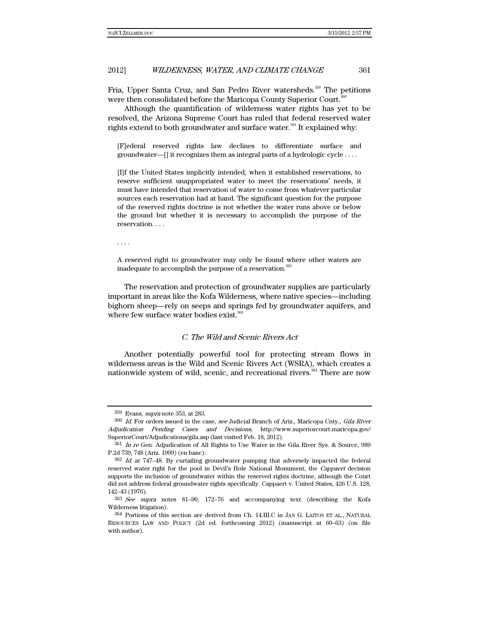#### 2012] *WILDERNESS, WATER, AND CLIMATE CHANGE* 361

Fria, Upper Santa Cruz, and San Pedro River watersheds.<sup>359</sup> The petitions were then consolidated before the Maricopa County Superior Court.<sup>360</sup>

Although the quantification of wilderness water rights has yet to be resolved, the Arizona Supreme Court has ruled that federal reserved water rights extend to both groundwater and surface water.<sup>361</sup> It explained why:

[F]ederal reserved rights law declines to differentiate surface and groundwater—[] it recognizes them as integral parts of a hydrologic cycle . . . .

[I]f the United States implicitly intended, when it established reservations, to reserve sufficient unappropriated water to meet the reservations' needs, it must have intended that reservation of water to come from whatever particular sources each reservation had at hand. The significant question for the purpose of the reserved rights doctrine is not whether the water runs above or below the ground but whether it is necessary to accomplish the purpose of the reservation. . . .

. . . .

A reserved right to groundwater may only be found where other waters are inadequate to accomplish the purpose of a reservation.<sup>362</sup>

The reservation and protection of groundwater supplies are particularly important in areas like the Kofa Wilderness, where native species—including bighorn sheep—rely on seeps and springs fed by groundwater aquifers, and where few surface water bodies exist.<sup>363</sup>

#### C. The Wild and Scenic Rivers Act

Another potentially powerful tool for protecting stream flows in wilderness areas is the Wild and Scenic Rivers Act (WSRA), which creates a nationwide system of wild, scenic, and recreational rivers.<sup>364</sup> There are now

<sup>359</sup> Evans, supra note 353, at 283.

<sup>360</sup> Id. For orders issued in the case, see Judicial Branch of Ariz., Maricopa Cnty., Gila River Adjudication Pending Cases and Decisions, http://www.superiorcourt.maricopa.gov/ SuperiorCourt/Adjudications/gila.asp (last visited Feb. 18, 2012).

<sup>&</sup>lt;sup>361</sup> In re Gen. Adjudication of All Rights to Use Water in the Gila River Sys. & Source, 989 P.2d 739, 748 (Ariz. 1999) (en banc).

 $362$  *Id.* at 747–48. By curtailing groundwater pumping that adversely impacted the federal reserved water right for the pool in Devil's Hole National Monument, the *Cappaert* decision supports the inclusion of groundwater within the reserved rights doctrine, although the Court did not address federal groundwater rights specifically. Cappaert v. United States, 426 U.S. 128, 142–43 (1976).

<sup>363</sup> See supra notes 81–90, 172–76 and accompanying text (describing the Kofa Wilderness litigation).

<sup>364</sup> Portions of this section are derived from Ch. 14.III.C in JAN G. LAITOS ET AL., NATURAL RESOURCES LAW AND POLICY (2d ed. forthcoming 2012) (manuscript at 60–63) (on file with author).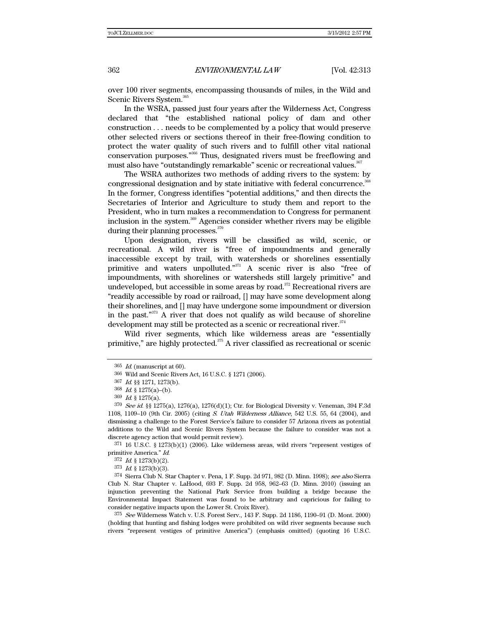over 100 river segments, encompassing thousands of miles, in the Wild and Scenic Rivers System.<sup>365</sup>

In the WSRA, passed just four years after the Wilderness Act, Congress declared that "the established national policy of dam and other construction . . . needs to be complemented by a policy that would preserve other selected rivers or sections thereof in their free-flowing condition to protect the water quality of such rivers and to fulfill other vital national conservation purposes."366 Thus, designated rivers must be freeflowing and must also have "outstandingly remarkable" scenic or recreational values.<sup>367</sup>

The WSRA authorizes two methods of adding rivers to the system: by congressional designation and by state initiative with federal concurrence.<sup>368</sup> In the former, Congress identifies "potential additions," and then directs the Secretaries of Interior and Agriculture to study them and report to the President, who in turn makes a recommendation to Congress for permanent inclusion in the system.<sup>369</sup> Agencies consider whether rivers may be eligible during their planning processes.<sup>370</sup>

Upon designation, rivers will be classified as wild, scenic, or recreational. A wild river is "free of impoundments and generally inaccessible except by trail, with watersheds or shorelines essentially primitive and waters unpolluted."371 A scenic river is also "free of impoundments, with shorelines or watersheds still largely primitive" and undeveloped, but accessible in some areas by road. $372$  Recreational rivers are "readily accessible by road or railroad, [] may have some development along their shorelines, and [] may have undergone some impoundment or diversion in the past."373 A river that does not qualify as wild because of shoreline development may still be protected as a scenic or recreational river.<sup>374</sup>

Wild river segments, which like wilderness areas are "essentially primitive," are highly protected.<sup>375</sup> A river classified as recreational or scenic

 $371$  16 U.S.C. § 1273(b)(1) (2006). Like wilderness areas, wild rivers "represent vestiges of primitive America." Id.

 $372$  *Id.* § 1273(b)(2).

 $373$  *Id.* § 1273(b)(3).

374 Sierra Club N. Star Chapter v. Pena, 1 F. Supp. 2d 971, 982 (D. Minn. 1998); see also Sierra Club N. Star Chapter v. LaHood, 693 F. Supp. 2d 958, 962–63 (D. Minn. 2010) (issuing an injunction preventing the National Park Service from building a bridge because the Environmental Impact Statement was found to be arbitrary and capricious for failing to consider negative impacts upon the Lower St. Croix River).

375 See Wilderness Watch v. U.S. Forest Serv., 143 F. Supp. 2d 1186, 1190–91 (D. Mont. 2000) (holding that hunting and fishing lodges were prohibited on wild river segments because such rivers "represent vestiges of primitive America") (emphasis omitted) (quoting 16 U.S.C.

 $365$  *Id.* (manuscript at 60).

<sup>366</sup> Wild and Scenic Rivers Act, 16 U.S.C. § 1271 (2006).

<sup>367</sup> Id. §§ 1271, 1273(b).

<sup>368</sup> Id. § 1275(a)–(b).

<sup>369</sup> Id. § 1275(a).

 $370$  See id. §§ 1275(a), 1276(a), 1276(d)(1); Ctr. for Biological Diversity v. Veneman, 394 F.3d 1108, 1109–10 (9th Cir. 2005) (citing S. Utah Wilderness Alliance, 542 U.S. 55, 64 (2004), and dismissing a challenge to the Forest Service's failure to consider 57 Arizona rivers as potential additions to the Wild and Scenic Rivers System because the failure to consider was not a discrete agency action that would permit review).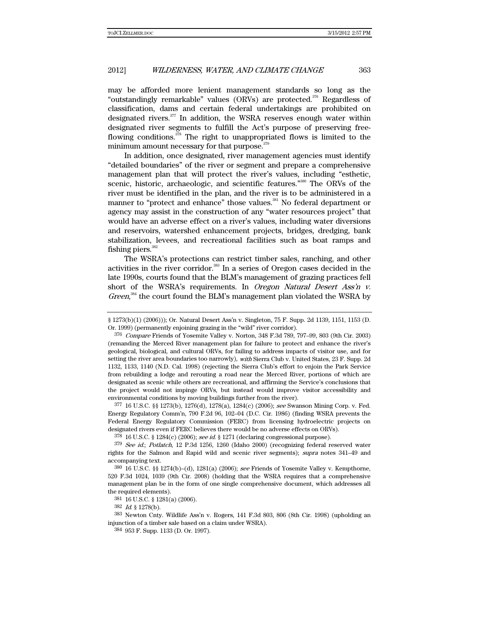may be afforded more lenient management standards so long as the "outstandingly remarkable" values (ORVs) are protected.376 Regardless of classification, dams and certain federal undertakings are prohibited on designated rivers.<sup>377</sup> In addition, the WSRA reserves enough water within designated river segments to fulfill the Act's purpose of preserving freeflowing conditions.<sup>378</sup> The right to unappropriated flows is limited to the minimum amount necessary for that purpose.<sup>379</sup>

In addition, once designated, river management agencies must identify "detailed boundaries" of the river or segment and prepare a comprehensive management plan that will protect the river's values, including "esthetic, scenic, historic, archaeologic, and scientific features."<sup>380</sup> The ORVs of the river must be identified in the plan, and the river is to be administered in a manner to "protect and enhance" those values.<sup>381</sup> No federal department or agency may assist in the construction of any "water resources project" that would have an adverse effect on a river's values, including water diversions and reservoirs, watershed enhancement projects, bridges, dredging, bank stabilization, levees, and recreational facilities such as boat ramps and fishing piers. $382$ 

The WSRA's protections can restrict timber sales, ranching, and other activities in the river corridor.<sup>383</sup> In a series of Oregon cases decided in the late 1990s, courts found that the BLM's management of grazing practices fell short of the WSRA's requirements. In Oregon Natural Desert Ass'n v. Green,<sup>384</sup> the court found the BLM's management plan violated the WSRA by

 $377\,16$  U.S.C. §§ 1273(b), 1276(d), 1278(a), 1284(c) (2006); see Swanson Mining Corp. v. Fed. Energy Regulatory Comm'n, 790 F.2d 96, 102–04 (D.C. Cir. 1986) (finding WSRA prevents the Federal Energy Regulatory Commission (FERC) from licensing hydroelectric projects on designated rivers even if FERC believes there would be no adverse effects on ORVs).

 $378$  16 U.S.C. § 1284(c) (2006); see id. § 1271 (declaring congressional purpose).

379 See id.; Potlatch, 12 P.3d 1256, 1260 (Idaho 2000) (recognizing federal reserved water rights for the Salmon and Rapid wild and scenic river segments); supra notes 341–49 and accompanying text.

380 16 U.S.C. §§ 1274(b)–(d), 1281(a) (2006); see Friends of Yosemite Valley v. Kempthorne, 520 F.3d 1024, 1039 (9th Cir. 2008) (holding that the WSRA requires that a comprehensive management plan be in the form of one single comprehensive document, which addresses all the required elements).

381 16 U.S.C. § 1281(a) (2006).

 $382$  *Id.* § 1278(b).

383 Newton Cnty. Wildlife Ass'n v. Rogers, 141 F.3d 803, 806 (8th Cir. 1998) (upholding an injunction of a timber sale based on a claim under WSRA).

384 953 F. Supp. 1133 (D. Or. 1997).

<sup>§ 1273(</sup>b)(1) (2006))); Or. Natural Desert Ass'n v. Singleton, 75 F. Supp. 2d 1139, 1151, 1153 (D. Or. 1999) (permanently enjoining grazing in the "wild" river corridor).

<sup>376</sup> Compare Friends of Yosemite Valley v. Norton, 348 F.3d 789, 797–99, 803 (9th Cir. 2003) (remanding the Merced River management plan for failure to protect and enhance the river's geological, biological, and cultural ORVs, for failing to address impacts of visitor use, and for setting the river area boundaries too narrowly), with Sierra Club v. United States, 23 F. Supp. 2d 1132, 1133, 1140 (N.D. Cal. 1998) (rejecting the Sierra Club's effort to enjoin the Park Service from rebuilding a lodge and rerouting a road near the Merced River, portions of which are designated as scenic while others are recreational, and affirming the Service's conclusions that the project would not impinge ORVs, but instead would improve visitor accessibility and environmental conditions by moving buildings further from the river).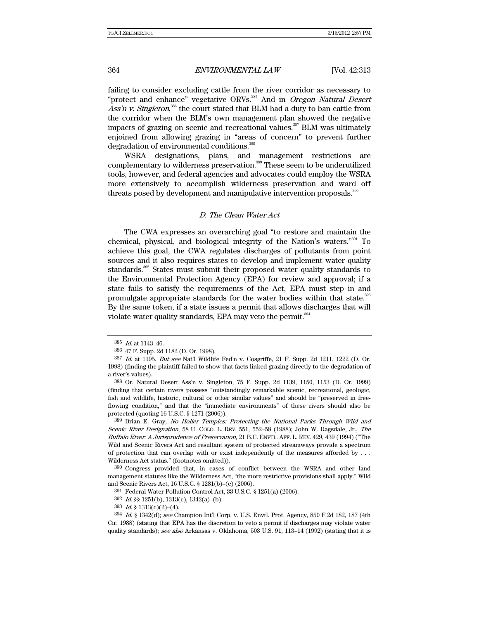failing to consider excluding cattle from the river corridor as necessary to "protect and enhance" vegetative ORVs.<sup>385</sup> And in Oregon Natural Desert Ass'n v. Singleton,<sup>386</sup> the court stated that BLM had a duty to ban cattle from the corridor when the BLM's own management plan showed the negative impacts of grazing on scenic and recreational values.<sup>387</sup> BLM was ultimately enjoined from allowing grazing in "areas of concern" to prevent further degradation of environmental conditions.<sup>388</sup>

WSRA designations, plans, and management restrictions are complementary to wilderness preservation.<sup>389</sup> These seem to be underutilized tools, however, and federal agencies and advocates could employ the WSRA more extensively to accomplish wilderness preservation and ward off threats posed by development and manipulative intervention proposals.<sup>390</sup>

#### D. The Clean Water Act

The CWA expresses an overarching goal "to restore and maintain the chemical, physical, and biological integrity of the Nation's waters."391 To achieve this goal, the CWA regulates discharges of pollutants from point sources and it also requires states to develop and implement water quality standards.<sup>392</sup> States must submit their proposed water quality standards to the Environmental Protection Agency (EPA) for review and approval; if a state fails to satisfy the requirements of the Act, EPA must step in and promulgate appropriate standards for the water bodies within that state.<sup>393</sup> By the same token, if a state issues a permit that allows discharges that will violate water quality standards, EPA may veto the permit.<sup>394</sup>

<sup>385</sup> Id. at 1143–46.

<sup>386 47</sup> F. Supp. 2d 1182 (D. Or. 1998).

 $387$  *Id.* at 1195. *But see* Nat'l Wildlife Fed'n v. Cosgriffe, 21 F. Supp. 2d 1211, 1222 (D. Or. 1998) (finding the plaintiff failed to show that facts linked grazing directly to the degradation of a river's values).

<sup>388</sup> Or. Natural Desert Ass'n v. Singleton, 75 F. Supp. 2d 1139, 1150, 1153 (D. Or. 1999) (finding that certain rivers possess "outstandingly remarkable scenic, recreational, geologic, fish and wildlife, historic, cultural or other similar values" and should be "preserved in freeflowing condition," and that the "immediate environments" of these rivers should also be protected (quoting 16 U.S.C. § 1271 (2006)).

<sup>389</sup> Brian E. Gray, No Holier Temples: Protecting the National Parks Through Wild and Scenic River Designation, 58 U. COLO. L. REV. 551, 552–58 (1988); John W. Ragsdale, Jr., The Buffalo River: A Jurisprudence of Preservation, 21 B.C. ENVTL. AFF. L. REV. 429, 439 (1994) ("The Wild and Scenic Rivers Act and resultant system of protected streamways provide a spectrum of protection that can overlap with or exist independently of the measures afforded by . . . Wilderness Act status." (footnotes omitted)).

<sup>390</sup> Congress provided that, in cases of conflict between the WSRA and other land management statutes like the Wilderness Act, "the more restrictive provisions shall apply." Wild and Scenic Rivers Act, 16 U.S.C. § 1281(b)–(c) (2006).

<sup>391</sup> Federal Water Pollution Control Act, 33 U.S.C. § 1251(a) (2006).

<sup>392</sup> Id. §§ 1251(b), 1313(c), 1342(a)–(b).

 $393$  *Id.* § 1313(c)(2)–(4).

<sup>394</sup> Id. § 1342(d); see Champion Int'l Corp. v. U.S. Envtl. Prot. Agency, 850 F.2d 182, 187 (4th Cir. 1988) (stating that EPA has the discretion to veto a permit if discharges may violate water quality standards); see also Arkansas v. Oklahoma, 503 U.S. 91, 113-14 (1992) (stating that it is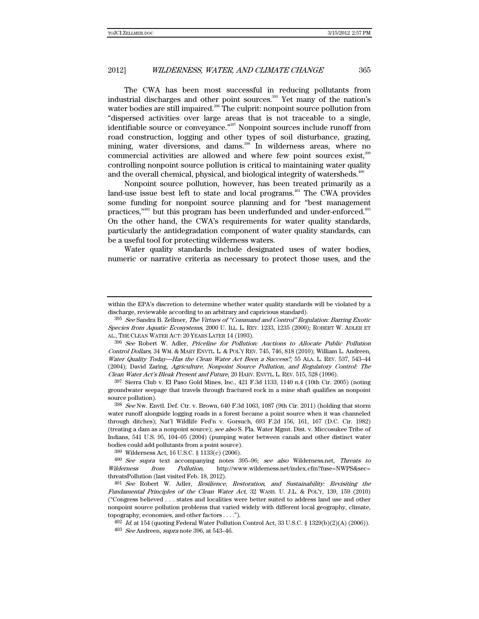The CWA has been most successful in reducing pollutants from industrial discharges and other point sources.<sup>395</sup> Yet many of the nation's water bodies are still impaired.<sup>396</sup> The culprit: nonpoint source pollution from "dispersed activities over large areas that is not traceable to a single, identifiable source or conveyance."<sup>397</sup> Nonpoint sources include runoff from road construction, logging and other types of soil disturbance, grazing, mining, water diversions, and dams.<sup>398</sup> In wilderness areas, where no commercial activities are allowed and where few point sources exist,<sup>399</sup> controlling nonpoint source pollution is critical to maintaining water quality and the overall chemical, physical, and biological integrity of watersheds.<sup>400</sup>

Nonpoint source pollution, however, has been treated primarily as a land-use issue best left to state and local programs.<sup>401</sup> The CWA provides some funding for nonpoint source planning and for "best management practices,"<sup>402</sup> but this program has been underfunded and under-enforced.<sup>403</sup> On the other hand, the CWA's requirements for water quality standards, particularly the antidegradation component of water quality standards, can be a useful tool for protecting wilderness waters.

Water quality standards include designated uses of water bodies, numeric or narrative criteria as necessary to protect those uses, and the

396 See Robert W. Adler, Priceline for Pollution: Auctions to Allocate Public Pollution Control Dollars, 34 WM. & MARY ENVTL. L. & POL'Y REV. 745, 746, 818 (2010); William L. Andreen, Water Quality Today—Has the Clean Water Act Been a Success?, 55 ALA. L. REV. 537, 543–44 (2004); David Zaring, Agriculture, Nonpoint Source Pollution, and Regulatory Control: The Clean Water Act's Bleak Present and Future, 20 HARV. ENVTL. L. REV. 515, 528 (1996).

397 Sierra Club v. El Paso Gold Mines, Inc., 421 F.3d 1133, 1140 n.4 (10th Cir. 2005) (noting groundwater seepage that travels through fractured rock in a mine shaft qualifies as nonpoint source pollution).

 $398$  See Nw. Envtl. Def. Ctr. v. Brown, 640 F.3d 1063, 1087 (9th Cir. 2011) (holding that storm water runoff alongside logging roads in a forest became a point source when it was channeled through ditches); Nat'l Wildlife Fed'n v. Gorsuch, 693 F.2d 156, 161, 167 (D.C. Cir. 1982) (treating a dam as a nonpoint source); see also S. Fla. Water Mgmt. Dist. v. Miccosukee Tribe of Indians, 541 U.S. 95, 104–05 (2004) (pumping water between canals and other distinct water bodies could add pollutants from a point source).

399 Wilderness Act, 16 U.S.C. § 1133(c) (2006).

400 See supra text accompanying notes 395–96; see also Wilderness.net, Threats to Wilderness from Pollution, http://www.wilderness.net/index.cfm?fuse=NWPS&sec= threatsPollution (last visited Feb. 18, 2012).

 $401$  See Robert W. Adler, Resilience, Restoration, and Sustainability: Revisiting the Fundamental Principles of the Clean Water Act, 32 WASH. U. J.L. & POL'Y, 139, 159 (2010) ("Congress believed . . . states and localities were better suited to address land use and other nonpoint source pollution problems that varied widely with different local geography, climate, topography, economies, and other factors . . . .").

within the EPA's discretion to determine whether water quality standards will be violated by a discharge, reviewable according to an arbitrary and capricious standard).

<sup>395</sup> See Sandra B. Zellmer, The Virtues of "Command and Control" Regulation: Barring Exotic Species from Aquatic Ecosystems, 2000 U. ILL. L. REV. 1233, 1235 (2000); ROBERT W. ADLER ET AL., THE CLEAN WATER ACT: 20 YEARS LATER 14 (1993).

 $402$  *Id.* at 154 (quoting Federal Water Pollution Control Act, 33 U.S.C. § 1329(b)(2)(A) (2006)).

 $403$  See Andreen, supra note 396, at 543-46.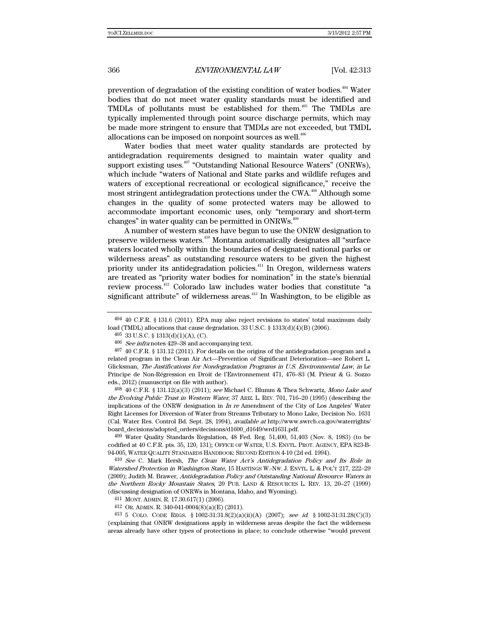prevention of degradation of the existing condition of water bodies.<sup>404</sup> Water bodies that do not meet water quality standards must be identified and TMDLs of pollutants must be established for them.<sup>405</sup> The TMDLs are typically implemented through point source discharge permits, which may be made more stringent to ensure that TMDLs are not exceeded, but TMDL allocations can be imposed on nonpoint sources as well.<sup>406</sup>

Water bodies that meet water quality standards are protected by antidegradation requirements designed to maintain water quality and support existing uses.<sup>407</sup> "Outstanding National Resource Waters" (ONRWs), which include "waters of National and State parks and wildlife refuges and waters of exceptional recreational or ecological significance," receive the most stringent antidegradation protections under the CWA.<sup>408</sup> Although some changes in the quality of some protected waters may be allowed to accommodate important economic uses, only "temporary and short-term changes" in water quality can be permitted in  $\text{ONRWs.}^4$ 

A number of western states have begun to use the ONRW designation to preserve wilderness waters.410 Montana automatically designates all "surface waters located wholly within the boundaries of designated national parks or wilderness areas" as outstanding resource waters to be given the highest priority under its antidegradation policies.<sup>411</sup> In Oregon, wilderness waters are treated as "priority water bodies for nomination" in the state's biennial review process.412 Colorado law includes water bodies that constitute "a significant attribute" of wilderness areas.<sup>413</sup> In Washington, to be eligible as

 $408$  40 C.F.R. § 131.12(a)(3) (2011); see Michael C. Blumm & Thea Schwartz, Mono Lake and the Evolving Public Trust in Western Water, 37 ARIZ. L. REV. 701, 716–20 (1995) (describing the implications of the ONRW designation in  $In$  re Amendment of the City of Los Angeles' Water Right Licenses for Diversion of Water from Streams Tributary to Mono Lake, Decision No. 1631 (Cal. Water Res. Control Bd. Sept. 28, 1994), available at http://www.swrcb.ca.gov/waterrights/ board\_decisions/adopted\_orders/decisions/d1600\_d1649/wrd1631.pdf.

409 Water Quality Standards Regulation, 48 Fed. Reg. 51,400, 51,403 (Nov. 8, 1983) (to be codified at 40 C.F.R. pts. 35, 120, 131); OFFICE OF WATER, U.S. ENVTL. PROT. AGENCY, EPA 823-B-94-005, WATER QUALITY STANDARDS HANDBOOK: SECOND EDITION 4-10 (2d ed. 1994).

 $410$  See C. Mark Hersh, The Clean Water Act's Antidegradation Policy and Its Role in Watershed Protection in Washington State, 15 HASTINGS W.-NW. J. ENVTL. L. & POL'Y 217, 222–29 (2009); Judith M. Brawer, Antidegradation Policy and Outstanding National Resource Waters in the Northern Rocky Mountain States, 20 PUB. LAND & RESOURCES L. REV. 13, 20–27 (1999) (discussing designation of ONRWs in Montana, Idaho, and Wyoming).

411 MONT. ADMIN. R. 17.30.617(1) (2006).

412 OR. ADMIN. R. 340-041-0004(8)(a)(E) (2011).

413 5 COLO. CODE REGS. § 1002-31:31.8(2)(a)(ii)(A) (2007); see id. § 1002-31:31.28(C)(3) (explaining that ONRW designations apply in wilderness areas despite the fact the wilderness areas already have other types of protections in place; to conclude otherwise "would prevent

 $404$  40 C.F.R. § 131.6 (2011). EPA may also reject revisions to states' total maximum daily load (TMDL) allocations that cause degradation. 33 U.S.C. § 1313(d)(4)(B) (2006).

<sup>405 33</sup> U.S.C. § 1313(d)(1)(A), (C).

 $406$  See infra notes 429–38 and accompanying text.

<sup>407 40</sup> C.F.R. § 131.12 (2011). For details on the origins of the antidegradation program and a related program in the Clean Air Act—Prevention of Significant Deterioration—see Robert L. Glicksman, The Justifications for Nondegradation Programs in U.S. Environmental Law, in Le Principe de Non-Régression en Droit de l'Environnement 471, 476–83 (M. Prieur & G. Sozzo eds., 2012) (manuscript on file with author).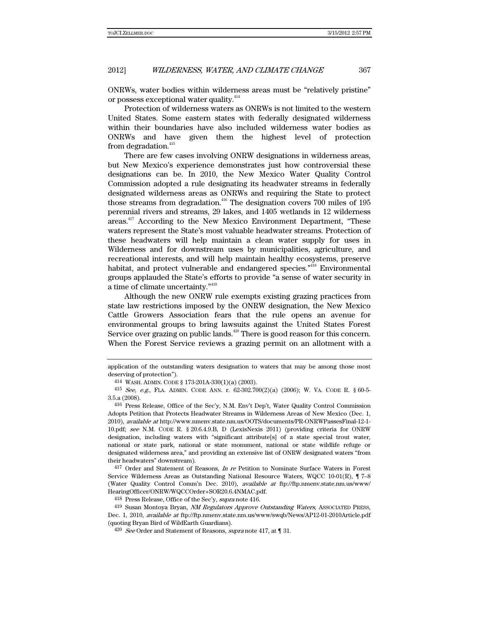ONRWs, water bodies within wilderness areas must be "relatively pristine" or possess exceptional water quality.<sup>414</sup>

Protection of wilderness waters as ONRWs is not limited to the western United States. Some eastern states with federally designated wilderness within their boundaries have also included wilderness water bodies as ONRWs and have given them the highest level of protection from degradation.<sup>415</sup>

There are few cases involving ONRW designations in wilderness areas, but New Mexico's experience demonstrates just how controversial these designations can be. In 2010, the New Mexico Water Quality Control Commission adopted a rule designating its headwater streams in federally designated wilderness areas as ONRWs and requiring the State to protect those streams from degradation.<sup>416</sup> The designation covers  $700$  miles of  $195$ perennial rivers and streams, 29 lakes, and 1405 wetlands in 12 wilderness areas.417 According to the New Mexico Environment Department, "These waters represent the State's most valuable headwater streams. Protection of these headwaters will help maintain a clean water supply for uses in Wilderness and for downstream uses by municipalities, agriculture, and recreational interests, and will help maintain healthy ecosystems, preserve habitat, and protect vulnerable and endangered species."<sup>418</sup> Environmental groups applauded the State's efforts to provide "a sense of water security in a time of climate uncertainty."419

Although the new ONRW rule exempts existing grazing practices from state law restrictions imposed by the ONRW designation, the New Mexico Cattle Growers Association fears that the rule opens an avenue for environmental groups to bring lawsuits against the United States Forest Service over grazing on public lands.<sup> $420$ </sup> There is good reason for this concern. When the Forest Service reviews a grazing permit on an allotment with a

417 Order and Statement of Reasons, *In re* Petition to Nominate Surface Waters in Forest Service Wilderness Areas as Outstanding National Resource Waters, WQCC 10-01(R), ¶ 7–8 (Water Quality Control Comm'n Dec. 2010), available at ftp://ftp.nmenv.state.nm.us/www/ HearingOfficer/ONRW/WQCCOrder+SOR20.6.4NMAC.pdf.

418 Press Release, Office of the Sec'y, *supra* note 416.

419 Susan Montoya Bryan, NM Regulators Approve Outstanding Waters, ASSOCIATED PRESS, Dec. 1, 2010, available at ftp://ftp.nmenv.state.nm.us/www/swqb/News/AP12-01-2010Article.pdf (quoting Bryan Bird of WildEarth Guardians).

 $420$  See Order and Statement of Reasons, supra note 417, at  $\P$  31.

application of the outstanding waters designation to waters that may be among those most deserving of protection").

<sup>414</sup> WASH. ADMIN. CODE § 173-201A-330(1)(a) (2003).

 $^{415}$  See, e.g., FLA. ADMIN. CODE ANN. r. 62-302.700(2)(a) (2006); W. VA. CODE R. § 60-5-3.5.a (2008).

<sup>416</sup> Press Release, Office of the Sec'y, N.M. Env't Dep't, Water Quality Control Commission Adopts Petition that Protects Headwater Streams in Wilderness Areas of New Mexico (Dec. 1, 2010), available at http://www.nmenv.state.nm.us/OOTS/documents/PR-ONRWPassesFinal-12-1- 10.pdf; see N.M. CODE R. § 20.6.4.9.B, D (LexisNexis 2011) (providing criteria for ONRW designation, including waters with "significant attribute[s] of a state special trout water, national or state park, national or state monument, national or state wildlife refuge or designated wilderness area," and providing an extensive list of ONRW designated waters "from their headwaters" downstream).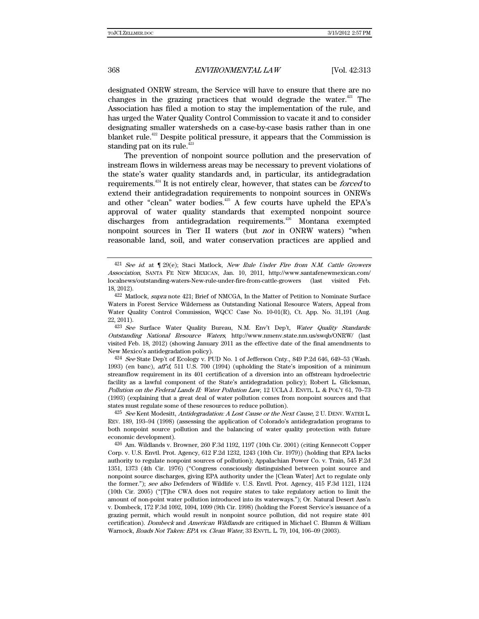designated ONRW stream, the Service will have to ensure that there are no changes in the grazing practices that would degrade the water. $421$  The Association has filed a motion to stay the implementation of the rule, and has urged the Water Quality Control Commission to vacate it and to consider designating smaller watersheds on a case-by-case basis rather than in one blanket rule.422 Despite political pressure, it appears that the Commission is standing pat on its rule. $423$ 

The prevention of nonpoint source pollution and the preservation of instream flows in wilderness areas may be necessary to prevent violations of the state's water quality standards and, in particular, its antidegradation requirements.<sup>424</sup> It is not entirely clear, however, that states can be *forced* to extend their antidegradation requirements to nonpoint sources in ONRWs and other "clean" water bodies.<sup>425</sup> A few courts have upheld the EPA's approval of water quality standards that exempted nonpoint source discharges from antidegradation requirements.<sup>426</sup> Montana exempted nonpoint sources in Tier II waters (but *not* in ONRW waters) "when reasonable land, soil, and water conservation practices are applied and

 $421$  See id. at  $\P$  29(e); Staci Matlock, New Rule Under Fire from N.M. Cattle Growers Association, SANTA FE NEW MEXICAN, Jan. 10, 2011, http://www.santafenewmexican.com/ localnews/outstanding-waters-New-rule-under-fire-from-cattle-growers (last visited Feb. 18, 2012).

<sup>422</sup> Matlock, supra note 421; Brief of NMCGA, In the Matter of Petition to Nominate Surface Waters in Forest Service Wilderness as Outstanding National Resource Waters, Appeal from Water Quality Control Commission, WQCC Case No. 10-01(R), Ct. App. No. 31,191 (Aug. 22, 2011).

<sup>423</sup> See Surface Water Quality Bureau, N.M. Env't Dep't, Water Quality Standards: Outstanding National Resource Waters, http://www.nmenv.state.nm.us/swqb/ONRW/ (last visited Feb. 18, 2012) (showing January 2011 as the effective date of the final amendments to New Mexico's antidegradation policy).

 $424$  See State Dep't of Ecology v. PUD No. 1 of Jefferson Cnty., 849 P.2d 646, 649–53 (Wash. 1993) (en banc),  $\text{aff}^2d$ , 511 U.S. 700 (1994) (upholding the State's imposition of a minimum streamflow requirement in its 401 certification of a diversion into an offstream hydroelectric facility as a lawful component of the State's antidegradation policy); Robert L. Glicksman, Pollution on the Federal Lands II: Water Pollution Law, 12 UCLA J. ENVTL. L. & POL'Y 61, 70–73 (1993) (explaining that a great deal of water pollution comes from nonpoint sources and that states must regulate some of these resources to reduce pollution).

 $^{425}$  See Kent Modesitt, Antidegradation: A Lost Cause or the Next Cause, 2 U. DENV. WATER L. REV. 189, 193–94 (1998) (assessing the application of Colorado's antidegradation programs to both nonpoint source pollution and the balancing of water quality protection with future economic development).

<sup>426</sup> Am. Wildlands v. Browner, 260 F.3d 1192, 1197 (10th Cir. 2001) (citing Kennecott Copper Corp. v. U.S. Envtl. Prot. Agency, 612 F.2d 1232, 1243 (10th Cir. 1979)) (holding that EPA lacks authority to regulate nonpoint sources of pollution); Appalachian Power Co. v. Train, 545 F.2d 1351, 1373 (4th Cir. 1976) ("Congress consciously distinguished between point source and nonpoint source discharges, giving EPA authority under the [Clean Water] Act to regulate only the former."); see also Defenders of Wildlife v. U.S. Envtl. Prot. Agency, 415 F.3d 1121, 1124 (10th Cir. 2005) ("[T]he CWA does not require states to take regulatory action to limit the amount of non-point water pollution introduced into its waterways."); Or. Natural Desert Ass'n v. Dombeck, 172 F.3d 1092, 1094, 1099 (9th Cir. 1998) (holding the Forest Service's issuance of a grazing permit, which would result in nonpoint source pollution, did not require state 401 certification). Dombeck and American Wildlands are critiqued in Michael C. Blumm & William Warnock, Roads Not Taken: EPA vs. Clean Water, 33 ENVTL. L. 79, 104, 106–09 (2003).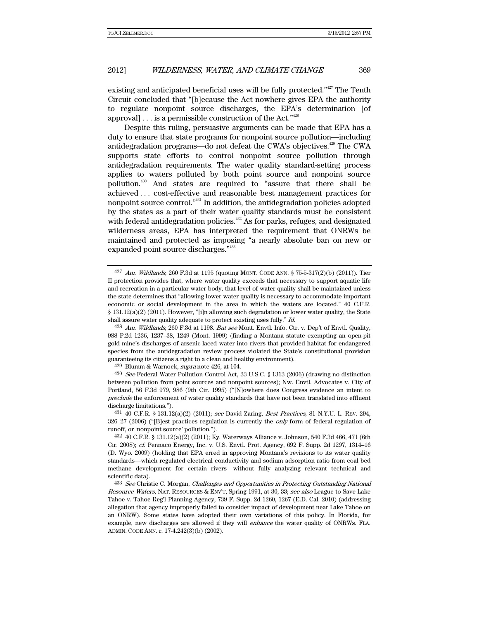existing and anticipated beneficial uses will be fully protected."<sup>427</sup> The Tenth Circuit concluded that "[b]ecause the Act nowhere gives EPA the authority to regulate nonpoint source discharges, the EPA's determination [of approval]... is a permissible construction of the Act." $428$ 

Despite this ruling, persuasive arguments can be made that EPA has a duty to ensure that state programs for nonpoint source pollution—including antidegradation programs—do not defeat the CWA's objectives.<sup>429</sup> The CWA supports state efforts to control nonpoint source pollution through antidegradation requirements. The water quality standard-setting process applies to waters polluted by both point source and nonpoint source pollution.430 And states are required to "assure that there shall be achieved . . . cost-effective and reasonable best management practices for nonpoint source control."431 In addition, the antidegradation policies adopted by the states as a part of their water quality standards must be consistent with federal antidegradation policies. $432$  As for parks, refuges, and designated wilderness areas, EPA has interpreted the requirement that ONRWs be maintained and protected as imposing "a nearly absolute ban on new or expanded point source discharges."433

 $429$  Blumm & Warnock, *supra* note 426, at 104.

430 See Federal Water Pollution Control Act, 33 U.S.C. § 1313 (2006) (drawing no distinction between pollution from point sources and nonpoint sources); Nw. Envtl. Advocates v. City of Portland, 56 F.3d 979, 986 (9th Cir. 1995) ("[N]owhere does Congress evidence an intent to preclude the enforcement of water quality standards that have not been translated into effluent discharge limitations.").

 $431 \; 40 \; \text{C.F.R.} \; \S \; 131.12(a)(2) \; (2011); \; see \; David \; Zaring, \; Best \; Practices, \; 81 \; N.Y.U. \; L. \; REV. \; 294,$ 326–27 (2006) ("[B]est practices regulation is currently the *only* form of federal regulation of runoff, or 'nonpoint source' pollution.").

432 40 C.F.R. § 131.12(a)(2) (2011); Ky. Waterways Alliance v. Johnson, 540 F.3d 466, 471 (6th Cir. 2008); cf. Pennaco Energy, Inc. v. U.S. Envtl. Prot. Agency, 692 F. Supp. 2d 1297, 1314–16 (D. Wyo. 2009) (holding that EPA erred in approving Montana's revisions to its water quality standards—which regulated electrical conductivity and sodium adsorption ratio from coal bed methane development for certain rivers—without fully analyzing relevant technical and scientific data).

433 See Christie C. Morgan, Challenges and Opportunities in Protecting Outstanding National Resource Waters, NAT. RESOURCES & ENV'T, Spring 1991, at 30, 33; see also League to Save Lake Tahoe v. Tahoe Reg'l Planning Agency, 739 F. Supp. 2d 1260, 1267 (E.D. Cal. 2010) (addressing allegation that agency improperly failed to consider impact of development near Lake Tahoe on an ONRW). Some states have adopted their own variations of this policy. In Florida, for example, new discharges are allowed if they will enhance the water quality of ONRWs. FLA. ADMIN. CODE ANN. r. 17-4.242(3)(b) (2002).

 $427$  Am. Wildlands, 260 F.3d at 1195 (quoting MONT. CODE ANN. § 75-5-317(2)(b) (2011)). Tier II protection provides that, where water quality exceeds that necessary to support aquatic life and recreation in a particular water body, that level of water quality shall be maintained unless the state determines that "allowing lower water quality is necessary to accommodate important economic or social development in the area in which the waters are located." 40 C.F.R.  $\S 131.12(a)(2)$  (2011). However, "[i]n allowing such degradation or lower water quality, the State shall assure water quality adequate to protect existing uses fully." Id.

<sup>428</sup> Am. Wildlands, 260 F.3d at 1198. But see Mont. Envtl. Info. Ctr. v. Dep't of Envtl. Quality, 988 P.2d 1236, 1237–38, 1249 (Mont. 1999) (finding a Montana statute exempting an open-pit gold mine's discharges of arsenic-laced water into rivers that provided habitat for endangered species from the antidegradation review process violated the State's constitutional provision guaranteeing its citizens a right to a clean and healthy environment).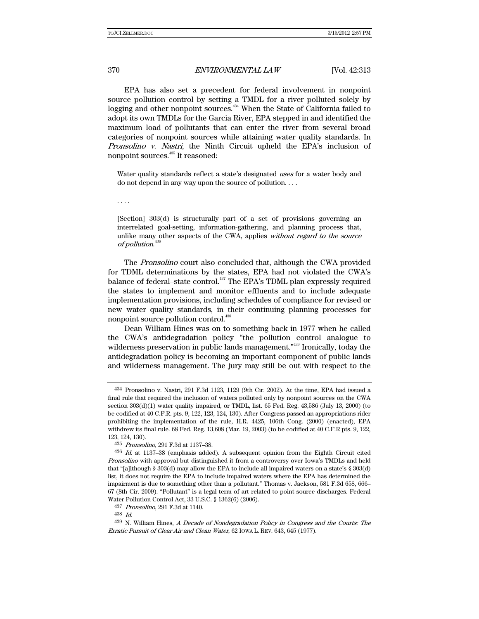EPA has also set a precedent for federal involvement in nonpoint source pollution control by setting a TMDL for a river polluted solely by logging and other nonpoint sources.<sup>434</sup> When the State of California failed to adopt its own TMDLs for the Garcia River, EPA stepped in and identified the maximum load of pollutants that can enter the river from several broad categories of nonpoint sources while attaining water quality standards. In Pronsolino v. Nastri, the Ninth Circuit upheld the EPA's inclusion of nonpoint sources.<sup>435</sup> It reasoned:

Water quality standards reflect a state's designated uses for a water body and do not depend in any way upon the source of pollution. . . .

. . . .

[Section] 303(d) is structurally part of a set of provisions governing an interrelated goal-setting, information-gathering, and planning process that, unlike many other aspects of the CWA, applies without regard to the source of pollution. 436

The Pronsolino court also concluded that, although the CWA provided for TDML determinations by the states, EPA had not violated the CWA's balance of federal–state control.<sup>437</sup> The EPA's TDML plan expressly required the states to implement and monitor effluents and to include adequate implementation provisions, including schedules of compliance for revised or new water quality standards, in their continuing planning processes for nonpoint source pollution control.<sup>438</sup>

Dean William Hines was on to something back in 1977 when he called the CWA's antidegradation policy "the pollution control analogue to wilderness preservation in public lands management."<sup>439</sup> Ironically, today the antidegradation policy is becoming an important component of public lands and wilderness management. The jury may still be out with respect to the

<sup>434</sup> Pronsolino v. Nastri, 291 F.3d 1123, 1129 (9th Cir. 2002). At the time, EPA had issued a final rule that required the inclusion of waters polluted only by nonpoint sources on the CWA section  $303(d)(1)$  water quality impaired, or TMDL, list. 65 Fed. Reg.  $43,586$  (July 13, 2000) (to be codified at 40 C.F.R. pts. 9, 122, 123, 124, 130). After Congress passed an appropriations rider prohibiting the implementation of the rule, H.R. 4425, 106th Cong. (2000) (enacted), EPA withdrew its final rule. 68 Fed. Reg. 13,608 (Mar. 19, 2003) (to be codified at 40 C.F.R pts. 9, 122, 123, 124, 130).

<sup>435</sup> Pronsolino, 291 F.3d at 1137–38.

<sup>436</sup> Id. at 1137–38 (emphasis added). A subsequent opinion from the Eighth Circuit cited Pronsolino with approval but distinguished it from a controversy over Iowa's TMDLs and held that "[a]lthough § 303(d) may allow the EPA to include all impaired waters on a state's § 303(d) list, it does not require the EPA to include impaired waters where the EPA has determined the impairment is due to something other than a pollutant." Thomas v. Jackson, 581 F.3d 658, 666– 67 (8th Cir. 2009). "Pollutant" is a legal term of art related to point source discharges. Federal Water Pollution Control Act, 33 U.S.C. § 1362(6) (2006).

<sup>437</sup> Pronsolino, 291 F.3d at 1140.

<sup>438</sup> Id.

<sup>439</sup> N. William Hines, A Decade of Nondegradation Policy in Congress and the Courts: The Erratic Pursuit of Clear Air and Clean Water, 62 IOWA L. REV. 643, 645 (1977).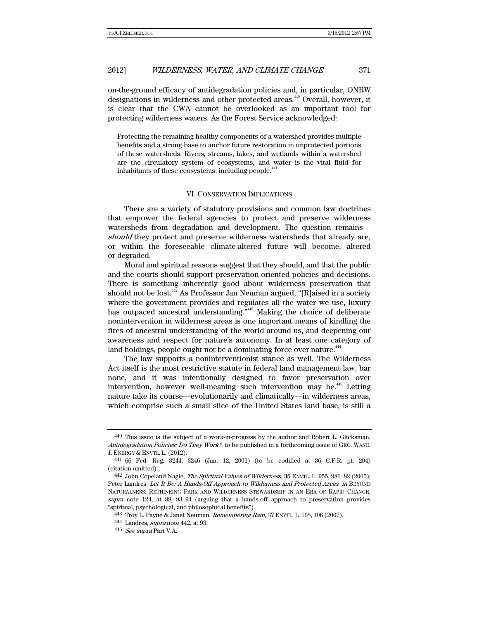on-the-ground efficacy of antidegradation policies and, in particular, ONRW designations in wilderness and other protected areas.<sup>440</sup> Overall, however, it is clear that the CWA cannot be overlooked as an important tool for protecting wilderness waters. As the Forest Service acknowledged:

Protecting the remaining healthy components of a watershed provides multiple benefits and a strong base to anchor future restoration in unprotected portions of these watersheds. Rivers, streams, lakes, and wetlands within a watershed are the circulatory system of ecosystems, and water is the vital fluid for inhabitants of these ecosystems, including people.<sup>441</sup>

#### VI. CONSERVATION IMPLICATIONS

There are a variety of statutory provisions and common law doctrines that empower the federal agencies to protect and preserve wilderness watersheds from degradation and development. The question remains should they protect and preserve wilderness watersheds that already are, or within the foreseeable climate-altered future will become, altered or degraded.

Moral and spiritual reasons suggest that they should, and that the public and the courts should support preservation-oriented policies and decisions. There is something inherently good about wilderness preservation that should not be lost.<sup>442</sup> As Professor Jan Neuman argued, "[R]aised in a society where the government provides and regulates all the water we use, luxury has outpaced ancestral understanding."<sup>443</sup> Making the choice of deliberate nonintervention in wilderness areas is one important means of kindling the fires of ancestral understanding of the world around us, and deepening our awareness and respect for nature's autonomy. In at least one category of land holdings, people ought not be a dominating force over nature.<sup>444</sup>

The law supports a noninterventionist stance as well. The Wilderness Act itself is the most restrictive statute in federal land management law, bar none, and it was intentionally designed to favor preservation over intervention, however well-meaning such intervention may be.<sup>445</sup> Letting nature take its course—evolutionarily and climatically—in wilderness areas, which comprise such a small slice of the United States land base, is still a

<sup>440</sup> This issue is the subject of a work-in-progress by the author and Robert L. Glicksman, Antidegradation Policies: Do They Work?, to be published in a forthcoming issue of GEO. WASH. J. ENERGY & ENVTL. L. (2012). 441 66 Fed. Reg. 3244, 3246 (Jan. 12, 2001) (to be codified at 36 C.F.R. pt. 294)

<sup>(</sup>citation omitted).

<sup>442</sup> John Copeland Nagle, The Spiritual Values of Wilderness, 35 ENVTL. L. 955, 981-82 (2005); Peter Landres, Let It Be: A Hands-Off Approach to Wilderness and Protected Areas, in BEYOND NATURALNESS: RETHINKING PARK AND WILDERNESS STEWARDSHIP IN AN ERA OF RAPID CHANGE, supra note 124, at 88, 93–94 (arguing that a hands-off approach to preservation provides "spiritual, psychological, and philosophical benefits").

<sup>443</sup> Troy L. Payne & Janet Neuman, Remembering Rain, 37 ENVTL. L. 105, 106 (2007).

<sup>444</sup> Landres, supra note 442, at 93.

<sup>445</sup> See supra Part V.A.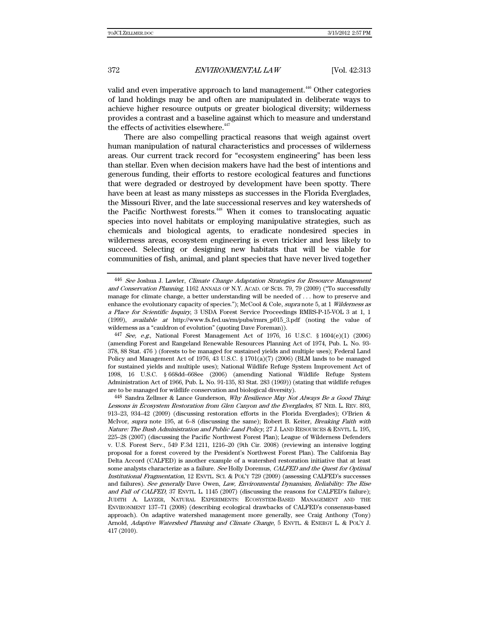valid and even imperative approach to land management.<sup>446</sup> Other categories of land holdings may be and often are manipulated in deliberate ways to achieve higher resource outputs or greater biological diversity; wilderness provides a contrast and a baseline against which to measure and understand the effects of activities elsewhere.<sup>447</sup>

There are also compelling practical reasons that weigh against overt human manipulation of natural characteristics and processes of wilderness areas. Our current track record for "ecosystem engineering" has been less than stellar. Even when decision makers have had the best of intentions and generous funding, their efforts to restore ecological features and functions that were degraded or destroyed by development have been spotty. There have been at least as many missteps as successes in the Florida Everglades, the Missouri River, and the late successional reserves and key watersheds of the Pacific Northwest forests.<sup>448</sup> When it comes to translocating aquatic species into novel habitats or employing manipulative strategies, such as chemicals and biological agents, to eradicate nondesired species in wilderness areas, ecosystem engineering is even trickier and less likely to succeed. Selecting or designing new habitats that will be viable for communities of fish, animal, and plant species that have never lived together

<sup>446</sup> See Joshua J. Lawler, Climate Change Adaptation Strategies for Resource Management and Conservation Planning, 1162 ANNALS OF N.Y. ACAD. OF SCIS. 79, 79 (2009) ("To successfully manage for climate change, a better understanding will be needed of . . . how to preserve and enhance the evolutionary capacity of species."); McCool & Cole, *supra* note 5, at 1 Wilderness as a Place for Scientific Inquiry, 3 USDA Forest Service Proceedings RMRS-P-15-VOL 3 at 1, 1 (1999), available at http://www.fs.fed.us/rm/pubs/rmrs\_p015\_3.pdf (noting the value of wilderness as a "cauldron of evolution" (quoting Dave Foreman)).

<sup>447</sup> See, e.g., National Forest Management Act of 1976, 16 U.S.C. § 1604(e)(1) (2006) (amending Forest and Rangeland Renewable Resources Planning Act of 1974, Pub. L. No. 93- 378, 88 Stat. 476 ) (forests to be managed for sustained yields and multiple uses); Federal Land Policy and Management Act of 1976, 43 U.S.C.  $\S 1701(a)(7)$  (2006) (BLM lands to be managed for sustained yields and multiple uses); National Wildlife Refuge System Improvement Act of 1998, 16 U.S.C. § 668dd–668ee (2006) (amending National Wildlife Refuge System Administration Act of 1966, Pub. L. No. 91-135, 83 Stat. 283 (1969)) (stating that wildlife refuges are to be managed for wildlife conservation and biological diversity).

<sup>448</sup> Sandra Zellmer & Lance Gunderson, Why Resilience May Not Always Be a Good Thing: Lessons in Ecosystem Restoration from Glen Canyon and the Everglades, 87 NEB. L. REV. 893, 913–23, 934–42 (2009) (discussing restoration efforts in the Florida Everglades); O'Brien & McIvor, supra note 195, at 6–8 (discussing the same); Robert B. Keiter, Breaking Faith with Nature: The Bush Administration and Public Land Policy, 27 J. LAND RESOURCES & ENVTL. L. 195, 225–28 (2007) (discussing the Pacific Northwest Forest Plan); League of Wilderness Defenders v. U.S. Forest Serv., 549 F.3d 1211, 1216–20 (9th Cir. 2008) (reviewing an intensive logging proposal for a forest covered by the President's Northwest Forest Plan). The California Bay Delta Accord (CALFED) is another example of a watershed restoration initiative that at least some analysts characterize as a failure. See Holly Doremus, CALFED and the Quest for Optimal Institutional Fragmentation, 12 ENVTL. SCI. & POL'Y 729 (2009) (assessing CALFED's successes and failures). See generally Dave Owen, Law, Environmental Dynamism, Reliability: The Rise and Fall of CALFED, 37 ENVTL. L. 1145 (2007) (discussing the reasons for CALFED's failure); JUDITH A. LAYZER, NATURAL EXPERIMENTS: ECOSYSTEM-BASED MANAGEMENT AND THE ENVIRONMENT 137–71 (2008) (describing ecological drawbacks of CALFED's consensus-based approach). On adaptive watershed management more generally, see Craig Anthony (Tony) Arnold, Adaptive Watershed Planning and Climate Change, 5 ENVTL. & ENERGY L. & POL'Y J. 417 (2010).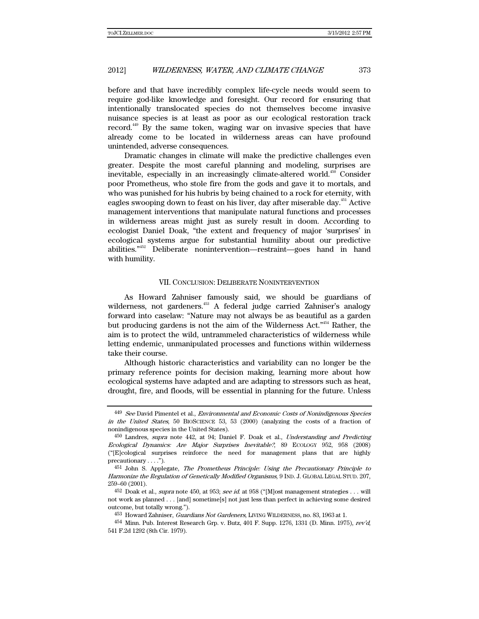before and that have incredibly complex life-cycle needs would seem to require god-like knowledge and foresight. Our record for ensuring that intentionally translocated species do not themselves become invasive nuisance species is at least as poor as our ecological restoration track record.449 By the same token, waging war on invasive species that have already come to be located in wilderness areas can have profound unintended, adverse consequences.

Dramatic changes in climate will make the predictive challenges even greater. Despite the most careful planning and modeling, surprises are inevitable, especially in an increasingly climate-altered world.<sup>450</sup> Consider poor Prometheus, who stole fire from the gods and gave it to mortals, and who was punished for his hubris by being chained to a rock for eternity, with eagles swooping down to feast on his liver, day after miserable day.<sup>451</sup> Active management interventions that manipulate natural functions and processes in wilderness areas might just as surely result in doom. According to ecologist Daniel Doak, "the extent and frequency of major 'surprises' in ecological systems argue for substantial humility about our predictive abilities."452 Deliberate nonintervention—restraint—goes hand in hand with humility.

#### VII. CONCLUSION: DELIBERATE NONINTERVENTION

As Howard Zahniser famously said, we should be guardians of wilderness, not gardeners.<sup>453</sup> A federal judge carried Zahniser's analogy forward into caselaw: "Nature may not always be as beautiful as a garden but producing gardens is not the aim of the Wilderness Act.<sup>"454</sup> Rather, the aim is to protect the wild, untrammeled characteristics of wilderness while letting endemic, unmanipulated processes and functions within wilderness take their course.

Although historic characteristics and variability can no longer be the primary reference points for decision making, learning more about how ecological systems have adapted and are adapting to stressors such as heat, drought, fire, and floods, will be essential in planning for the future. Unless

<sup>449</sup> See David Pimentel et al., Environmental and Economic Costs of Nonindigenous Species in the United States, 50 BIOSCIENCE 53, 53 (2000) (analyzing the costs of a fraction of nonindigenous species in the United States).

<sup>450</sup> Landres, supra note 442, at 94; Daniel F. Doak et al., Understanding and Predicting Ecological Dynamics: Are Major Surprises Inevitable?, 89 ECOLOGY 952, 958 (2008) ("[E]cological surprises reinforce the need for management plans that are highly precautionary . . . .").

<sup>451</sup> John S. Applegate, The Prometheus Principle: Using the Precautionary Principle to Harmonize the Regulation of Genetically Modified Organisms, 9 IND. J. GLOBAL LEGAL STUD. 207, 259–60 (2001).

 $452$  Doak et al., *supra* note 450, at 953; *see id.* at 958 ("Most management strategies . . . will not work as planned . . . [and] sometime[s] not just less than perfect in achieving some desired outcome, but totally wrong.").

<sup>453</sup> Howard Zahniser, Guardians Not Gardeners, LIVING WILDERNESS, no. 83, 1963 at 1.

<sup>454</sup> Minn. Pub. Interest Research Grp. v. Butz, 401 F. Supp. 1276, 1331 (D. Minn. 1975), rev'd, 541 F.2d 1292 (8th Cir. 1979).